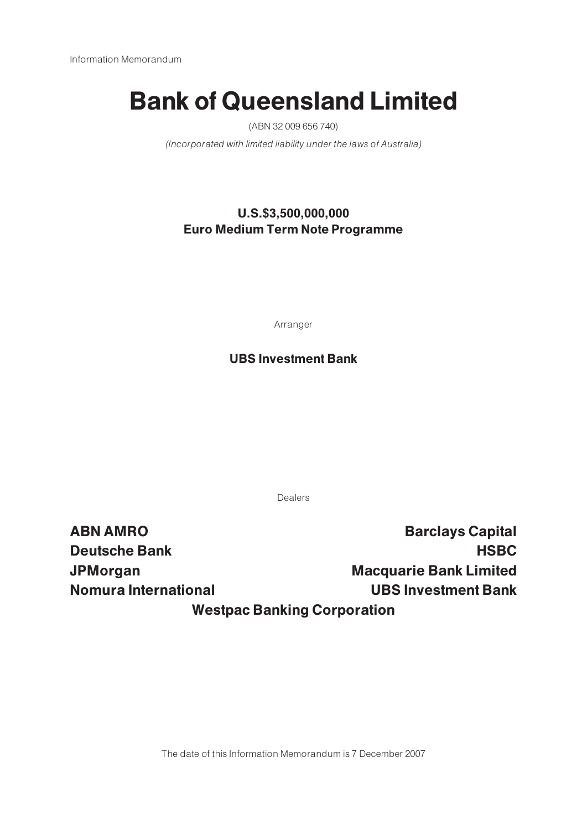# Bank of Queensland Limited

(ABN 32 009 656 740)

(Incorporated with limited liability under the laws of Australia)

# U.S.\$3,500,000,000 Euro Medium Term Note Programme

Arranger

# UBS Investment Bank

Dealers

ABN AMRO **Barclays Capital** Deutsche Bank HSBC and the Bank HSBC and the Bank HSBC and the Bank HSBC and the Bank HSBC and the Bank HSBC and the Bank HSBC and the Bank HSBC and the Bank HSBC and the Bank HSBC and the Bank HSBC and the Bank HSBC and t JPMorgan Macquarie Bank Limited Nomura International UBS Investment Bank Westpac Banking Corporation

The date of this Information Memorandum is 7 December 2007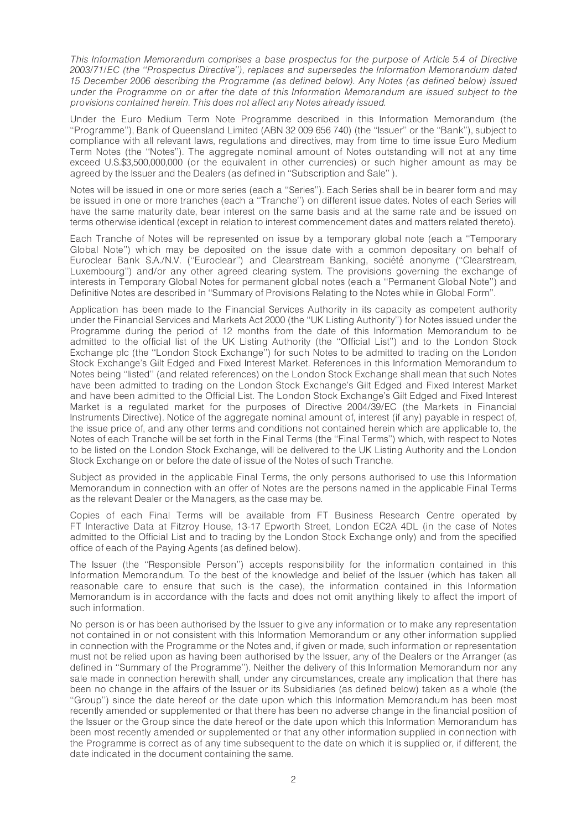This Information Memorandum comprises a base prospectus for the purpose of Article 5.4 of Directive 2003/71/EC (the ''Prospectus Directive''), replaces and supersedes the Information Memorandum dated 15 December 2006 describing the Programme (as defined below). Any Notes (as defined below) issued under the Programme on or after the date of this Information Memorandum are issued subject to the provisions contained herein. This does not affect any Notes already issued.

Under the Euro Medium Term Note Programme described in this Information Memorandum (the ''Programme''), Bank of Queensland Limited (ABN 32 009 656 740) (the ''Issuer'' or the ''Bank''), subject to compliance with all relevant laws, regulations and directives, may from time to time issue Euro Medium Term Notes (the ''Notes''). The aggregate nominal amount of Notes outstanding will not at any time exceed U.S.\$3,500,000,000 (or the equivalent in other currencies) or such higher amount as may be agreed by the Issuer and the Dealers (as defined in ''Subscription and Sale'' ).

Notes will be issued in one or more series (each a ''Series''). Each Series shall be in bearer form and may be issued in one or more tranches (each a ''Tranche'') on different issue dates. Notes of each Series will have the same maturity date, bear interest on the same basis and at the same rate and be issued on terms otherwise identical (except in relation to interest commencement dates and matters related thereto).

Each Tranche of Notes will be represented on issue by a temporary global note (each a ''Temporary Global Note'') which may be deposited on the issue date with a common depositary on behalf of Euroclear Bank S.A./N.V. ("Euroclear") and Clearstream Banking, société anonyme ("Clearstream, Luxembourg'') and/or any other agreed clearing system. The provisions governing the exchange of interests in Temporary Global Notes for permanent global notes (each a ''Permanent Global Note'') and Definitive Notes are described in ''Summary of Provisions Relating to the Notes while in Global Form''.

Application has been made to the Financial Services Authority in its capacity as competent authority under the Financial Services and Markets Act 2000 (the ''UK Listing Authority'') for Notes issued under the Programme during the period of 12 months from the date of this Information Memorandum to be admitted to the official list of the UK Listing Authority (the ''Official List'') and to the London Stock Exchange plc (the ''London Stock Exchange'') for such Notes to be admitted to trading on the London Stock Exchange's Gilt Edged and Fixed Interest Market. References in this Information Memorandum to Notes being ''listed'' (and related references) on the London Stock Exchange shall mean that such Notes have been admitted to trading on the London Stock Exchange's Gilt Edged and Fixed Interest Market and have been admitted to the Official List. The London Stock Exchange's Gilt Edged and Fixed Interest Market is a regulated market for the purposes of Directive 2004/39/EC (the Markets in Financial Instruments Directive). Notice of the aggregate nominal amount of, interest (if any) payable in respect of, the issue price of, and any other terms and conditions not contained herein which are applicable to, the Notes of each Tranche will be set forth in the Final Terms (the ''Final Terms'') which, with respect to Notes to be listed on the London Stock Exchange, will be delivered to the UK Listing Authority and the London Stock Exchange on or before the date of issue of the Notes of such Tranche.

Subject as provided in the applicable Final Terms, the only persons authorised to use this Information Memorandum in connection with an offer of Notes are the persons named in the applicable Final Terms as the relevant Dealer or the Managers, as the case may be.

Copies of each Final Terms will be available from FT Business Research Centre operated by FT Interactive Data at Fitzroy House, 13-17 Epworth Street, London EC2A 4DL (in the case of Notes admitted to the Official List and to trading by the London Stock Exchange only) and from the specified office of each of the Paying Agents (as defined below).

The Issuer (the ''Responsible Person'') accepts responsibility for the information contained in this Information Memorandum. To the best of the knowledge and belief of the Issuer (which has taken all reasonable care to ensure that such is the case), the information contained in this Information Memorandum is in accordance with the facts and does not omit anything likely to affect the import of such information.

No person is or has been authorised by the Issuer to give any information or to make any representation not contained in or not consistent with this Information Memorandum or any other information supplied in connection with the Programme or the Notes and, if given or made, such information or representation must not be relied upon as having been authorised by the Issuer, any of the Dealers or the Arranger (as defined in ''Summary of the Programme''). Neither the delivery of this Information Memorandum nor any sale made in connection herewith shall, under any circumstances, create any implication that there has been no change in the affairs of the Issuer or its Subsidiaries (as defined below) taken as a whole (the ''Group'') since the date hereof or the date upon which this Information Memorandum has been most recently amended or supplemented or that there has been no adverse change in the financial position of the Issuer or the Group since the date hereof or the date upon which this Information Memorandum has been most recently amended or supplemented or that any other information supplied in connection with the Programme is correct as of any time subsequent to the date on which it is supplied or, if different, the date indicated in the document containing the same.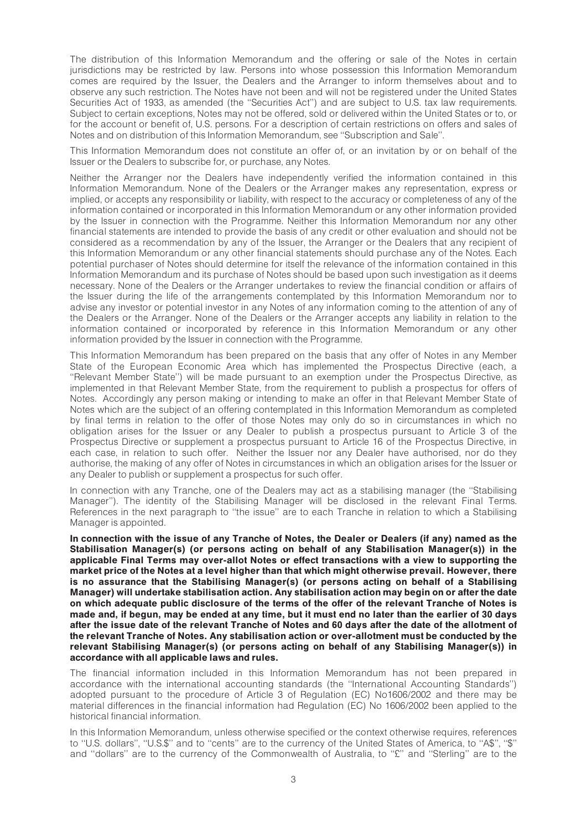The distribution of this Information Memorandum and the offering or sale of the Notes in certain jurisdictions may be restricted by law. Persons into whose possession this Information Memorandum comes are required by the Issuer, the Dealers and the Arranger to inform themselves about and to observe any such restriction. The Notes have not been and will not be registered under the United States Securities Act of 1933, as amended (the ''Securities Act'') and are subject to U.S. tax law requirements. Subject to certain exceptions, Notes may not be offered, sold or delivered within the United States or to, or for the account or benefit of, U.S. persons. For a description of certain restrictions on offers and sales of Notes and on distribution of this Information Memorandum, see ''Subscription and Sale''.

This Information Memorandum does not constitute an offer of, or an invitation by or on behalf of the Issuer or the Dealers to subscribe for, or purchase, any Notes.

Neither the Arranger nor the Dealers have independently verified the information contained in this Information Memorandum. None of the Dealers or the Arranger makes any representation, express or implied, or accepts any responsibility or liability, with respect to the accuracy or completeness of any of the information contained or incorporated in this Information Memorandum or any other information provided by the Issuer in connection with the Programme. Neither this Information Memorandum nor any other financial statements are intended to provide the basis of any credit or other evaluation and should not be considered as a recommendation by any of the Issuer, the Arranger or the Dealers that any recipient of this Information Memorandum or any other financial statements should purchase any of the Notes. Each potential purchaser of Notes should determine for itself the relevance of the information contained in this Information Memorandum and its purchase of Notes should be based upon such investigation as it deems necessary. None of the Dealers or the Arranger undertakes to review the financial condition or affairs of the Issuer during the life of the arrangements contemplated by this Information Memorandum nor to advise any investor or potential investor in any Notes of any information coming to the attention of any of the Dealers or the Arranger. None of the Dealers or the Arranger accepts any liability in relation to the information contained or incorporated by reference in this Information Memorandum or any other information provided by the Issuer in connection with the Programme.

This Information Memorandum has been prepared on the basis that any offer of Notes in any Member State of the European Economic Area which has implemented the Prospectus Directive (each, a ''Relevant Member State'') will be made pursuant to an exemption under the Prospectus Directive, as implemented in that Relevant Member State, from the requirement to publish a prospectus for offers of Notes. Accordingly any person making or intending to make an offer in that Relevant Member State of Notes which are the subject of an offering contemplated in this Information Memorandum as completed by final terms in relation to the offer of those Notes may only do so in circumstances in which no obligation arises for the Issuer or any Dealer to publish a prospectus pursuant to Article 3 of the Prospectus Directive or supplement a prospectus pursuant to Article 16 of the Prospectus Directive, in each case, in relation to such offer. Neither the Issuer nor any Dealer have authorised, nor do they authorise, the making of any offer of Notes in circumstances in which an obligation arises for the Issuer or any Dealer to publish or supplement a prospectus for such offer.

In connection with any Tranche, one of the Dealers may act as a stabilising manager (the ''Stabilising Manager''). The identity of the Stabilising Manager will be disclosed in the relevant Final Terms. References in the next paragraph to ''the issue'' are to each Tranche in relation to which a Stabilising Manager is appointed.

In connection with the issue of any Tranche of Notes, the Dealer or Dealers (if any) named as the Stabilisation Manager(s) (or persons acting on behalf of any Stabilisation Manager(s)) in the applicable Final Terms may over-allot Notes or effect transactions with a view to supporting the market price of the Notes at a level higher than that which might otherwise prevail. However, there is no assurance that the Stabilising Manager(s) (or persons acting on behalf of a Stabilising Manager) will undertake stabilisation action. Any stabilisation action may begin on or after the date on which adequate public disclosure of the terms of the offer of the relevant Tranche of Notes is made and, if begun, may be ended at any time, but it must end no later than the earlier of 30 days after the issue date of the relevant Tranche of Notes and 60 days after the date of the allotment of the relevant Tranche of Notes. Any stabilisation action or over-allotment must be conducted by the relevant Stabilising Manager(s) (or persons acting on behalf of any Stabilising Manager(s)) in accordance with all applicable laws and rules.

The financial information included in this Information Memorandum has not been prepared in accordance with the international accounting standards (the ''International Accounting Standards'') adopted pursuant to the procedure of Article 3 of Regulation (EC) No1606/2002 and there may be material differences in the financial information had Regulation (EC) No 1606/2002 been applied to the historical financial information.

In this Information Memorandum, unless otherwise specified or the context otherwise requires, references to "U.S. dollars", "U.S.\$" and to "cents" are to the currency of the United States of America, to "A\$", "\$" and "dollars" are to the currency of the Commonwealth of Australia, to "£" and "Sterling" are to the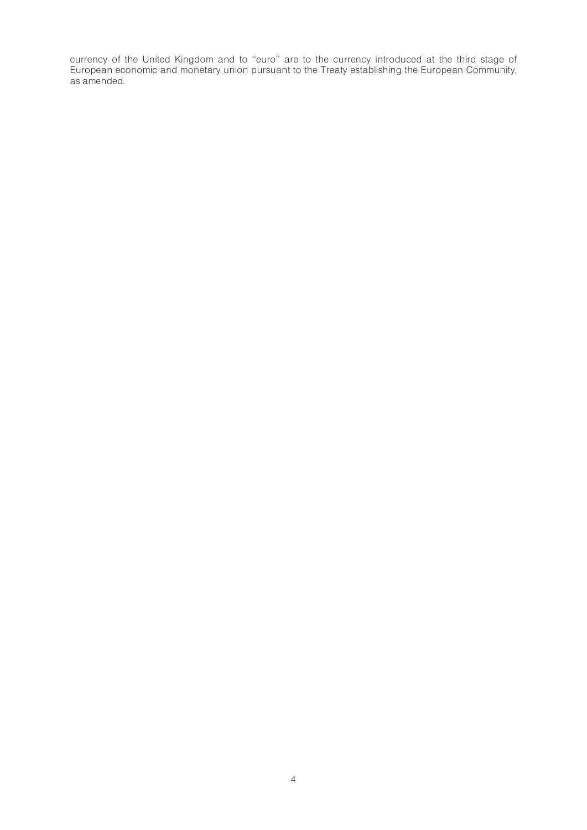currency of the United Kingdom and to ''euro'' are to the currency introduced at the third stage of European economic and monetary union pursuant to the Treaty establishing the European Community, as amended.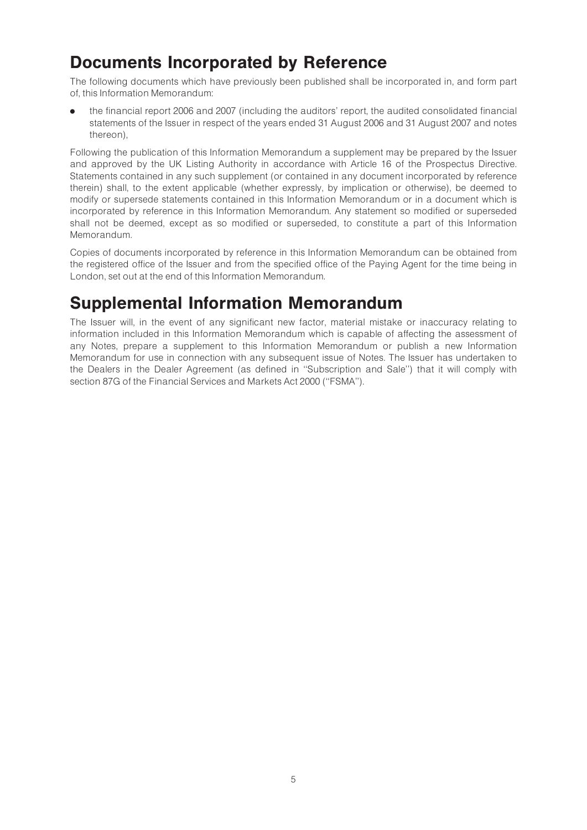# Documents Incorporated by Reference

The following documents which have previously been published shall be incorporated in, and form part of, this Information Memorandum:

. the financial report 2006 and 2007 (including the auditors' report, the audited consolidated financial statements of the Issuer in respect of the years ended 31 August 2006 and 31 August 2007 and notes thereon),

Following the publication of this Information Memorandum a supplement may be prepared by the Issuer and approved by the UK Listing Authority in accordance with Article 16 of the Prospectus Directive. Statements contained in any such supplement (or contained in any document incorporated by reference therein) shall, to the extent applicable (whether expressly, by implication or otherwise), be deemed to modify or supersede statements contained in this Information Memorandum or in a document which is incorporated by reference in this Information Memorandum. Any statement so modified or superseded shall not be deemed, except as so modified or superseded, to constitute a part of this Information Memorandum.

Copies of documents incorporated by reference in this Information Memorandum can be obtained from the registered office of the Issuer and from the specified office of the Paying Agent for the time being in London, set out at the end of this Information Memorandum.

# Supplemental Information Memorandum

The Issuer will, in the event of any significant new factor, material mistake or inaccuracy relating to information included in this Information Memorandum which is capable of affecting the assessment of any Notes, prepare a supplement to this Information Memorandum or publish a new Information Memorandum for use in connection with any subsequent issue of Notes. The Issuer has undertaken to the Dealers in the Dealer Agreement (as defined in ''Subscription and Sale'') that it will comply with section 87G of the Financial Services and Markets Act 2000 (''FSMA'').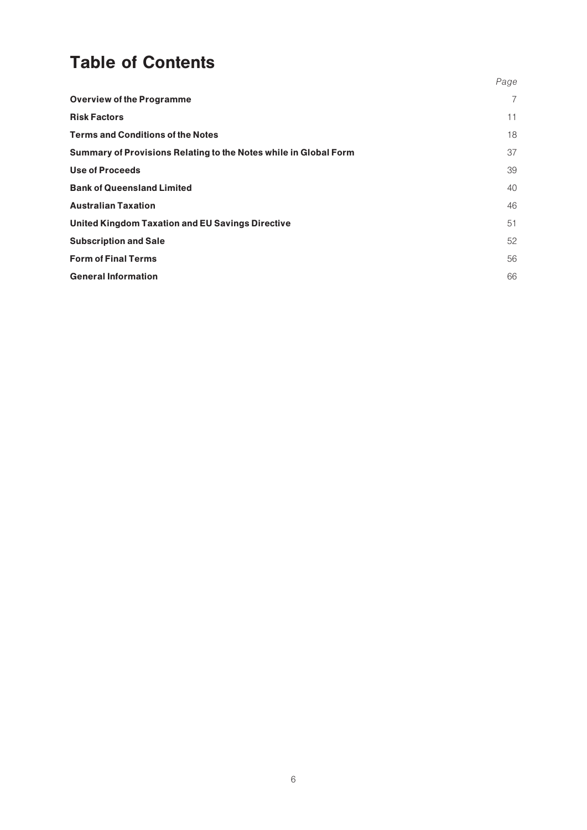# Table of Contents

|                                                                  | Page           |
|------------------------------------------------------------------|----------------|
| <b>Overview of the Programme</b>                                 | $\overline{7}$ |
| <b>Risk Factors</b>                                              | 11             |
| <b>Terms and Conditions of the Notes</b>                         | 18             |
| Summary of Provisions Relating to the Notes while in Global Form | 37             |
| <b>Use of Proceeds</b>                                           | 39             |
| <b>Bank of Queensland Limited</b>                                | 40             |
| <b>Australian Taxation</b>                                       | 46             |
| <b>United Kingdom Taxation and EU Savings Directive</b>          | 51             |
| <b>Subscription and Sale</b>                                     | 52             |
| <b>Form of Final Terms</b>                                       | 56             |
| <b>General Information</b>                                       | 66             |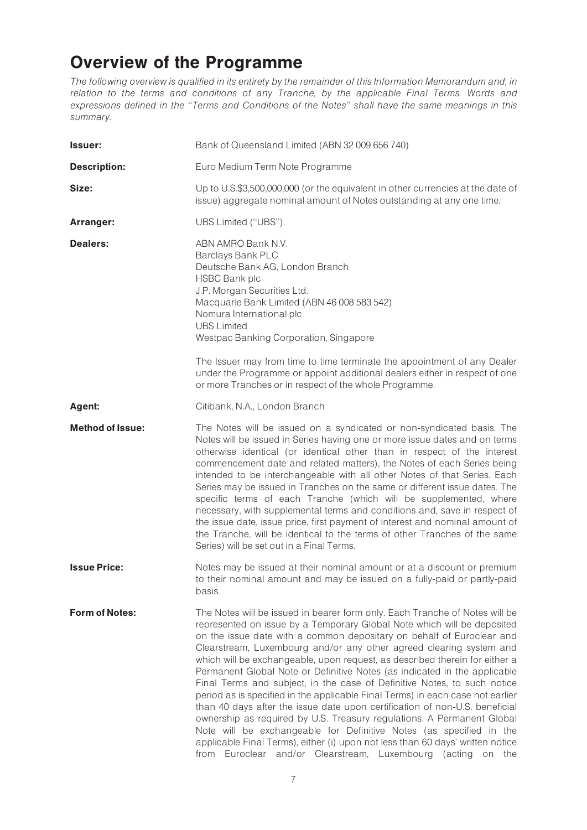# Overview of the Programme

The following overview is qualified in its entirety by the remainder of this Information Memorandum and, in relation to the terms and conditions of any Tranche, by the applicable Final Terms. Words and expressions defined in the ''Terms and Conditions of the Notes'' shall have the same meanings in this summary.

| <b>Issuer:</b>          | Bank of Queensland Limited (ABN 32 009 656 740)                                                                                                                                                                                                                                                                                                                                                                                                                                                                                                                                                                                                                                                                                                                                                                                                                                                                                                                                                                    |
|-------------------------|--------------------------------------------------------------------------------------------------------------------------------------------------------------------------------------------------------------------------------------------------------------------------------------------------------------------------------------------------------------------------------------------------------------------------------------------------------------------------------------------------------------------------------------------------------------------------------------------------------------------------------------------------------------------------------------------------------------------------------------------------------------------------------------------------------------------------------------------------------------------------------------------------------------------------------------------------------------------------------------------------------------------|
| <b>Description:</b>     | Euro Medium Term Note Programme                                                                                                                                                                                                                                                                                                                                                                                                                                                                                                                                                                                                                                                                                                                                                                                                                                                                                                                                                                                    |
| Size:                   | Up to U.S.\$3,500,000,000 (or the equivalent in other currencies at the date of<br>issue) aggregate nominal amount of Notes outstanding at any one time.                                                                                                                                                                                                                                                                                                                                                                                                                                                                                                                                                                                                                                                                                                                                                                                                                                                           |
| Arranger:               | UBS Limited ("UBS").                                                                                                                                                                                                                                                                                                                                                                                                                                                                                                                                                                                                                                                                                                                                                                                                                                                                                                                                                                                               |
| <b>Dealers:</b>         | ABN AMRO Bank N.V.<br>Barclays Bank PLC<br>Deutsche Bank AG, London Branch<br><b>HSBC Bank plc</b><br>J.P. Morgan Securities Ltd.<br>Macquarie Bank Limited (ABN 46 008 583 542)<br>Nomura International plc<br><b>UBS Limited</b><br>Westpac Banking Corporation, Singapore                                                                                                                                                                                                                                                                                                                                                                                                                                                                                                                                                                                                                                                                                                                                       |
|                         | The Issuer may from time to time terminate the appointment of any Dealer<br>under the Programme or appoint additional dealers either in respect of one<br>or more Tranches or in respect of the whole Programme.                                                                                                                                                                                                                                                                                                                                                                                                                                                                                                                                                                                                                                                                                                                                                                                                   |
| Agent:                  | Citibank, N.A., London Branch                                                                                                                                                                                                                                                                                                                                                                                                                                                                                                                                                                                                                                                                                                                                                                                                                                                                                                                                                                                      |
| <b>Method of Issue:</b> | The Notes will be issued on a syndicated or non-syndicated basis. The<br>Notes will be issued in Series having one or more issue dates and on terms<br>otherwise identical (or identical other than in respect of the interest<br>commencement date and related matters), the Notes of each Series being<br>intended to be interchangeable with all other Notes of that Series. Each<br>Series may be issued in Tranches on the same or different issue dates. The<br>specific terms of each Tranche (which will be supplemented, where<br>necessary, with supplemental terms and conditions and, save in respect of<br>the issue date, issue price, first payment of interest and nominal amount of<br>the Tranche, will be identical to the terms of other Tranches of the same<br>Series) will be set out in a Final Terms.                                                                                                                                                                                     |
| <b>Issue Price:</b>     | Notes may be issued at their nominal amount or at a discount or premium<br>to their nominal amount and may be issued on a fully-paid or partly-paid<br>basis.                                                                                                                                                                                                                                                                                                                                                                                                                                                                                                                                                                                                                                                                                                                                                                                                                                                      |
| <b>Form of Notes:</b>   | The Notes will be issued in bearer form only. Each Tranche of Notes will be<br>represented on issue by a Temporary Global Note which will be deposited<br>on the issue date with a common depositary on behalf of Euroclear and<br>Clearstream, Luxembourg and/or any other agreed clearing system and<br>which will be exchangeable, upon request, as described therein for either a<br>Permanent Global Note or Definitive Notes (as indicated in the applicable<br>Final Terms and subject, in the case of Definitive Notes, to such notice<br>period as is specified in the applicable Final Terms) in each case not earlier<br>than 40 days after the issue date upon certification of non-U.S. beneficial<br>ownership as required by U.S. Treasury regulations. A Permanent Global<br>Note will be exchangeable for Definitive Notes (as specified in the<br>applicable Final Terms), either (i) upon not less than 60 days' written notice<br>from Euroclear and/or Clearstream, Luxembourg (acting on the |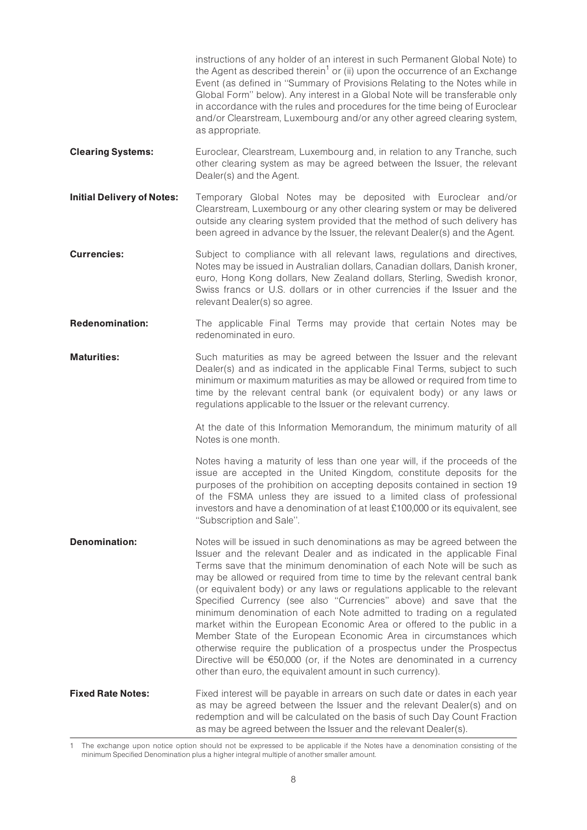instructions of any holder of an interest in such Permanent Global Note) to the Agent as described therein<sup>1</sup> or (ii) upon the occurrence of an Exchange Event (as defined in ''Summary of Provisions Relating to the Notes while in Global Form'' below). Any interest in a Global Note will be transferable only in accordance with the rules and procedures for the time being of Euroclear and/or Clearstream, Luxembourg and/or any other agreed clearing system, as appropriate.

- **Clearing Systems:** Euroclear, Clearstream, Luxembourg and, in relation to any Tranche, such other clearing system as may be agreed between the Issuer, the relevant Dealer(s) and the Agent.
- **Initial Delivery of Notes:** Temporary Global Notes may be deposited with Euroclear and/or Clearstream, Luxembourg or any other clearing system or may be delivered outside any clearing system provided that the method of such delivery has been agreed in advance by the Issuer, the relevant Dealer(s) and the Agent.
- **Currencies:** Subject to compliance with all relevant laws, regulations and directives, Notes may be issued in Australian dollars, Canadian dollars, Danish kroner, euro, Hong Kong dollars, New Zealand dollars, Sterling, Swedish kronor, Swiss francs or U.S. dollars or in other currencies if the Issuer and the relevant Dealer(s) so agree.
- **Redenomination:** The applicable Final Terms may provide that certain Notes may be redenominated in euro.
- **Maturities:** Such maturities as may be agreed between the Issuer and the relevant Dealer(s) and as indicated in the applicable Final Terms, subject to such minimum or maximum maturities as may be allowed or required from time to time by the relevant central bank (or equivalent body) or any laws or regulations applicable to the Issuer or the relevant currency.

At the date of this Information Memorandum, the minimum maturity of all Notes is one month.

Notes having a maturity of less than one year will, if the proceeds of the issue are accepted in the United Kingdom, constitute deposits for the purposes of the prohibition on accepting deposits contained in section 19 of the FSMA unless they are issued to a limited class of professional investors and have a denomination of at least £100,000 or its equivalent, see ''Subscription and Sale''.

**Denomination:** Notes will be issued in such denominations as may be agreed between the Issuer and the relevant Dealer and as indicated in the applicable Final Terms save that the minimum denomination of each Note will be such as may be allowed or required from time to time by the relevant central bank (or equivalent body) or any laws or regulations applicable to the relevant Specified Currency (see also ''Currencies'' above) and save that the minimum denomination of each Note admitted to trading on a regulated market within the European Economic Area or offered to the public in a Member State of the European Economic Area in circumstances which otherwise require the publication of a prospectus under the Prospectus Directive will be  $\epsilon$ 50,000 (or, if the Notes are denominated in a currency other than euro, the equivalent amount in such currency).

**Fixed Rate Notes:** Fixed interest will be payable in arrears on such date or dates in each year as may be agreed between the Issuer and the relevant Dealer(s) and on redemption and will be calculated on the basis of such Day Count Fraction as may be agreed between the Issuer and the relevant Dealer(s).

<sup>1</sup> The exchange upon notice option should not be expressed to be applicable if the Notes have a denomination consisting of the minimum Specified Denomination plus a higher integral multiple of another smaller amount.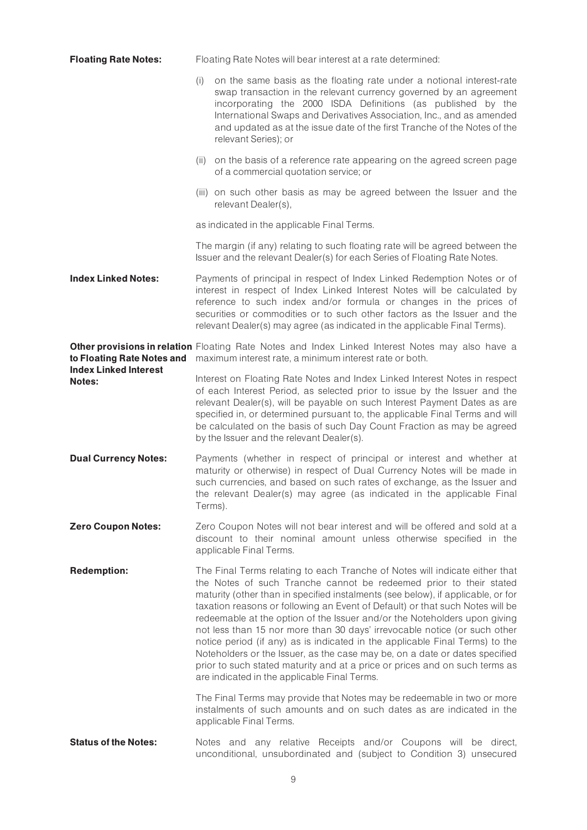| <b>Floating Rate Notes:</b>                   | Floating Rate Notes will bear interest at a rate determined:                                                                                                                                                                                                                                                     |                                                                                                                                                                                                                                                                                                                                                                                                                                                                                                                                                                                                                                                                                                                                                                                |  |  |  |
|-----------------------------------------------|------------------------------------------------------------------------------------------------------------------------------------------------------------------------------------------------------------------------------------------------------------------------------------------------------------------|--------------------------------------------------------------------------------------------------------------------------------------------------------------------------------------------------------------------------------------------------------------------------------------------------------------------------------------------------------------------------------------------------------------------------------------------------------------------------------------------------------------------------------------------------------------------------------------------------------------------------------------------------------------------------------------------------------------------------------------------------------------------------------|--|--|--|
|                                               | (i)                                                                                                                                                                                                                                                                                                              | on the same basis as the floating rate under a notional interest-rate<br>swap transaction in the relevant currency governed by an agreement<br>incorporating the 2000 ISDA Definitions (as published by the<br>International Swaps and Derivatives Association, Inc., and as amended<br>and updated as at the issue date of the first Tranche of the Notes of the<br>relevant Series); or                                                                                                                                                                                                                                                                                                                                                                                      |  |  |  |
|                                               | (ii)                                                                                                                                                                                                                                                                                                             | on the basis of a reference rate appearing on the agreed screen page<br>of a commercial quotation service; or                                                                                                                                                                                                                                                                                                                                                                                                                                                                                                                                                                                                                                                                  |  |  |  |
|                                               |                                                                                                                                                                                                                                                                                                                  | (iii) on such other basis as may be agreed between the Issuer and the<br>relevant Dealer(s),                                                                                                                                                                                                                                                                                                                                                                                                                                                                                                                                                                                                                                                                                   |  |  |  |
|                                               |                                                                                                                                                                                                                                                                                                                  | as indicated in the applicable Final Terms.                                                                                                                                                                                                                                                                                                                                                                                                                                                                                                                                                                                                                                                                                                                                    |  |  |  |
|                                               |                                                                                                                                                                                                                                                                                                                  | The margin (if any) relating to such floating rate will be agreed between the<br>Issuer and the relevant Dealer(s) for each Series of Floating Rate Notes.                                                                                                                                                                                                                                                                                                                                                                                                                                                                                                                                                                                                                     |  |  |  |
| <b>Index Linked Notes:</b>                    |                                                                                                                                                                                                                                                                                                                  | Payments of principal in respect of Index Linked Redemption Notes or of<br>interest in respect of Index Linked Interest Notes will be calculated by<br>reference to such index and/or formula or changes in the prices of<br>securities or commodities or to such other factors as the Issuer and the<br>relevant Dealer(s) may agree (as indicated in the applicable Final Terms).                                                                                                                                                                                                                                                                                                                                                                                            |  |  |  |
| to Floating Rate Notes and                    | Other provisions in relation Floating Rate Notes and Index Linked Interest Notes may also have a<br>maximum interest rate, a minimum interest rate or both.                                                                                                                                                      |                                                                                                                                                                                                                                                                                                                                                                                                                                                                                                                                                                                                                                                                                                                                                                                |  |  |  |
| <b>Index Linked Interest</b><br><b>Notes:</b> |                                                                                                                                                                                                                                                                                                                  | Interest on Floating Rate Notes and Index Linked Interest Notes in respect<br>of each Interest Period, as selected prior to issue by the Issuer and the<br>relevant Dealer(s), will be payable on such Interest Payment Dates as are<br>specified in, or determined pursuant to, the applicable Final Terms and will<br>be calculated on the basis of such Day Count Fraction as may be agreed<br>by the Issuer and the relevant Dealer(s).                                                                                                                                                                                                                                                                                                                                    |  |  |  |
| <b>Dual Currency Notes:</b>                   | Payments (whether in respect of principal or interest and whether at<br>maturity or otherwise) in respect of Dual Currency Notes will be made in<br>such currencies, and based on such rates of exchange, as the Issuer and<br>the relevant Dealer(s) may agree (as indicated in the applicable Final<br>Terms). |                                                                                                                                                                                                                                                                                                                                                                                                                                                                                                                                                                                                                                                                                                                                                                                |  |  |  |
| <b>Zero Coupon Notes:</b>                     |                                                                                                                                                                                                                                                                                                                  | Zero Coupon Notes will not bear interest and will be offered and sold at a<br>discount to their nominal amount unless otherwise specified in the<br>applicable Final Terms.                                                                                                                                                                                                                                                                                                                                                                                                                                                                                                                                                                                                    |  |  |  |
| <b>Redemption:</b>                            |                                                                                                                                                                                                                                                                                                                  | The Final Terms relating to each Tranche of Notes will indicate either that<br>the Notes of such Tranche cannot be redeemed prior to their stated<br>maturity (other than in specified instalments (see below), if applicable, or for<br>taxation reasons or following an Event of Default) or that such Notes will be<br>redeemable at the option of the Issuer and/or the Noteholders upon giving<br>not less than 15 nor more than 30 days' irrevocable notice (or such other<br>notice period (if any) as is indicated in the applicable Final Terms) to the<br>Noteholders or the Issuer, as the case may be, on a date or dates specified<br>prior to such stated maturity and at a price or prices and on such terms as<br>are indicated in the applicable Final Terms. |  |  |  |
|                                               |                                                                                                                                                                                                                                                                                                                  | The Final Terms may provide that Notes may be redeemable in two or more<br>instalments of such amounts and on such dates as are indicated in the<br>applicable Final Terms.                                                                                                                                                                                                                                                                                                                                                                                                                                                                                                                                                                                                    |  |  |  |
| <b>Status of the Notes:</b>                   |                                                                                                                                                                                                                                                                                                                  | Notes and any relative Receipts and/or Coupons will be direct,<br>unconditional, unsubordinated and (subject to Condition 3) unsecured                                                                                                                                                                                                                                                                                                                                                                                                                                                                                                                                                                                                                                         |  |  |  |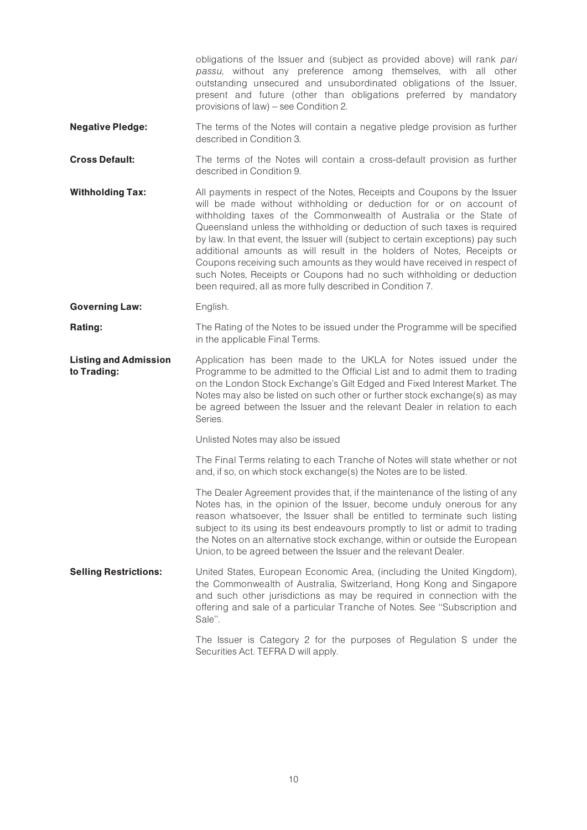obligations of the Issuer and (subject as provided above) will rank pari passu, without any preference among themselves, with all other outstanding unsecured and unsubordinated obligations of the Issuer, present and future (other than obligations preferred by mandatory provisions of law) – see Condition 2.

- **Negative Pledge:** The terms of the Notes will contain a negative pledge provision as further described in Condition 3.
- **Cross Default:** The terms of the Notes will contain a cross-default provision as further described in Condition 9.
- **Withholding Tax:** All payments in respect of the Notes, Receipts and Coupons by the Issuer will be made without withholding or deduction for or on account of withholding taxes of the Commonwealth of Australia or the State of Queensland unless the withholding or deduction of such taxes is required by law. In that event, the Issuer will (subject to certain exceptions) pay such additional amounts as will result in the holders of Notes, Receipts or Coupons receiving such amounts as they would have received in respect of such Notes, Receipts or Coupons had no such withholding or deduction been required, all as more fully described in Condition 7.
- Governing Law: English.

**Rating:** The Rating of the Notes to be issued under the Programme will be specified in the applicable Final Terms.

Listing and Admission to Trading: Application has been made to the UKLA for Notes issued under the Programme to be admitted to the Official List and to admit them to trading on the London Stock Exchange's Gilt Edged and Fixed Interest Market. The Notes may also be listed on such other or further stock exchange(s) as may be agreed between the Issuer and the relevant Dealer in relation to each Series.

Unlisted Notes may also be issued

The Final Terms relating to each Tranche of Notes will state whether or not and, if so, on which stock exchange(s) the Notes are to be listed.

The Dealer Agreement provides that, if the maintenance of the listing of any Notes has, in the opinion of the Issuer, become unduly onerous for any reason whatsoever, the Issuer shall be entitled to terminate such listing subject to its using its best endeavours promptly to list or admit to trading the Notes on an alternative stock exchange, within or outside the European Union, to be agreed between the Issuer and the relevant Dealer.

**Selling Restrictions:** United States, European Economic Area, (including the United Kingdom), the Commonwealth of Australia, Switzerland, Hong Kong and Singapore and such other jurisdictions as may be required in connection with the offering and sale of a particular Tranche of Notes. See ''Subscription and Sale''.

> The Issuer is Category 2 for the purposes of Regulation S under the Securities Act. TEFRA D will apply.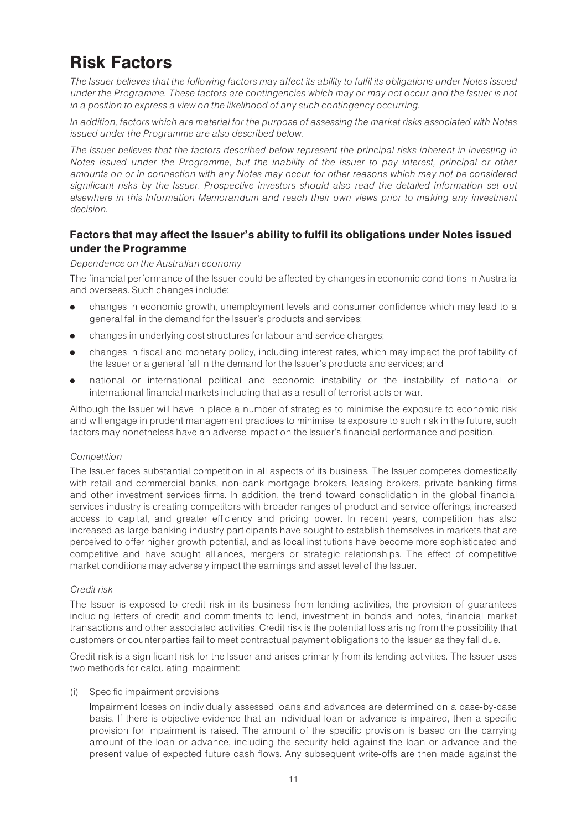# Risk Factors

The Issuer believes that the following factors may affect its ability to fulfil its obligations under Notes issued under the Programme. These factors are contingencies which may or may not occur and the Issuer is not in a position to express a view on the likelihood of any such contingency occurring.

In addition, factors which are material for the purpose of assessing the market risks associated with Notes issued under the Programme are also described below.

The Issuer believes that the factors described below represent the principal risks inherent in investing in Notes issued under the Programme, but the inability of the Issuer to pay interest, principal or other amounts on or in connection with any Notes may occur for other reasons which may not be considered significant risks by the Issuer. Prospective investors should also read the detailed information set out elsewhere in this Information Memorandum and reach their own views prior to making any investment decision.

# Factors that may affect the Issuer's ability to fulfil its obligations under Notes issued under the Programme

### Dependence on the Australian economy

The financial performance of the Issuer could be affected by changes in economic conditions in Australia and overseas. Such changes include:

- . changes in economic growth, unemployment levels and consumer confidence which may lead to a general fall in the demand for the Issuer's products and services;
- . changes in underlying cost structures for labour and service charges;
- . changes in fiscal and monetary policy, including interest rates, which may impact the profitability of the Issuer or a general fall in the demand for the Issuer's products and services; and
- . national or international political and economic instability or the instability of national or international financial markets including that as a result of terrorist acts or war.

Although the Issuer will have in place a number of strategies to minimise the exposure to economic risk and will engage in prudent management practices to minimise its exposure to such risk in the future, such factors may nonetheless have an adverse impact on the Issuer's financial performance and position.

# Competition

The Issuer faces substantial competition in all aspects of its business. The Issuer competes domestically with retail and commercial banks, non-bank mortgage brokers, leasing brokers, private banking firms and other investment services firms. In addition, the trend toward consolidation in the global financial services industry is creating competitors with broader ranges of product and service offerings, increased access to capital, and greater efficiency and pricing power. In recent years, competition has also increased as large banking industry participants have sought to establish themselves in markets that are perceived to offer higher growth potential, and as local institutions have become more sophisticated and competitive and have sought alliances, mergers or strategic relationships. The effect of competitive market conditions may adversely impact the earnings and asset level of the Issuer.

# Credit risk

The Issuer is exposed to credit risk in its business from lending activities, the provision of guarantees including letters of credit and commitments to lend, investment in bonds and notes, financial market transactions and other associated activities. Credit risk is the potential loss arising from the possibility that customers or counterparties fail to meet contractual payment obligations to the Issuer as they fall due.

Credit risk is a significant risk for the Issuer and arises primarily from its lending activities. The Issuer uses two methods for calculating impairment:

#### (i) Specific impairment provisions

Impairment losses on individually assessed loans and advances are determined on a case-by-case basis. If there is objective evidence that an individual loan or advance is impaired, then a specific provision for impairment is raised. The amount of the specific provision is based on the carrying amount of the loan or advance, including the security held against the loan or advance and the present value of expected future cash flows. Any subsequent write-offs are then made against the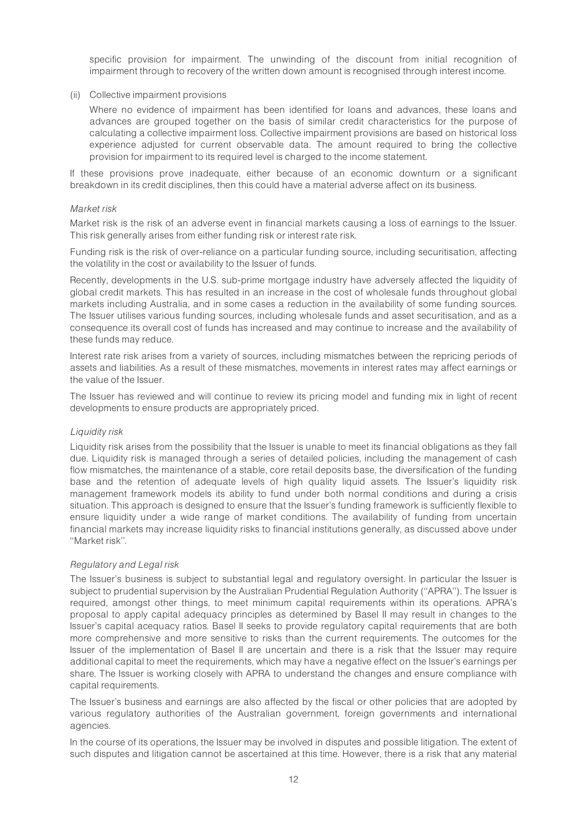specific provision for impairment. The unwinding of the discount from initial recognition of impairment through to recovery of the written down amount is recognised through interest income.

#### (ii) Collective impairment provisions

Where no evidence of impairment has been identified for loans and advances, these loans and advances are grouped together on the basis of similar credit characteristics for the purpose of calculating a collective impairment loss. Collective impairment provisions are based on historical loss experience adjusted for current observable data. The amount required to bring the collective provision for impairment to its required level is charged to the income statement.

If these provisions prove inadequate, either because of an economic downturn or a significant breakdown in its credit disciplines, then this could have a material adverse affect on its business.

#### Market risk

Market risk is the risk of an adverse event in financial markets causing a loss of earnings to the Issuer. This risk generally arises from either funding risk or interest rate risk.

Funding risk is the risk of over-reliance on a particular funding source, including securitisation, affecting the volatility in the cost or availability to the Issuer of funds.

Recently, developments in the U.S. sub-prime mortgage industry have adversely affected the liquidity of global credit markets. This has resulted in an increase in the cost of wholesale funds throughout global markets including Australia, and in some cases a reduction in the availability of some funding sources. The Issuer utilises various funding sources, including wholesale funds and asset securitisation, and as a consequence its overall cost of funds has increased and may continue to increase and the availability of these funds may reduce.

Interest rate risk arises from a variety of sources, including mismatches between the repricing periods of assets and liabilities. As a result of these mismatches, movements in interest rates may affect earnings or the value of the Issuer.

The Issuer has reviewed and will continue to review its pricing model and funding mix in light of recent developments to ensure products are appropriately priced.

#### Liquidity risk

Liquidity risk arises from the possibility that the Issuer is unable to meet its financial obligations as they fall due. Liquidity risk is managed through a series of detailed policies, including the management of cash flow mismatches, the maintenance of a stable, core retail deposits base, the diversification of the funding base and the retention of adequate levels of high quality liquid assets. The Issuer's liquidity risk management framework models its ability to fund under both normal conditions and during a crisis situation. This approach is designed to ensure that the Issuer's funding framework is sufficiently flexible to ensure liquidity under a wide range of market conditions. The availability of funding from uncertain financial markets may increase liquidity risks to financial institutions generally, as discussed above under ''Market risk''.

#### Regulatory and Legal risk

The Issuer's business is subject to substantial legal and regulatory oversight. In particular the Issuer is subject to prudential supervision by the Australian Prudential Regulation Authority (''APRA''). The Issuer is required, amongst other things, to meet minimum capital requirements within its operations. APRA's proposal to apply capital adequacy principles as determined by Basel II may result in changes to the Issuer's capital acequacy ratios. Basel II seeks to provide regulatory capital requirements that are both more comprehensive and more sensitive to risks than the current requirements. The outcomes for the Issuer of the implementation of Basel II are uncertain and there is a risk that the Issuer may require additional capital to meet the requirements, which may have a negative effect on the Issuer's earnings per share. The Issuer is working closely with APRA to understand the changes and ensure compliance with capital requirements.

The Issuer's business and earnings are also affected by the fiscal or other policies that are adopted by various regulatory authorities of the Australian government, foreign governments and international agencies.

In the course of its operations, the Issuer may be involved in disputes and possible litigation. The extent of such disputes and litigation cannot be ascertained at this time. However, there is a risk that any material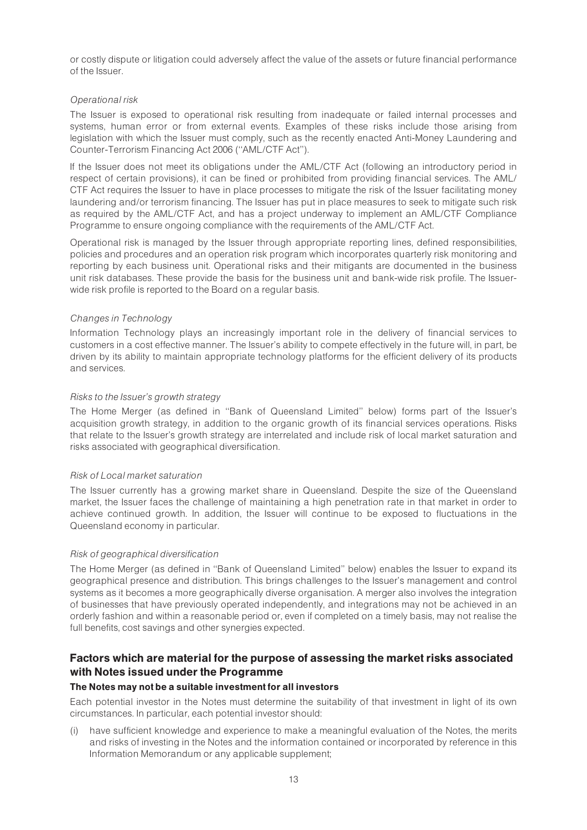or costly dispute or litigation could adversely affect the value of the assets or future financial performance of the Issuer.

# Operational risk

The Issuer is exposed to operational risk resulting from inadequate or failed internal processes and systems, human error or from external events. Examples of these risks include those arising from legislation with which the Issuer must comply, such as the recently enacted Anti-Money Laundering and Counter-Terrorism Financing Act 2006 (''AML/CTF Act'').

If the Issuer does not meet its obligations under the AML/CTF Act (following an introductory period in respect of certain provisions), it can be fined or prohibited from providing financial services. The AML/ CTF Act requires the Issuer to have in place processes to mitigate the risk of the Issuer facilitating money laundering and/or terrorism financing. The Issuer has put in place measures to seek to mitigate such risk as required by the AML/CTF Act, and has a project underway to implement an AML/CTF Compliance Programme to ensure ongoing compliance with the requirements of the AML/CTF Act.

Operational risk is managed by the Issuer through appropriate reporting lines, defined responsibilities, policies and procedures and an operation risk program which incorporates quarterly risk monitoring and reporting by each business unit. Operational risks and their mitigants are documented in the business unit risk databases. These provide the basis for the business unit and bank-wide risk profile. The Issuerwide risk profile is reported to the Board on a regular basis.

### Changes in Technology

Information Technology plays an increasingly important role in the delivery of financial services to customers in a cost effective manner. The Issuer's ability to compete effectively in the future will, in part, be driven by its ability to maintain appropriate technology platforms for the efficient delivery of its products and services.

### Risks to the Issuer's growth strategy

The Home Merger (as defined in ''Bank of Queensland Limited'' below) forms part of the Issuer's acquisition growth strategy, in addition to the organic growth of its financial services operations. Risks that relate to the Issuer's growth strategy are interrelated and include risk of local market saturation and risks associated with geographical diversification.

#### Risk of Local market saturation

The Issuer currently has a growing market share in Queensland. Despite the size of the Queensland market, the Issuer faces the challenge of maintaining a high penetration rate in that market in order to achieve continued growth. In addition, the Issuer will continue to be exposed to fluctuations in the Queensland economy in particular.

#### Risk of geographical diversification

The Home Merger (as defined in ''Bank of Queensland Limited'' below) enables the Issuer to expand its geographical presence and distribution. This brings challenges to the Issuer's management and control systems as it becomes a more geographically diverse organisation. A merger also involves the integration of businesses that have previously operated independently, and integrations may not be achieved in an orderly fashion and within a reasonable period or, even if completed on a timely basis, may not realise the full benefits, cost savings and other synergies expected.

# Factors which are material for the purpose of assessing the market risks associated with Notes issued under the Programme

# The Notes may not be a suitable investment for all investors

Each potential investor in the Notes must determine the suitability of that investment in light of its own circumstances. In particular, each potential investor should:

(i) have sufficient knowledge and experience to make a meaningful evaluation of the Notes, the merits and risks of investing in the Notes and the information contained or incorporated by reference in this Information Memorandum or any applicable supplement;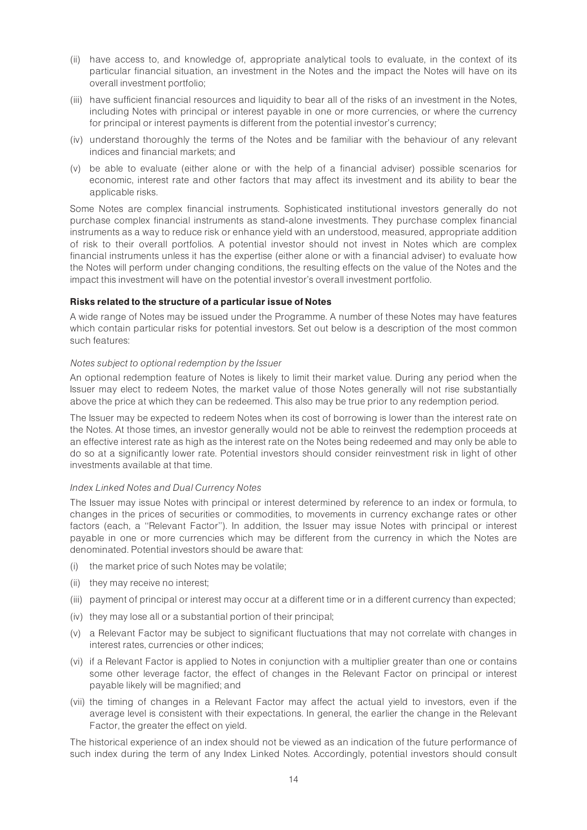- (ii) have access to, and knowledge of, appropriate analytical tools to evaluate, in the context of its particular financial situation, an investment in the Notes and the impact the Notes will have on its overall investment portfolio;
- (iii) have sufficient financial resources and liquidity to bear all of the risks of an investment in the Notes, including Notes with principal or interest payable in one or more currencies, or where the currency for principal or interest payments is different from the potential investor's currency;
- (iv) understand thoroughly the terms of the Notes and be familiar with the behaviour of any relevant indices and financial markets; and
- (v) be able to evaluate (either alone or with the help of a financial adviser) possible scenarios for economic, interest rate and other factors that may affect its investment and its ability to bear the applicable risks.

Some Notes are complex financial instruments. Sophisticated institutional investors generally do not purchase complex financial instruments as stand-alone investments. They purchase complex financial instruments as a way to reduce risk or enhance yield with an understood, measured, appropriate addition of risk to their overall portfolios. A potential investor should not invest in Notes which are complex financial instruments unless it has the expertise (either alone or with a financial adviser) to evaluate how the Notes will perform under changing conditions, the resulting effects on the value of the Notes and the impact this investment will have on the potential investor's overall investment portfolio.

### Risks related to the structure of a particular issue of Notes

A wide range of Notes may be issued under the Programme. A number of these Notes may have features which contain particular risks for potential investors. Set out below is a description of the most common such features:

#### Notes subject to optional redemption by the Issuer

An optional redemption feature of Notes is likely to limit their market value. During any period when the Issuer may elect to redeem Notes, the market value of those Notes generally will not rise substantially above the price at which they can be redeemed. This also may be true prior to any redemption period.

The Issuer may be expected to redeem Notes when its cost of borrowing is lower than the interest rate on the Notes. At those times, an investor generally would not be able to reinvest the redemption proceeds at an effective interest rate as high as the interest rate on the Notes being redeemed and may only be able to do so at a significantly lower rate. Potential investors should consider reinvestment risk in light of other investments available at that time.

#### Index Linked Notes and Dual Currency Notes

The Issuer may issue Notes with principal or interest determined by reference to an index or formula, to changes in the prices of securities or commodities, to movements in currency exchange rates or other factors (each, a ''Relevant Factor''). In addition, the Issuer may issue Notes with principal or interest payable in one or more currencies which may be different from the currency in which the Notes are denominated. Potential investors should be aware that:

- (i) the market price of such Notes may be volatile;
- (ii) they may receive no interest;
- (iii) payment of principal or interest may occur at a different time or in a different currency than expected;
- (iv) they may lose all or a substantial portion of their principal;
- (v) a Relevant Factor may be subject to significant fluctuations that may not correlate with changes in interest rates, currencies or other indices;
- (vi) if a Relevant Factor is applied to Notes in conjunction with a multiplier greater than one or contains some other leverage factor, the effect of changes in the Relevant Factor on principal or interest payable likely will be magnified; and
- (vii) the timing of changes in a Relevant Factor may affect the actual yield to investors, even if the average level is consistent with their expectations. In general, the earlier the change in the Relevant Factor, the greater the effect on yield.

The historical experience of an index should not be viewed as an indication of the future performance of such index during the term of any Index Linked Notes. Accordingly, potential investors should consult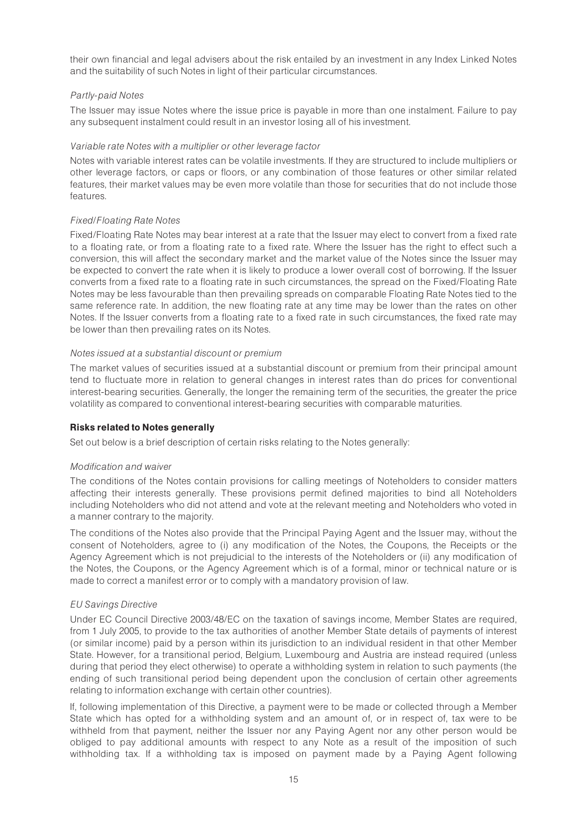their own financial and legal advisers about the risk entailed by an investment in any Index Linked Notes and the suitability of such Notes in light of their particular circumstances.

# Partly-paid Notes

The Issuer may issue Notes where the issue price is payable in more than one instalment. Failure to pay any subsequent instalment could result in an investor losing all of his investment.

### Variable rate Notes with a multiplier or other leverage factor

Notes with variable interest rates can be volatile investments. If they are structured to include multipliers or other leverage factors, or caps or floors, or any combination of those features or other similar related features, their market values may be even more volatile than those for securities that do not include those features.

### Fixed/Floating Rate Notes

Fixed/Floating Rate Notes may bear interest at a rate that the Issuer may elect to convert from a fixed rate to a floating rate, or from a floating rate to a fixed rate. Where the Issuer has the right to effect such a conversion, this will affect the secondary market and the market value of the Notes since the Issuer may be expected to convert the rate when it is likely to produce a lower overall cost of borrowing. If the Issuer converts from a fixed rate to a floating rate in such circumstances, the spread on the Fixed/Floating Rate Notes may be less favourable than then prevailing spreads on comparable Floating Rate Notes tied to the same reference rate. In addition, the new floating rate at any time may be lower than the rates on other Notes. If the Issuer converts from a floating rate to a fixed rate in such circumstances, the fixed rate may be lower than then prevailing rates on its Notes.

#### Notes issued at a substantial discount or premium

The market values of securities issued at a substantial discount or premium from their principal amount tend to fluctuate more in relation to general changes in interest rates than do prices for conventional interest-bearing securities. Generally, the longer the remaining term of the securities, the greater the price volatility as compared to conventional interest-bearing securities with comparable maturities.

# Risks related to Notes generally

Set out below is a brief description of certain risks relating to the Notes generally:

#### Modification and waiver

The conditions of the Notes contain provisions for calling meetings of Noteholders to consider matters affecting their interests generally. These provisions permit defined majorities to bind all Noteholders including Noteholders who did not attend and vote at the relevant meeting and Noteholders who voted in a manner contrary to the majority.

The conditions of the Notes also provide that the Principal Paying Agent and the Issuer may, without the consent of Noteholders, agree to (i) any modification of the Notes, the Coupons, the Receipts or the Agency Agreement which is not prejudicial to the interests of the Noteholders or (ii) any modification of the Notes, the Coupons, or the Agency Agreement which is of a formal, minor or technical nature or is made to correct a manifest error or to comply with a mandatory provision of law.

# EU Savings Directive

Under EC Council Directive 2003/48/EC on the taxation of savings income, Member States are required, from 1 July 2005, to provide to the tax authorities of another Member State details of payments of interest (or similar income) paid by a person within its jurisdiction to an individual resident in that other Member State. However, for a transitional period, Belgium, Luxembourg and Austria are instead required (unless during that period they elect otherwise) to operate a withholding system in relation to such payments (the ending of such transitional period being dependent upon the conclusion of certain other agreements relating to information exchange with certain other countries).

If, following implementation of this Directive, a payment were to be made or collected through a Member State which has opted for a withholding system and an amount of, or in respect of, tax were to be withheld from that payment, neither the Issuer nor any Paying Agent nor any other person would be obliged to pay additional amounts with respect to any Note as a result of the imposition of such withholding tax. If a withholding tax is imposed on payment made by a Paying Agent following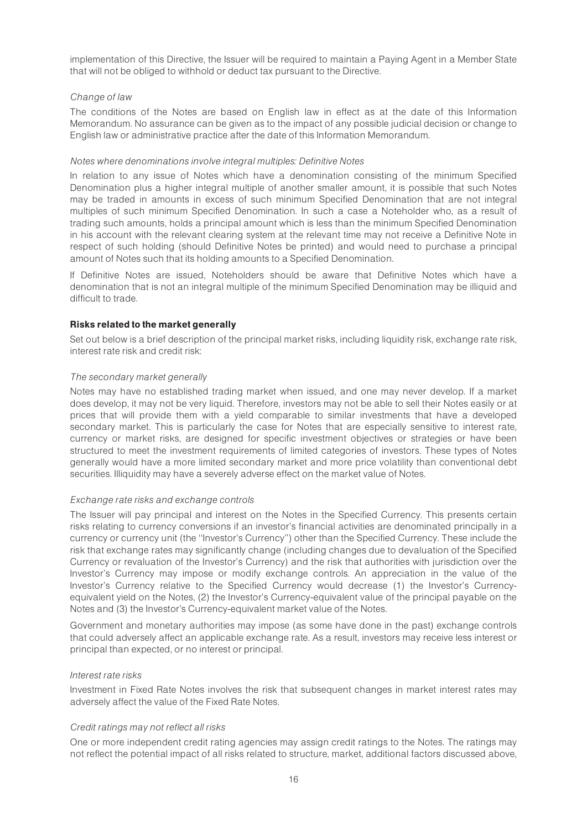implementation of this Directive, the Issuer will be required to maintain a Paying Agent in a Member State that will not be obliged to withhold or deduct tax pursuant to the Directive.

# Change of law

The conditions of the Notes are based on English law in effect as at the date of this Information Memorandum. No assurance can be given as to the impact of any possible judicial decision or change to English law or administrative practice after the date of this Information Memorandum.

#### Notes where denominations involve integral multiples: Definitive Notes

In relation to any issue of Notes which have a denomination consisting of the minimum Specified Denomination plus a higher integral multiple of another smaller amount, it is possible that such Notes may be traded in amounts in excess of such minimum Specified Denomination that are not integral multiples of such minimum Specified Denomination. In such a case a Noteholder who, as a result of trading such amounts, holds a principal amount which is less than the minimum Specified Denomination in his account with the relevant clearing system at the relevant time may not receive a Definitive Note in respect of such holding (should Definitive Notes be printed) and would need to purchase a principal amount of Notes such that its holding amounts to a Specified Denomination.

If Definitive Notes are issued, Noteholders should be aware that Definitive Notes which have a denomination that is not an integral multiple of the minimum Specified Denomination may be illiquid and difficult to trade.

# Risks related to the market generally

Set out below is a brief description of the principal market risks, including liquidity risk, exchange rate risk, interest rate risk and credit risk:

### The secondary market generally

Notes may have no established trading market when issued, and one may never develop. If a market does develop, it may not be very liquid. Therefore, investors may not be able to sell their Notes easily or at prices that will provide them with a yield comparable to similar investments that have a developed secondary market. This is particularly the case for Notes that are especially sensitive to interest rate, currency or market risks, are designed for specific investment objectives or strategies or have been structured to meet the investment requirements of limited categories of investors. These types of Notes generally would have a more limited secondary market and more price volatility than conventional debt securities. Illiquidity may have a severely adverse effect on the market value of Notes.

#### Exchange rate risks and exchange controls

The Issuer will pay principal and interest on the Notes in the Specified Currency. This presents certain risks relating to currency conversions if an investor's financial activities are denominated principally in a currency or currency unit (the ''Investor's Currency'') other than the Specified Currency. These include the risk that exchange rates may significantly change (including changes due to devaluation of the Specified Currency or revaluation of the Investor's Currency) and the risk that authorities with jurisdiction over the Investor's Currency may impose or modify exchange controls. An appreciation in the value of the Investor's Currency relative to the Specified Currency would decrease (1) the Investor's Currencyequivalent yield on the Notes, (2) the Investor's Currency-equivalent value of the principal payable on the Notes and (3) the Investor's Currency-equivalent market value of the Notes.

Government and monetary authorities may impose (as some have done in the past) exchange controls that could adversely affect an applicable exchange rate. As a result, investors may receive less interest or principal than expected, or no interest or principal.

#### Interest rate risks

Investment in Fixed Rate Notes involves the risk that subsequent changes in market interest rates may adversely affect the value of the Fixed Rate Notes.

#### Credit ratings may not reflect all risks

One or more independent credit rating agencies may assign credit ratings to the Notes. The ratings may not reflect the potential impact of all risks related to structure, market, additional factors discussed above,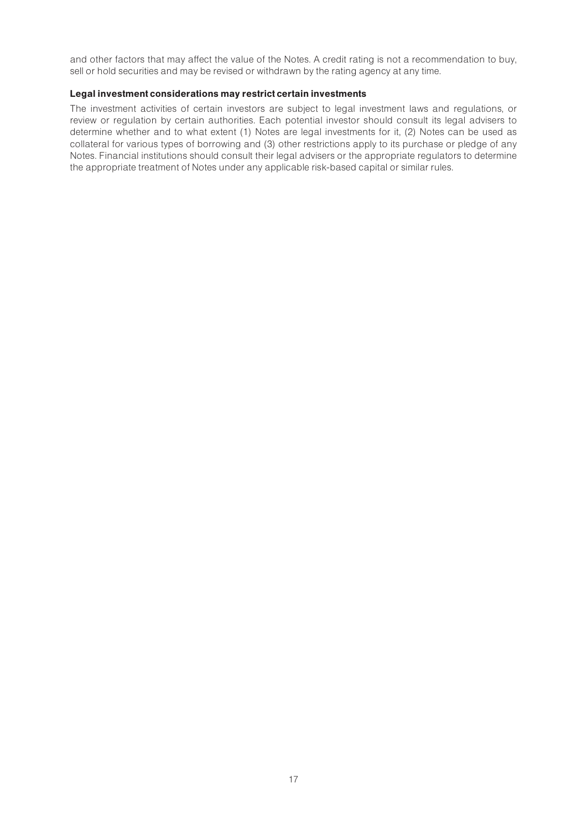and other factors that may affect the value of the Notes. A credit rating is not a recommendation to buy, sell or hold securities and may be revised or withdrawn by the rating agency at any time.

#### Legal investment considerations may restrict certain investments

The investment activities of certain investors are subject to legal investment laws and regulations, or review or regulation by certain authorities. Each potential investor should consult its legal advisers to determine whether and to what extent (1) Notes are legal investments for it, (2) Notes can be used as collateral for various types of borrowing and (3) other restrictions apply to its purchase or pledge of any Notes. Financial institutions should consult their legal advisers or the appropriate regulators to determine the appropriate treatment of Notes under any applicable risk-based capital or similar rules.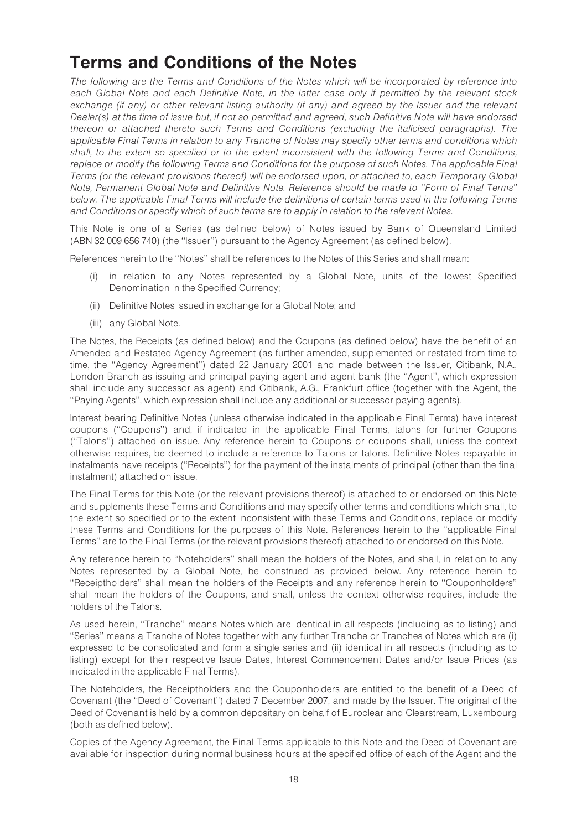# Terms and Conditions of the Notes

The following are the Terms and Conditions of the Notes which will be incorporated by reference into each Global Note and each Definitive Note, in the latter case only if permitted by the relevant stock exchange (if any) or other relevant listing authority (if any) and agreed by the Issuer and the relevant Dealer(s) at the time of issue but, if not so permitted and agreed, such Definitive Note will have endorsed thereon or attached thereto such Terms and Conditions (excluding the italicised paragraphs). The applicable Final Terms in relation to any Tranche of Notes may specify other terms and conditions which shall, to the extent so specified or to the extent inconsistent with the following Terms and Conditions, replace or modify the following Terms and Conditions for the purpose of such Notes. The applicable Final Terms (or the relevant provisions thereof) will be endorsed upon, or attached to, each Temporary Global Note, Permanent Global Note and Definitive Note. Reference should be made to ''Form of Final Terms'' below. The applicable Final Terms will include the definitions of certain terms used in the following Terms and Conditions or specify which of such terms are to apply in relation to the relevant Notes.

This Note is one of a Series (as defined below) of Notes issued by Bank of Queensland Limited (ABN 32 009 656 740) (the ''Issuer'') pursuant to the Agency Agreement (as defined below).

References herein to the ''Notes'' shall be references to the Notes of this Series and shall mean:

- (i) in relation to any Notes represented by a Global Note, units of the lowest Specified Denomination in the Specified Currency;
- (ii) Definitive Notes issued in exchange for a Global Note; and
- (iii) any Global Note.

The Notes, the Receipts (as defined below) and the Coupons (as defined below) have the benefit of an Amended and Restated Agency Agreement (as further amended, supplemented or restated from time to time, the ''Agency Agreement'') dated 22 January 2001 and made between the Issuer, Citibank, N.A., London Branch as issuing and principal paying agent and agent bank (the ''Agent'', which expression shall include any successor as agent) and Citibank, A.G., Frankfurt office (together with the Agent, the ''Paying Agents'', which expression shall include any additional or successor paying agents).

Interest bearing Definitive Notes (unless otherwise indicated in the applicable Final Terms) have interest coupons (''Coupons'') and, if indicated in the applicable Final Terms, talons for further Coupons (''Talons'') attached on issue. Any reference herein to Coupons or coupons shall, unless the context otherwise requires, be deemed to include a reference to Talons or talons. Definitive Notes repayable in instalments have receipts (''Receipts'') for the payment of the instalments of principal (other than the final instalment) attached on issue.

The Final Terms for this Note (or the relevant provisions thereof) is attached to or endorsed on this Note and supplements these Terms and Conditions and may specify other terms and conditions which shall, to the extent so specified or to the extent inconsistent with these Terms and Conditions, replace or modify these Terms and Conditions for the purposes of this Note. References herein to the ''applicable Final Terms'' are to the Final Terms (or the relevant provisions thereof) attached to or endorsed on this Note.

Any reference herein to ''Noteholders'' shall mean the holders of the Notes, and shall, in relation to any Notes represented by a Global Note, be construed as provided below. Any reference herein to ''Receiptholders'' shall mean the holders of the Receipts and any reference herein to ''Couponholders'' shall mean the holders of the Coupons, and shall, unless the context otherwise requires, include the holders of the Talons.

As used herein, "Tranche" means Notes which are identical in all respects (including as to listing) and ''Series'' means a Tranche of Notes together with any further Tranche or Tranches of Notes which are (i) expressed to be consolidated and form a single series and (ii) identical in all respects (including as to listing) except for their respective Issue Dates, Interest Commencement Dates and/or Issue Prices (as indicated in the applicable Final Terms).

The Noteholders, the Receiptholders and the Couponholders are entitled to the benefit of a Deed of Covenant (the ''Deed of Covenant'') dated 7 December 2007, and made by the Issuer. The original of the Deed of Covenant is held by a common depositary on behalf of Euroclear and Clearstream, Luxembourg (both as defined below).

Copies of the Agency Agreement, the Final Terms applicable to this Note and the Deed of Covenant are available for inspection during normal business hours at the specified office of each of the Agent and the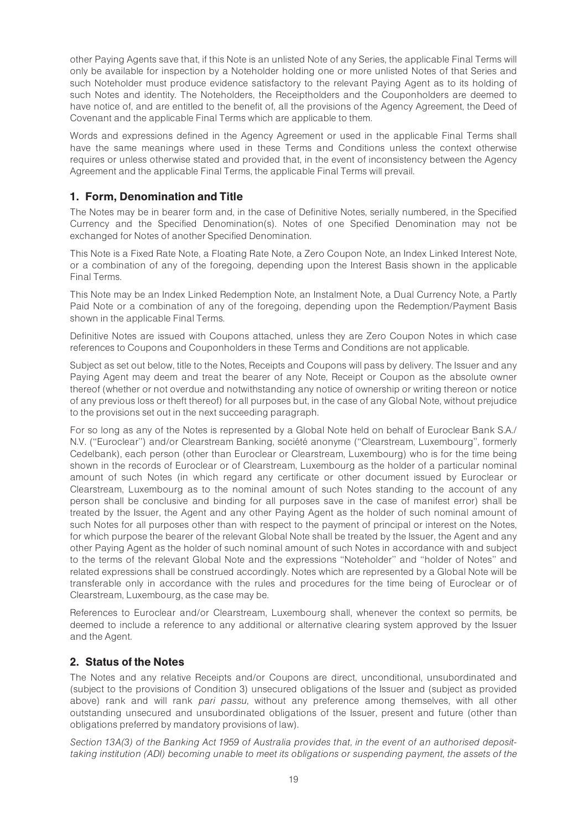other Paying Agents save that, if this Note is an unlisted Note of any Series, the applicable Final Terms will only be available for inspection by a Noteholder holding one or more unlisted Notes of that Series and such Noteholder must produce evidence satisfactory to the relevant Paying Agent as to its holding of such Notes and identity. The Noteholders, the Receiptholders and the Couponholders are deemed to have notice of, and are entitled to the benefit of, all the provisions of the Agency Agreement, the Deed of Covenant and the applicable Final Terms which are applicable to them.

Words and expressions defined in the Agency Agreement or used in the applicable Final Terms shall have the same meanings where used in these Terms and Conditions unless the context otherwise requires or unless otherwise stated and provided that, in the event of inconsistency between the Agency Agreement and the applicable Final Terms, the applicable Final Terms will prevail.

# 1. Form, Denomination and Title

The Notes may be in bearer form and, in the case of Definitive Notes, serially numbered, in the Specified Currency and the Specified Denomination(s). Notes of one Specified Denomination may not be exchanged for Notes of another Specified Denomination.

This Note is a Fixed Rate Note, a Floating Rate Note, a Zero Coupon Note, an Index Linked Interest Note, or a combination of any of the foregoing, depending upon the Interest Basis shown in the applicable Final Terms.

This Note may be an Index Linked Redemption Note, an Instalment Note, a Dual Currency Note, a Partly Paid Note or a combination of any of the foregoing, depending upon the Redemption/Payment Basis shown in the applicable Final Terms.

Definitive Notes are issued with Coupons attached, unless they are Zero Coupon Notes in which case references to Coupons and Couponholders in these Terms and Conditions are not applicable.

Subject as set out below, title to the Notes, Receipts and Coupons will pass by delivery. The Issuer and any Paying Agent may deem and treat the bearer of any Note, Receipt or Coupon as the absolute owner thereof (whether or not overdue and notwithstanding any notice of ownership or writing thereon or notice of any previous loss or theft thereof) for all purposes but, in the case of any Global Note, without prejudice to the provisions set out in the next succeeding paragraph.

For so long as any of the Notes is represented by a Global Note held on behalf of Euroclear Bank S.A./ N.V. ("Euroclear") and/or Clearstream Banking, société anonyme ("Clearstream, Luxembourg", formerly Cedelbank), each person (other than Euroclear or Clearstream, Luxembourg) who is for the time being shown in the records of Euroclear or of Clearstream, Luxembourg as the holder of a particular nominal amount of such Notes (in which regard any certificate or other document issued by Euroclear or Clearstream, Luxembourg as to the nominal amount of such Notes standing to the account of any person shall be conclusive and binding for all purposes save in the case of manifest error) shall be treated by the Issuer, the Agent and any other Paying Agent as the holder of such nominal amount of such Notes for all purposes other than with respect to the payment of principal or interest on the Notes, for which purpose the bearer of the relevant Global Note shall be treated by the Issuer, the Agent and any other Paying Agent as the holder of such nominal amount of such Notes in accordance with and subject to the terms of the relevant Global Note and the expressions ''Noteholder'' and ''holder of Notes'' and related expressions shall be construed accordingly. Notes which are represented by a Global Note will be transferable only in accordance with the rules and procedures for the time being of Euroclear or of Clearstream, Luxembourg, as the case may be.

References to Euroclear and/or Clearstream, Luxembourg shall, whenever the context so permits, be deemed to include a reference to any additional or alternative clearing system approved by the Issuer and the Agent.

# 2. Status of the Notes

The Notes and any relative Receipts and/or Coupons are direct, unconditional, unsubordinated and (subject to the provisions of Condition 3) unsecured obligations of the Issuer and (subject as provided above) rank and will rank pari passu, without any preference among themselves, with all other outstanding unsecured and unsubordinated obligations of the Issuer, present and future (other than obligations preferred by mandatory provisions of law).

Section 13A(3) of the Banking Act 1959 of Australia provides that, in the event of an authorised deposittaking institution (ADI) becoming unable to meet its obligations or suspending payment, the assets of the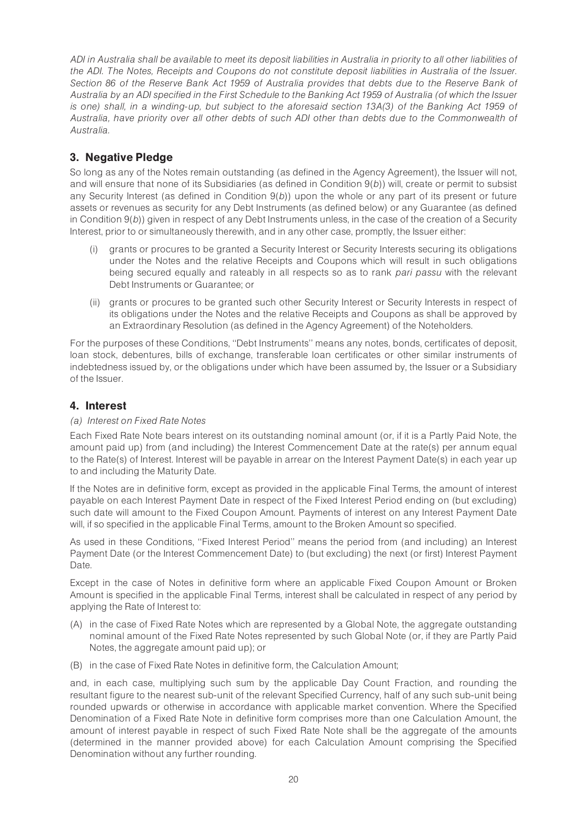ADI in Australia shall be available to meet its deposit liabilities in Australia in priority to all other liabilities of the ADI. The Notes, Receipts and Coupons do not constitute deposit liabilities in Australia of the Issuer. Section 86 of the Reserve Bank Act 1959 of Australia provides that debts due to the Reserve Bank of Australia by an ADI specified in the First Schedule to the Banking Act 1959 of Australia (of which the Issuer is one) shall, in a winding-up, but subject to the aforesaid section 13A(3) of the Banking Act 1959 of Australia, have priority over all other debts of such ADI other than debts due to the Commonwealth of Australia.

# 3. Negative Pledge

So long as any of the Notes remain outstanding (as defined in the Agency Agreement), the Issuer will not, and will ensure that none of its Subsidiaries (as defined in Condition 9(b)) will, create or permit to subsist any Security Interest (as defined in Condition  $9(b)$ ) upon the whole or any part of its present or future assets or revenues as security for any Debt Instruments (as defined below) or any Guarantee (as defined in Condition  $9(b)$ ) given in respect of any Debt Instruments unless, in the case of the creation of a Security Interest, prior to or simultaneously therewith, and in any other case, promptly, the Issuer either:

- (i) grants or procures to be granted a Security Interest or Security Interests securing its obligations under the Notes and the relative Receipts and Coupons which will result in such obligations being secured equally and rateably in all respects so as to rank pari passu with the relevant Debt Instruments or Guarantee; or
- (ii) grants or procures to be granted such other Security Interest or Security Interests in respect of its obligations under the Notes and the relative Receipts and Coupons as shall be approved by an Extraordinary Resolution (as defined in the Agency Agreement) of the Noteholders.

For the purposes of these Conditions, ''Debt Instruments'' means any notes, bonds, certificates of deposit, loan stock, debentures, bills of exchange, transferable loan certificates or other similar instruments of indebtedness issued by, or the obligations under which have been assumed by, the Issuer or a Subsidiary of the Issuer.

# 4. Interest

# (a) Interest on Fixed Rate Notes

Each Fixed Rate Note bears interest on its outstanding nominal amount (or, if it is a Partly Paid Note, the amount paid up) from (and including) the Interest Commencement Date at the rate(s) per annum equal to the Rate(s) of Interest. Interest will be payable in arrear on the Interest Payment Date(s) in each year up to and including the Maturity Date.

If the Notes are in definitive form, except as provided in the applicable Final Terms, the amount of interest payable on each Interest Payment Date in respect of the Fixed Interest Period ending on (but excluding) such date will amount to the Fixed Coupon Amount. Payments of interest on any Interest Payment Date will, if so specified in the applicable Final Terms, amount to the Broken Amount so specified.

As used in these Conditions, ''Fixed Interest Period'' means the period from (and including) an Interest Payment Date (or the Interest Commencement Date) to (but excluding) the next (or first) Interest Payment Date.

Except in the case of Notes in definitive form where an applicable Fixed Coupon Amount or Broken Amount is specified in the applicable Final Terms, interest shall be calculated in respect of any period by applying the Rate of Interest to:

- (A) in the case of Fixed Rate Notes which are represented by a Global Note, the aggregate outstanding nominal amount of the Fixed Rate Notes represented by such Global Note (or, if they are Partly Paid Notes, the aggregate amount paid up); or
- (B) in the case of Fixed Rate Notes in definitive form, the Calculation Amount;

and, in each case, multiplying such sum by the applicable Day Count Fraction, and rounding the resultant figure to the nearest sub-unit of the relevant Specified Currency, half of any such sub-unit being rounded upwards or otherwise in accordance with applicable market convention. Where the Specified Denomination of a Fixed Rate Note in definitive form comprises more than one Calculation Amount, the amount of interest payable in respect of such Fixed Rate Note shall be the aggregate of the amounts (determined in the manner provided above) for each Calculation Amount comprising the Specified Denomination without any further rounding.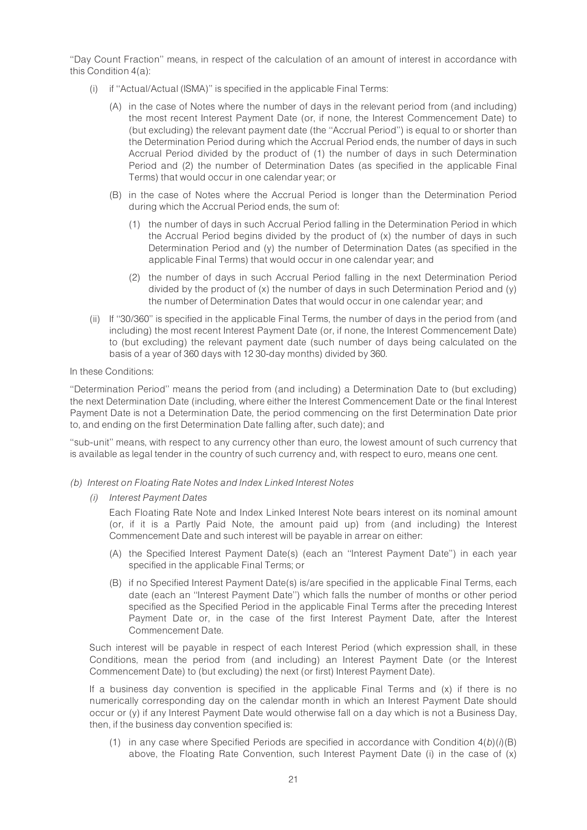''Day Count Fraction'' means, in respect of the calculation of an amount of interest in accordance with this Condition 4(a):

- (i) if ''Actual/Actual (ISMA)'' is specified in the applicable Final Terms:
	- (A) in the case of Notes where the number of days in the relevant period from (and including) the most recent Interest Payment Date (or, if none, the Interest Commencement Date) to (but excluding) the relevant payment date (the ''Accrual Period'') is equal to or shorter than the Determination Period during which the Accrual Period ends, the number of days in such Accrual Period divided by the product of (1) the number of days in such Determination Period and (2) the number of Determination Dates (as specified in the applicable Final Terms) that would occur in one calendar year; or
	- (B) in the case of Notes where the Accrual Period is longer than the Determination Period during which the Accrual Period ends, the sum of:
		- (1) the number of days in such Accrual Period falling in the Determination Period in which the Accrual Period begins divided by the product of (x) the number of days in such Determination Period and (y) the number of Determination Dates (as specified in the applicable Final Terms) that would occur in one calendar year; and
		- (2) the number of days in such Accrual Period falling in the next Determination Period divided by the product of  $(x)$  the number of days in such Determination Period and  $(y)$ the number of Determination Dates that would occur in one calendar year; and
- (ii) If ''30/360'' is specified in the applicable Final Terms, the number of days in the period from (and including) the most recent Interest Payment Date (or, if none, the Interest Commencement Date) to (but excluding) the relevant payment date (such number of days being calculated on the basis of a year of 360 days with 12 30-day months) divided by 360.

#### In these Conditions:

''Determination Period'' means the period from (and including) a Determination Date to (but excluding) the next Determination Date (including, where either the Interest Commencement Date or the final Interest Payment Date is not a Determination Date, the period commencing on the first Determination Date prior to, and ending on the first Determination Date falling after, such date); and

''sub-unit'' means, with respect to any currency other than euro, the lowest amount of such currency that is available as legal tender in the country of such currency and, with respect to euro, means one cent.

- (b) Interest on Floating Rate Notes and Index Linked Interest Notes
	- (i) Interest Payment Dates

Each Floating Rate Note and Index Linked Interest Note bears interest on its nominal amount (or, if it is a Partly Paid Note, the amount paid up) from (and including) the Interest Commencement Date and such interest will be payable in arrear on either:

- (A) the Specified Interest Payment Date(s) (each an ''Interest Payment Date'') in each year specified in the applicable Final Terms; or
- (B) if no Specified Interest Payment Date(s) is/are specified in the applicable Final Terms, each date (each an ''Interest Payment Date'') which falls the number of months or other period specified as the Specified Period in the applicable Final Terms after the preceding Interest Payment Date or, in the case of the first Interest Payment Date, after the Interest Commencement Date.

Such interest will be payable in respect of each Interest Period (which expression shall, in these Conditions, mean the period from (and including) an Interest Payment Date (or the Interest Commencement Date) to (but excluding) the next (or first) Interest Payment Date).

If a business day convention is specified in the applicable Final Terms and (x) if there is no numerically corresponding day on the calendar month in which an Interest Payment Date should occur or (y) if any Interest Payment Date would otherwise fall on a day which is not a Business Day, then, if the business day convention specified is:

(1) in any case where Specified Periods are specified in accordance with Condition  $4(b)(i)(B)$ above, the Floating Rate Convention, such Interest Payment Date (i) in the case of (x)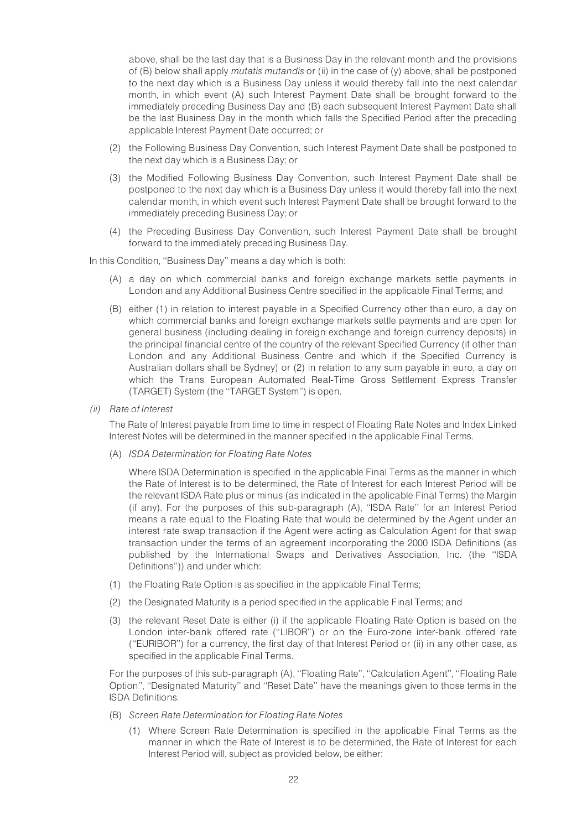above, shall be the last day that is a Business Day in the relevant month and the provisions of  $(B)$  below shall apply *mutatis mutandis* or (ii) in the case of  $(y)$  above, shall be postponed to the next day which is a Business Day unless it would thereby fall into the next calendar month, in which event (A) such Interest Payment Date shall be brought forward to the immediately preceding Business Day and (B) each subsequent Interest Payment Date shall be the last Business Day in the month which falls the Specified Period after the preceding applicable Interest Payment Date occurred; or

- (2) the Following Business Day Convention, such Interest Payment Date shall be postponed to the next day which is a Business Day; or
- (3) the Modified Following Business Day Convention, such Interest Payment Date shall be postponed to the next day which is a Business Day unless it would thereby fall into the next calendar month, in which event such Interest Payment Date shall be brought forward to the immediately preceding Business Day; or
- (4) the Preceding Business Day Convention, such Interest Payment Date shall be brought forward to the immediately preceding Business Day.

In this Condition, ''Business Day'' means a day which is both:

- (A) a day on which commercial banks and foreign exchange markets settle payments in London and any Additional Business Centre specified in the applicable Final Terms; and
- (B) either (1) in relation to interest payable in a Specified Currency other than euro, a day on which commercial banks and foreign exchange markets settle payments and are open for general business (including dealing in foreign exchange and foreign currency deposits) in the principal financial centre of the country of the relevant Specified Currency (if other than London and any Additional Business Centre and which if the Specified Currency is Australian dollars shall be Sydney) or (2) in relation to any sum payable in euro, a day on which the Trans European Automated Real-Time Gross Settlement Express Transfer (TARGET) System (the ''TARGET System'') is open.
- (ii) Rate of Interest

The Rate of Interest payable from time to time in respect of Floating Rate Notes and Index Linked Interest Notes will be determined in the manner specified in the applicable Final Terms.

(A) ISDA Determination for Floating Rate Notes

Where ISDA Determination is specified in the applicable Final Terms as the manner in which the Rate of Interest is to be determined, the Rate of Interest for each Interest Period will be the relevant ISDA Rate plus or minus (as indicated in the applicable Final Terms) the Margin (if any). For the purposes of this sub-paragraph (A), ''ISDA Rate'' for an Interest Period means a rate equal to the Floating Rate that would be determined by the Agent under an interest rate swap transaction if the Agent were acting as Calculation Agent for that swap transaction under the terms of an agreement incorporating the 2000 ISDA Definitions (as published by the International Swaps and Derivatives Association, Inc. (the ''ISDA Definitions'')) and under which:

- (1) the Floating Rate Option is as specified in the applicable Final Terms;
- (2) the Designated Maturity is a period specified in the applicable Final Terms; and
- (3) the relevant Reset Date is either (i) if the applicable Floating Rate Option is based on the London inter-bank offered rate (''LIBOR'') or on the Euro-zone inter-bank offered rate (''EURIBOR'') for a currency, the first day of that Interest Period or (ii) in any other case, as specified in the applicable Final Terms.

For the purposes of this sub-paragraph (A), ''Floating Rate'', ''Calculation Agent'', ''Floating Rate Option'', ''Designated Maturity'' and ''Reset Date'' have the meanings given to those terms in the ISDA Definitions.

- (B) Screen Rate Determination for Floating Rate Notes
	- (1) Where Screen Rate Determination is specified in the applicable Final Terms as the manner in which the Rate of Interest is to be determined, the Rate of Interest for each Interest Period will, subject as provided below, be either: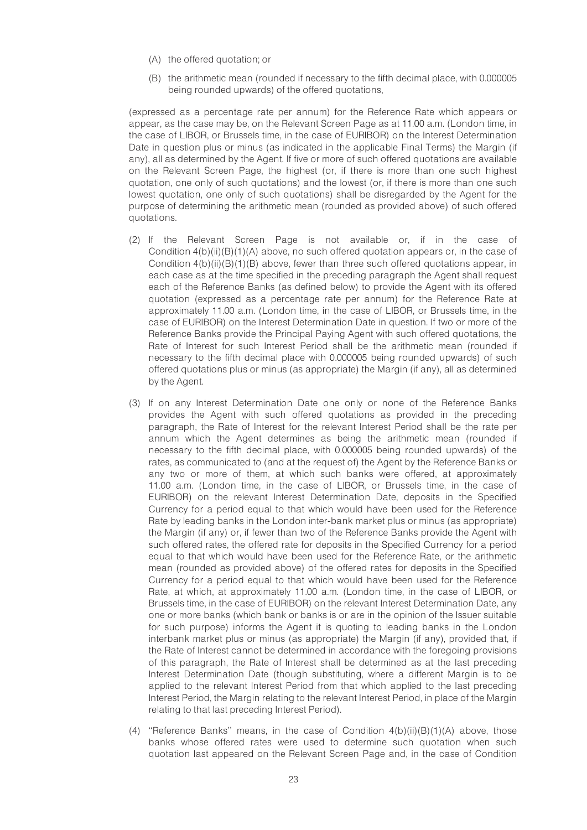- (A) the offered quotation; or
- (B) the arithmetic mean (rounded if necessary to the fifth decimal place, with 0.000005 being rounded upwards) of the offered quotations,

(expressed as a percentage rate per annum) for the Reference Rate which appears or appear, as the case may be, on the Relevant Screen Page as at 11.00 a.m. (London time, in the case of LIBOR, or Brussels time, in the case of EURIBOR) on the Interest Determination Date in question plus or minus (as indicated in the applicable Final Terms) the Margin (if any), all as determined by the Agent. If five or more of such offered quotations are available on the Relevant Screen Page, the highest (or, if there is more than one such highest quotation, one only of such quotations) and the lowest (or, if there is more than one such lowest quotation, one only of such quotations) shall be disregarded by the Agent for the purpose of determining the arithmetic mean (rounded as provided above) of such offered quotations.

- (2) If the Relevant Screen Page is not available or, if in the case of Condition  $4(b)(ii)(B)(1)(A)$  above, no such offered quotation appears or, in the case of Condition 4(b)(ii)(B)(1)(B) above, fewer than three such offered quotations appear, in each case as at the time specified in the preceding paragraph the Agent shall request each of the Reference Banks (as defined below) to provide the Agent with its offered quotation (expressed as a percentage rate per annum) for the Reference Rate at approximately 11.00 a.m. (London time, in the case of LIBOR, or Brussels time, in the case of EURIBOR) on the Interest Determination Date in question. If two or more of the Reference Banks provide the Principal Paying Agent with such offered quotations, the Rate of Interest for such Interest Period shall be the arithmetic mean (rounded if necessary to the fifth decimal place with 0.000005 being rounded upwards) of such offered quotations plus or minus (as appropriate) the Margin (if any), all as determined by the Agent.
- (3) If on any Interest Determination Date one only or none of the Reference Banks provides the Agent with such offered quotations as provided in the preceding paragraph, the Rate of Interest for the relevant Interest Period shall be the rate per annum which the Agent determines as being the arithmetic mean (rounded if necessary to the fifth decimal place, with 0.000005 being rounded upwards) of the rates, as communicated to (and at the request of) the Agent by the Reference Banks or any two or more of them, at which such banks were offered, at approximately 11.00 a.m. (London time, in the case of LIBOR, or Brussels time, in the case of EURIBOR) on the relevant Interest Determination Date, deposits in the Specified Currency for a period equal to that which would have been used for the Reference Rate by leading banks in the London inter-bank market plus or minus (as appropriate) the Margin (if any) or, if fewer than two of the Reference Banks provide the Agent with such offered rates, the offered rate for deposits in the Specified Currency for a period equal to that which would have been used for the Reference Rate, or the arithmetic mean (rounded as provided above) of the offered rates for deposits in the Specified Currency for a period equal to that which would have been used for the Reference Rate, at which, at approximately 11.00 a.m. (London time, in the case of LIBOR, or Brussels time, in the case of EURIBOR) on the relevant Interest Determination Date, any one or more banks (which bank or banks is or are in the opinion of the Issuer suitable for such purpose) informs the Agent it is quoting to leading banks in the London interbank market plus or minus (as appropriate) the Margin (if any), provided that, if the Rate of Interest cannot be determined in accordance with the foregoing provisions of this paragraph, the Rate of Interest shall be determined as at the last preceding Interest Determination Date (though substituting, where a different Margin is to be applied to the relevant Interest Period from that which applied to the last preceding Interest Period, the Margin relating to the relevant Interest Period, in place of the Margin relating to that last preceding Interest Period).
- (4) "Reference Banks" means, in the case of Condition  $4(b)(ii)(B)(1)(A)$  above, those banks whose offered rates were used to determine such quotation when such quotation last appeared on the Relevant Screen Page and, in the case of Condition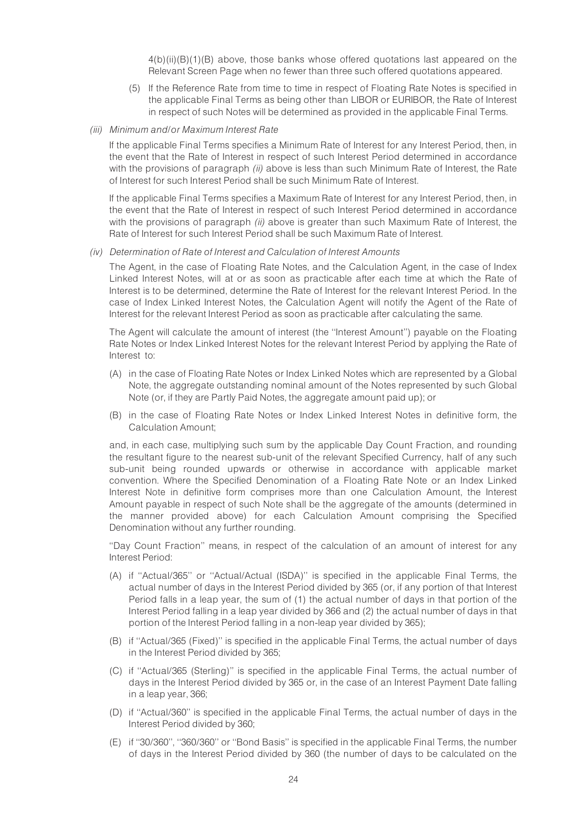4(b)(ii)(B)(1)(B) above, those banks whose offered quotations last appeared on the Relevant Screen Page when no fewer than three such offered quotations appeared.

- (5) If the Reference Rate from time to time in respect of Floating Rate Notes is specified in the applicable Final Terms as being other than LIBOR or EURIBOR, the Rate of Interest in respect of such Notes will be determined as provided in the applicable Final Terms.
- (iii) Minimum and/or Maximum Interest Rate

If the applicable Final Terms specifies a Minimum Rate of Interest for any Interest Period, then, in the event that the Rate of Interest in respect of such Interest Period determined in accordance with the provisions of paragraph *(ii)* above is less than such Minimum Rate of Interest, the Rate of Interest for such Interest Period shall be such Minimum Rate of Interest.

If the applicable Final Terms specifies a Maximum Rate of Interest for any Interest Period, then, in the event that the Rate of Interest in respect of such Interest Period determined in accordance with the provisions of paragraph *(ii)* above is greater than such Maximum Rate of Interest, the Rate of Interest for such Interest Period shall be such Maximum Rate of Interest.

#### (iv) Determination of Rate of Interest and Calculation of Interest Amounts

The Agent, in the case of Floating Rate Notes, and the Calculation Agent, in the case of Index Linked Interest Notes, will at or as soon as practicable after each time at which the Rate of Interest is to be determined, determine the Rate of Interest for the relevant Interest Period. In the case of Index Linked Interest Notes, the Calculation Agent will notify the Agent of the Rate of Interest for the relevant Interest Period as soon as practicable after calculating the same.

The Agent will calculate the amount of interest (the ''Interest Amount'') payable on the Floating Rate Notes or Index Linked Interest Notes for the relevant Interest Period by applying the Rate of Interest to:

- (A) in the case of Floating Rate Notes or Index Linked Notes which are represented by a Global Note, the aggregate outstanding nominal amount of the Notes represented by such Global Note (or, if they are Partly Paid Notes, the aggregate amount paid up); or
- (B) in the case of Floating Rate Notes or Index Linked Interest Notes in definitive form, the Calculation Amount;

and, in each case, multiplying such sum by the applicable Day Count Fraction, and rounding the resultant figure to the nearest sub-unit of the relevant Specified Currency, half of any such sub-unit being rounded upwards or otherwise in accordance with applicable market convention. Where the Specified Denomination of a Floating Rate Note or an Index Linked Interest Note in definitive form comprises more than one Calculation Amount, the Interest Amount payable in respect of such Note shall be the aggregate of the amounts (determined in the manner provided above) for each Calculation Amount comprising the Specified Denomination without any further rounding.

''Day Count Fraction'' means, in respect of the calculation of an amount of interest for any Interest Period:

- (A) if ''Actual/365'' or ''Actual/Actual (ISDA)'' is specified in the applicable Final Terms, the actual number of days in the Interest Period divided by 365 (or, if any portion of that Interest Period falls in a leap year, the sum of (1) the actual number of days in that portion of the Interest Period falling in a leap year divided by 366 and (2) the actual number of days in that portion of the Interest Period falling in a non-leap year divided by 365);
- (B) if ''Actual/365 (Fixed)'' is specified in the applicable Final Terms, the actual number of days in the Interest Period divided by 365;
- (C) if ''Actual/365 (Sterling)'' is specified in the applicable Final Terms, the actual number of days in the Interest Period divided by 365 or, in the case of an Interest Payment Date falling in a leap year, 366;
- (D) if ''Actual/360'' is specified in the applicable Final Terms, the actual number of days in the Interest Period divided by 360;
- (E) if ''30/360'', ''360/360'' or ''Bond Basis'' is specified in the applicable Final Terms, the number of days in the Interest Period divided by 360 (the number of days to be calculated on the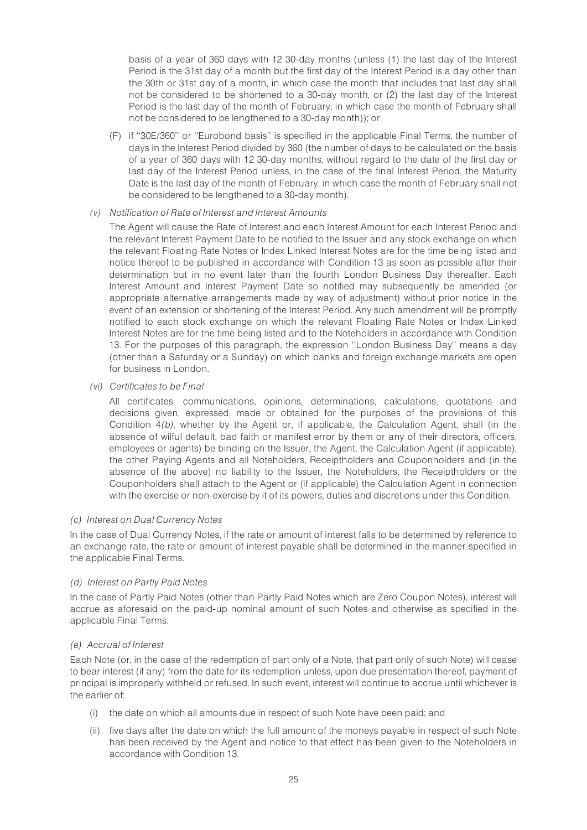basis of a year of 360 days with 12 30-day months (unless (1) the last day of the Interest Period is the 31st day of a month but the first day of the Interest Period is a day other than the 30th or 31st day of a month, in which case the month that includes that last day shall not be considered to be shortened to a 30-day month, or (2) the last day of the Interest Period is the last day of the month of February, in which case the month of February shall not be considered to be lengthened to a 30-day month)); or

(F) if ''30E/360'' or ''Eurobond basis'' is specified in the applicable Final Terms, the number of days in the Interest Period divided by 360 (the number of days to be calculated on the basis of a year of 360 days with 12 30-day months, without regard to the date of the first day or last day of the Interest Period unless, in the case of the final Interest Period, the Maturity Date is the last day of the month of February, in which case the month of February shall not be considered to be lengthened to a 30-day month).

#### (v) Notification of Rate of Interest and Interest Amounts

The Agent will cause the Rate of Interest and each Interest Amount for each Interest Period and the relevant Interest Payment Date to be notified to the Issuer and any stock exchange on which the relevant Floating Rate Notes or Index Linked Interest Notes are for the time being listed and notice thereof to be published in accordance with Condition 13 as soon as possible after their determination but in no event later than the fourth London Business Day thereafter. Each Interest Amount and Interest Payment Date so notified may subsequently be amended (or appropriate alternative arrangements made by way of adjustment) without prior notice in the event of an extension or shortening of the Interest Period. Any such amendment will be promptly notified to each stock exchange on which the relevant Floating Rate Notes or Index Linked Interest Notes are for the time being listed and to the Noteholders in accordance with Condition 13. For the purposes of this paragraph, the expression ''London Business Day'' means a day (other than a Saturday or a Sunday) on which banks and foreign exchange markets are open for business in London.

### (vi) Certificates to be Final

All certificates, communications, opinions, determinations, calculations, quotations and decisions given, expressed, made or obtained for the purposes of the provisions of this Condition 4(b), whether by the Agent or, if applicable, the Calculation Agent, shall (in the absence of wilful default, bad faith or manifest error by them or any of their directors, officers, employees or agents) be binding on the Issuer, the Agent, the Calculation Agent (if applicable), the other Paying Agents and all Noteholders, Receiptholders and Couponholders and (in the absence of the above) no liability to the Issuer, the Noteholders, the Receiptholders or the Couponholders shall attach to the Agent or (if applicable) the Calculation Agent in connection with the exercise or non-exercise by it of its powers, duties and discretions under this Condition.

#### (c) Interest on Dual Currency Notes

In the case of Dual Currency Notes, if the rate or amount of interest falls to be determined by reference to an exchange rate, the rate or amount of interest payable shall be determined in the manner specified in the applicable Final Terms.

# (d) Interest on Partly Paid Notes

In the case of Partly Paid Notes (other than Partly Paid Notes which are Zero Coupon Notes), interest will accrue as aforesaid on the paid-up nominal amount of such Notes and otherwise as specified in the applicable Final Terms.

# (e) Accrual of Interest

Each Note (or, in the case of the redemption of part only of a Note, that part only of such Note) will cease to bear interest (if any) from the date for its redemption unless, upon due presentation thereof, payment of principal is improperly withheld or refused. In such event, interest will continue to accrue until whichever is the earlier of:

- (i) the date on which all amounts due in respect of such Note have been paid; and
- (ii) five days after the date on which the full amount of the moneys payable in respect of such Note has been received by the Agent and notice to that effect has been given to the Noteholders in accordance with Condition 13.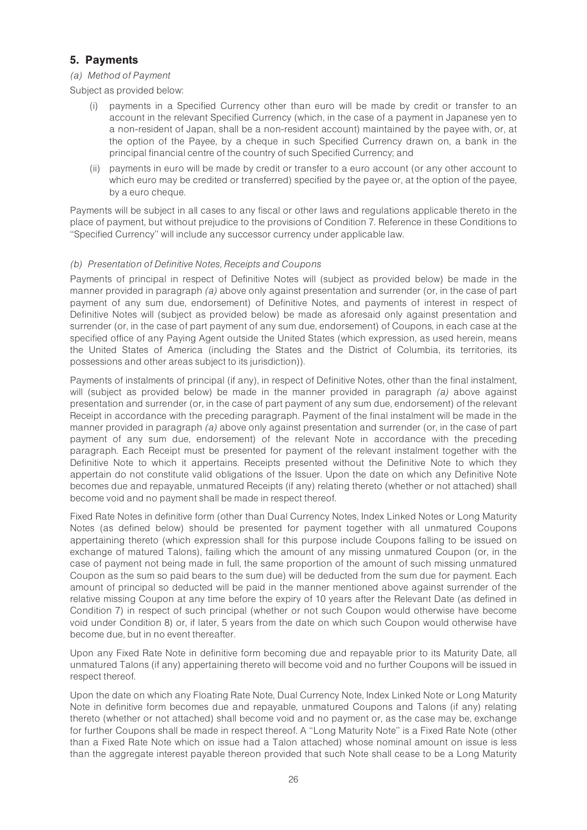# 5. Payments

# (a) Method of Payment

Subject as provided below:

- (i) payments in a Specified Currency other than euro will be made by credit or transfer to an account in the relevant Specified Currency (which, in the case of a payment in Japanese yen to a non-resident of Japan, shall be a non-resident account) maintained by the payee with, or, at the option of the Payee, by a cheque in such Specified Currency drawn on, a bank in the principal financial centre of the country of such Specified Currency; and
- (ii) payments in euro will be made by credit or transfer to a euro account (or any other account to which euro may be credited or transferred) specified by the payee or, at the option of the payee. by a euro cheque.

Payments will be subject in all cases to any fiscal or other laws and regulations applicable thereto in the place of payment, but without prejudice to the provisions of Condition 7. Reference in these Conditions to ''Specified Currency'' will include any successor currency under applicable law.

# (b) Presentation of Definitive Notes, Receipts and Coupons

Payments of principal in respect of Definitive Notes will (subject as provided below) be made in the manner provided in paragraph (a) above only against presentation and surrender (or, in the case of part payment of any sum due, endorsement) of Definitive Notes, and payments of interest in respect of Definitive Notes will (subject as provided below) be made as aforesaid only against presentation and surrender (or, in the case of part payment of any sum due, endorsement) of Coupons, in each case at the specified office of any Paying Agent outside the United States (which expression, as used herein, means the United States of America (including the States and the District of Columbia, its territories, its possessions and other areas subject to its jurisdiction)).

Payments of instalments of principal (if any), in respect of Definitive Notes, other than the final instalment, will (subject as provided below) be made in the manner provided in paragraph (a) above against presentation and surrender (or, in the case of part payment of any sum due, endorsement) of the relevant Receipt in accordance with the preceding paragraph. Payment of the final instalment will be made in the manner provided in paragraph (a) above only against presentation and surrender (or, in the case of part payment of any sum due, endorsement) of the relevant Note in accordance with the preceding paragraph. Each Receipt must be presented for payment of the relevant instalment together with the Definitive Note to which it appertains. Receipts presented without the Definitive Note to which they appertain do not constitute valid obligations of the Issuer. Upon the date on which any Definitive Note becomes due and repayable, unmatured Receipts (if any) relating thereto (whether or not attached) shall become void and no payment shall be made in respect thereof.

Fixed Rate Notes in definitive form (other than Dual Currency Notes, Index Linked Notes or Long Maturity Notes (as defined below) should be presented for payment together with all unmatured Coupons appertaining thereto (which expression shall for this purpose include Coupons falling to be issued on exchange of matured Talons), failing which the amount of any missing unmatured Coupon (or, in the case of payment not being made in full, the same proportion of the amount of such missing unmatured Coupon as the sum so paid bears to the sum due) will be deducted from the sum due for payment. Each amount of principal so deducted will be paid in the manner mentioned above against surrender of the relative missing Coupon at any time before the expiry of 10 years after the Relevant Date (as defined in Condition 7) in respect of such principal (whether or not such Coupon would otherwise have become void under Condition 8) or, if later, 5 years from the date on which such Coupon would otherwise have become due, but in no event thereafter.

Upon any Fixed Rate Note in definitive form becoming due and repayable prior to its Maturity Date, all unmatured Talons (if any) appertaining thereto will become void and no further Coupons will be issued in respect thereof.

Upon the date on which any Floating Rate Note, Dual Currency Note, Index Linked Note or Long Maturity Note in definitive form becomes due and repayable, unmatured Coupons and Talons (if any) relating thereto (whether or not attached) shall become void and no payment or, as the case may be, exchange for further Coupons shall be made in respect thereof. A ''Long Maturity Note'' is a Fixed Rate Note (other than a Fixed Rate Note which on issue had a Talon attached) whose nominal amount on issue is less than the aggregate interest payable thereon provided that such Note shall cease to be a Long Maturity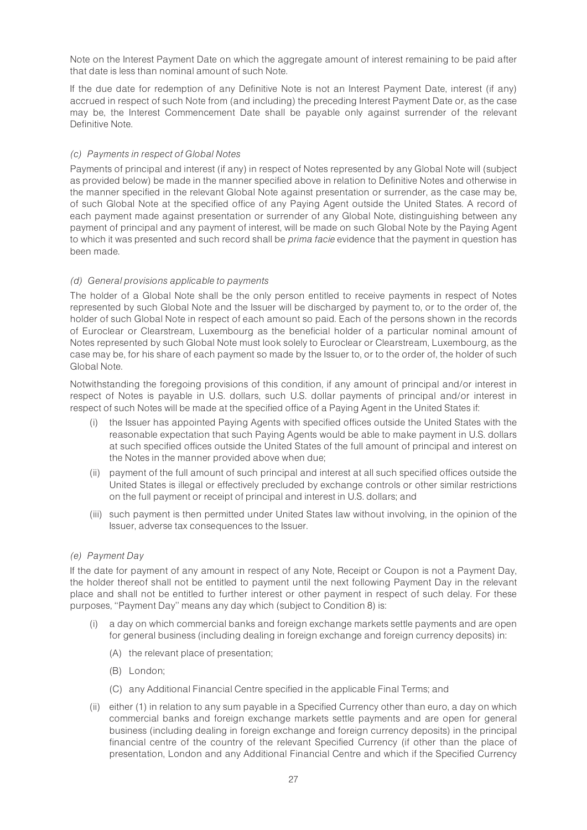Note on the Interest Payment Date on which the aggregate amount of interest remaining to be paid after that date is less than nominal amount of such Note.

If the due date for redemption of any Definitive Note is not an Interest Payment Date, interest (if any) accrued in respect of such Note from (and including) the preceding Interest Payment Date or, as the case may be, the Interest Commencement Date shall be payable only against surrender of the relevant Definitive Note.

# (c) Payments in respect of Global Notes

Payments of principal and interest (if any) in respect of Notes represented by any Global Note will (subject as provided below) be made in the manner specified above in relation to Definitive Notes and otherwise in the manner specified in the relevant Global Note against presentation or surrender, as the case may be, of such Global Note at the specified office of any Paying Agent outside the United States. A record of each payment made against presentation or surrender of any Global Note, distinguishing between any payment of principal and any payment of interest, will be made on such Global Note by the Paying Agent to which it was presented and such record shall be *prima facie* evidence that the payment in question has been made.

# (d) General provisions applicable to payments

The holder of a Global Note shall be the only person entitled to receive payments in respect of Notes represented by such Global Note and the Issuer will be discharged by payment to, or to the order of, the holder of such Global Note in respect of each amount so paid. Each of the persons shown in the records of Euroclear or Clearstream, Luxembourg as the beneficial holder of a particular nominal amount of Notes represented by such Global Note must look solely to Euroclear or Clearstream, Luxembourg, as the case may be, for his share of each payment so made by the Issuer to, or to the order of, the holder of such Global Note.

Notwithstanding the foregoing provisions of this condition, if any amount of principal and/or interest in respect of Notes is payable in U.S. dollars, such U.S. dollar payments of principal and/or interest in respect of such Notes will be made at the specified office of a Paying Agent in the United States if:

- (i) the Issuer has appointed Paying Agents with specified offices outside the United States with the reasonable expectation that such Paying Agents would be able to make payment in U.S. dollars at such specified offices outside the United States of the full amount of principal and interest on the Notes in the manner provided above when due;
- (ii) payment of the full amount of such principal and interest at all such specified offices outside the United States is illegal or effectively precluded by exchange controls or other similar restrictions on the full payment or receipt of principal and interest in U.S. dollars; and
- (iii) such payment is then permitted under United States law without involving, in the opinion of the Issuer, adverse tax consequences to the Issuer.

# (e) Payment Day

If the date for payment of any amount in respect of any Note, Receipt or Coupon is not a Payment Day, the holder thereof shall not be entitled to payment until the next following Payment Day in the relevant place and shall not be entitled to further interest or other payment in respect of such delay. For these purposes, ''Payment Day'' means any day which (subject to Condition 8) is:

- (i) a day on which commercial banks and foreign exchange markets settle payments and are open for general business (including dealing in foreign exchange and foreign currency deposits) in:
	- (A) the relevant place of presentation;
	- (B) London;
	- (C) any Additional Financial Centre specified in the applicable Final Terms; and
- (ii) either (1) in relation to any sum payable in a Specified Currency other than euro, a day on which commercial banks and foreign exchange markets settle payments and are open for general business (including dealing in foreign exchange and foreign currency deposits) in the principal financial centre of the country of the relevant Specified Currency (if other than the place of presentation, London and any Additional Financial Centre and which if the Specified Currency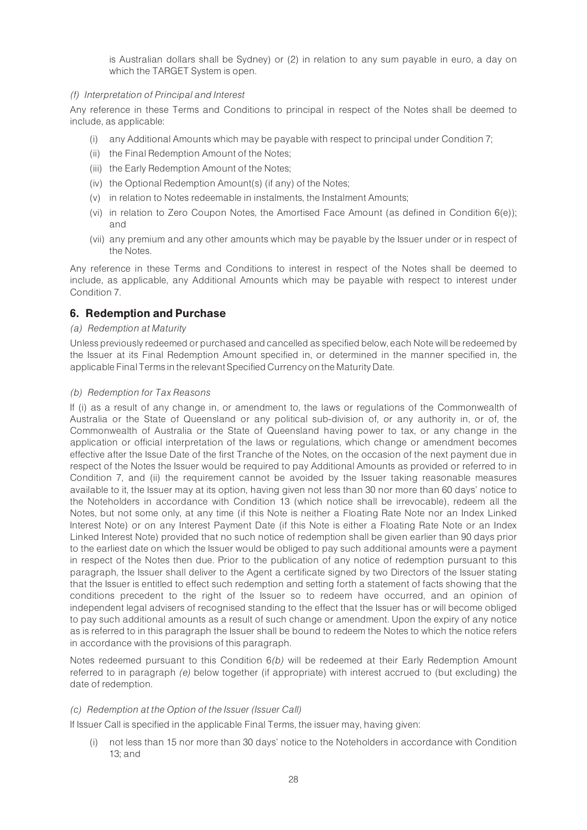is Australian dollars shall be Sydney) or (2) in relation to any sum payable in euro, a day on which the TARGET System is open.

# (f) Interpretation of Principal and Interest

Any reference in these Terms and Conditions to principal in respect of the Notes shall be deemed to include, as applicable:

- (i) any Additional Amounts which may be payable with respect to principal under Condition 7;
- (ii) the Final Redemption Amount of the Notes;
- (iii) the Early Redemption Amount of the Notes;
- (iv) the Optional Redemption Amount(s) (if any) of the Notes;
- (v) in relation to Notes redeemable in instalments, the Instalment Amounts;
- (vi) in relation to Zero Coupon Notes, the Amortised Face Amount (as defined in Condition 6(e)); and
- (vii) any premium and any other amounts which may be payable by the Issuer under or in respect of the Notes.

Any reference in these Terms and Conditions to interest in respect of the Notes shall be deemed to include, as applicable, any Additional Amounts which may be payable with respect to interest under Condition 7.

# 6. Redemption and Purchase

# (a) Redemption at Maturity

Unless previously redeemed or purchased and cancelled as specified below, each Note will be redeemed by the Issuer at its Final Redemption Amount specified in, or determined in the manner specified in, the applicable Final Terms in the relevant Specified Currency onthe Maturity Date.

# (b) Redemption for Tax Reasons

If (i) as a result of any change in, or amendment to, the laws or regulations of the Commonwealth of Australia or the State of Queensland or any political sub-division of, or any authority in, or of, the Commonwealth of Australia or the State of Queensland having power to tax, or any change in the application or official interpretation of the laws or regulations, which change or amendment becomes effective after the Issue Date of the first Tranche of the Notes, on the occasion of the next payment due in respect of the Notes the Issuer would be required to pay Additional Amounts as provided or referred to in Condition 7, and (ii) the requirement cannot be avoided by the Issuer taking reasonable measures available to it, the Issuer may at its option, having given not less than 30 nor more than 60 days' notice to the Noteholders in accordance with Condition 13 (which notice shall be irrevocable), redeem all the Notes, but not some only, at any time (if this Note is neither a Floating Rate Note nor an Index Linked Interest Note) or on any Interest Payment Date (if this Note is either a Floating Rate Note or an Index Linked Interest Note) provided that no such notice of redemption shall be given earlier than 90 days prior to the earliest date on which the Issuer would be obliged to pay such additional amounts were a payment in respect of the Notes then due. Prior to the publication of any notice of redemption pursuant to this paragraph, the Issuer shall deliver to the Agent a certificate signed by two Directors of the Issuer stating that the Issuer is entitled to effect such redemption and setting forth a statement of facts showing that the conditions precedent to the right of the Issuer so to redeem have occurred, and an opinion of independent legal advisers of recognised standing to the effect that the Issuer has or will become obliged to pay such additional amounts as a result of such change or amendment. Upon the expiry of any notice as is referred to in this paragraph the Issuer shall be bound to redeem the Notes to which the notice refers in accordance with the provisions of this paragraph.

Notes redeemed pursuant to this Condition 6(b) will be redeemed at their Early Redemption Amount referred to in paragraph (e) below together (if appropriate) with interest accrued to (but excluding) the date of redemption.

# (c) Redemption at the Option of the Issuer (Issuer Call)

If Issuer Call is specified in the applicable Final Terms, the issuer may, having given:

(i) not less than 15 nor more than 30 days' notice to the Noteholders in accordance with Condition 13; and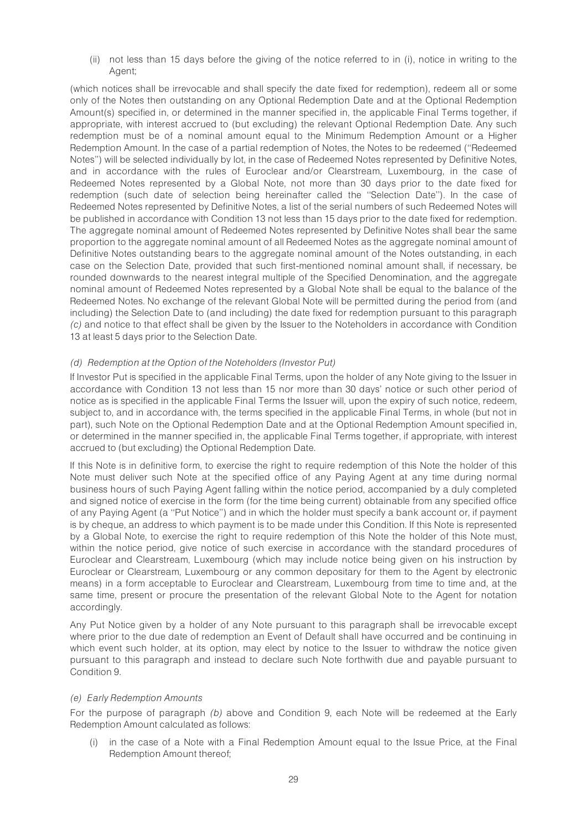(ii) not less than 15 days before the giving of the notice referred to in (i), notice in writing to the Agent;

(which notices shall be irrevocable and shall specify the date fixed for redemption), redeem all or some only of the Notes then outstanding on any Optional Redemption Date and at the Optional Redemption Amount(s) specified in, or determined in the manner specified in, the applicable Final Terms together, if appropriate, with interest accrued to (but excluding) the relevant Optional Redemption Date. Any such redemption must be of a nominal amount equal to the Minimum Redemption Amount or a Higher Redemption Amount. In the case of a partial redemption of Notes, the Notes to be redeemed (''Redeemed Notes'') will be selected individually by lot, in the case of Redeemed Notes represented by Definitive Notes, and in accordance with the rules of Euroclear and/or Clearstream, Luxembourg, in the case of Redeemed Notes represented by a Global Note, not more than 30 days prior to the date fixed for redemption (such date of selection being hereinafter called the ''Selection Date''). In the case of Redeemed Notes represented by Definitive Notes, a list of the serial numbers of such Redeemed Notes will be published in accordance with Condition 13 not less than 15 days prior to the date fixed for redemption. The aggregate nominal amount of Redeemed Notes represented by Definitive Notes shall bear the same proportion to the aggregate nominal amount of all Redeemed Notes as the aggregate nominal amount of Definitive Notes outstanding bears to the aggregate nominal amount of the Notes outstanding, in each case on the Selection Date, provided that such first-mentioned nominal amount shall, if necessary, be rounded downwards to the nearest integral multiple of the Specified Denomination, and the aggregate nominal amount of Redeemed Notes represented by a Global Note shall be equal to the balance of the Redeemed Notes. No exchange of the relevant Global Note will be permitted during the period from (and including) the Selection Date to (and including) the date fixed for redemption pursuant to this paragraph (c) and notice to that effect shall be given by the Issuer to the Noteholders in accordance with Condition 13 at least 5 days prior to the Selection Date.

### (d) Redemption at the Option of the Noteholders (Investor Put)

If Investor Put is specified in the applicable Final Terms, upon the holder of any Note giving to the Issuer in accordance with Condition 13 not less than 15 nor more than 30 days' notice or such other period of notice as is specified in the applicable Final Terms the Issuer will, upon the expiry of such notice, redeem, subject to, and in accordance with, the terms specified in the applicable Final Terms, in whole (but not in part), such Note on the Optional Redemption Date and at the Optional Redemption Amount specified in, or determined in the manner specified in, the applicable Final Terms together, if appropriate, with interest accrued to (but excluding) the Optional Redemption Date.

If this Note is in definitive form, to exercise the right to require redemption of this Note the holder of this Note must deliver such Note at the specified office of any Paying Agent at any time during normal business hours of such Paying Agent falling within the notice period, accompanied by a duly completed and signed notice of exercise in the form (for the time being current) obtainable from any specified office of any Paying Agent (a ''Put Notice'') and in which the holder must specify a bank account or, if payment is by cheque, an address to which payment is to be made under this Condition. If this Note is represented by a Global Note, to exercise the right to require redemption of this Note the holder of this Note must, within the notice period, give notice of such exercise in accordance with the standard procedures of Euroclear and Clearstream, Luxembourg (which may include notice being given on his instruction by Euroclear or Clearstream, Luxembourg or any common depositary for them to the Agent by electronic means) in a form acceptable to Euroclear and Clearstream, Luxembourg from time to time and, at the same time, present or procure the presentation of the relevant Global Note to the Agent for notation accordingly.

Any Put Notice given by a holder of any Note pursuant to this paragraph shall be irrevocable except where prior to the due date of redemption an Event of Default shall have occurred and be continuing in which event such holder, at its option, may elect by notice to the Issuer to withdraw the notice given pursuant to this paragraph and instead to declare such Note forthwith due and payable pursuant to Condition 9.

#### (e) Early Redemption Amounts

For the purpose of paragraph (b) above and Condition 9, each Note will be redeemed at the Early Redemption Amount calculated as follows:

(i) in the case of a Note with a Final Redemption Amount equal to the Issue Price, at the Final Redemption Amount thereof;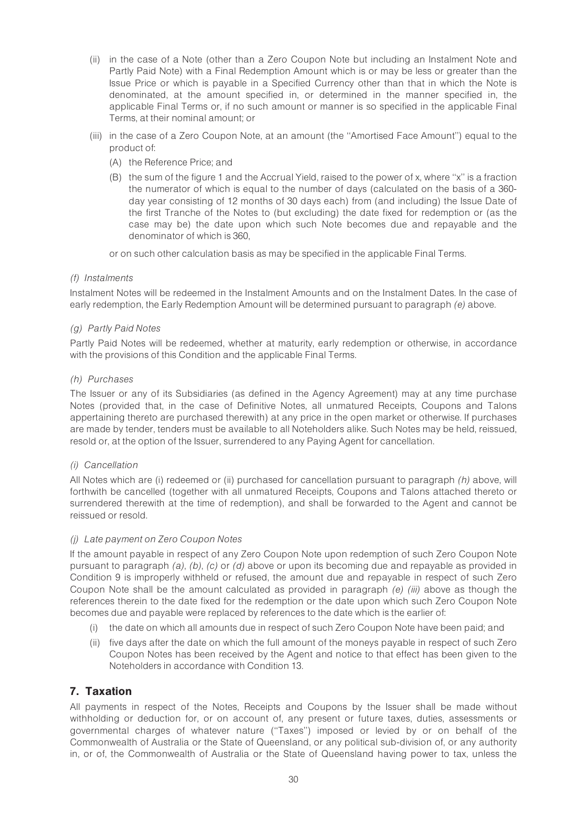- (ii) in the case of a Note (other than a Zero Coupon Note but including an Instalment Note and Partly Paid Note) with a Final Redemption Amount which is or may be less or greater than the Issue Price or which is payable in a Specified Currency other than that in which the Note is denominated, at the amount specified in, or determined in the manner specified in, the applicable Final Terms or, if no such amount or manner is so specified in the applicable Final Terms, at their nominal amount; or
- (iii) in the case of a Zero Coupon Note, at an amount (the ''Amortised Face Amount'') equal to the product of:
	- (A) the Reference Price; and
	- (B) the sum of the figure 1 and the Accrual Yield, raised to the power of x, where ''x'' is a fraction the numerator of which is equal to the number of days (calculated on the basis of a 360 day year consisting of 12 months of 30 days each) from (and including) the Issue Date of the first Tranche of the Notes to (but excluding) the date fixed for redemption or (as the case may be) the date upon which such Note becomes due and repayable and the denominator of which is 360,

or on such other calculation basis as may be specified in the applicable Final Terms.

# (f) Instalments

Instalment Notes will be redeemed in the Instalment Amounts and on the Instalment Dates. In the case of early redemption, the Early Redemption Amount will be determined pursuant to paragraph (e) above.

### (g) Partly Paid Notes

Partly Paid Notes will be redeemed, whether at maturity, early redemption or otherwise, in accordance with the provisions of this Condition and the applicable Final Terms.

### (h) Purchases

The Issuer or any of its Subsidiaries (as defined in the Agency Agreement) may at any time purchase Notes (provided that, in the case of Definitive Notes, all unmatured Receipts, Coupons and Talons appertaining thereto are purchased therewith) at any price in the open market or otherwise. If purchases are made by tender, tenders must be available to all Noteholders alike. Such Notes may be held, reissued, resold or, at the option of the Issuer, surrendered to any Paying Agent for cancellation.

# (i) Cancellation

All Notes which are (i) redeemed or (ii) purchased for cancellation pursuant to paragraph  $(h)$  above, will forthwith be cancelled (together with all unmatured Receipts, Coupons and Talons attached thereto or surrendered therewith at the time of redemption), and shall be forwarded to the Agent and cannot be reissued or resold.

#### (j) Late payment on Zero Coupon Notes

If the amount payable in respect of any Zero Coupon Note upon redemption of such Zero Coupon Note pursuant to paragraph (a), (b), (c) or (d) above or upon its becoming due and repayable as provided in Condition 9 is improperly withheld or refused, the amount due and repayable in respect of such Zero Coupon Note shall be the amount calculated as provided in paragraph  $(e)$  (iii) above as though the references therein to the date fixed for the redemption or the date upon which such Zero Coupon Note becomes due and payable were replaced by references to the date which is the earlier of:

- (i) the date on which all amounts due in respect of such Zero Coupon Note have been paid; and
- (ii) five days after the date on which the full amount of the moneys payable in respect of such Zero Coupon Notes has been received by the Agent and notice to that effect has been given to the Noteholders in accordance with Condition 13.

# 7. Taxation

All payments in respect of the Notes, Receipts and Coupons by the Issuer shall be made without withholding or deduction for, or on account of, any present or future taxes, duties, assessments or governmental charges of whatever nature (''Taxes'') imposed or levied by or on behalf of the Commonwealth of Australia or the State of Queensland, or any political sub-division of, or any authority in, or of, the Commonwealth of Australia or the State of Queensland having power to tax, unless the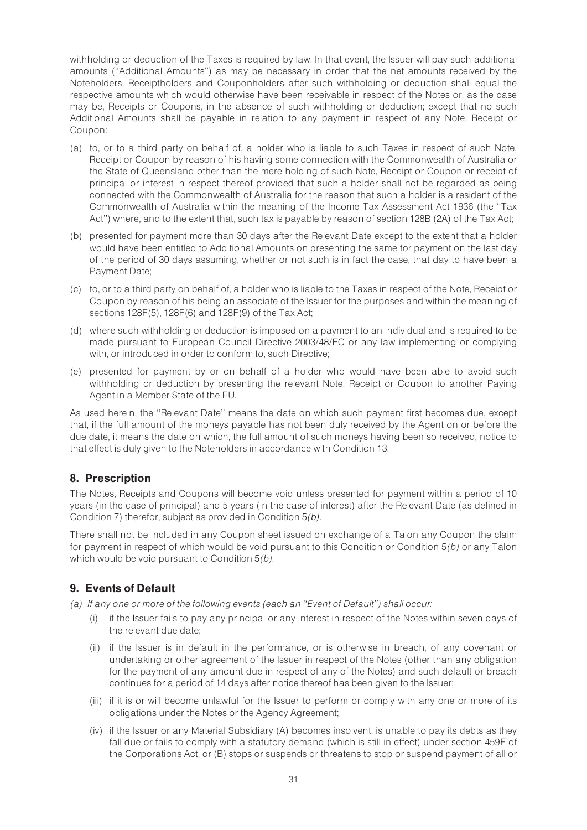withholding or deduction of the Taxes is required by law. In that event, the Issuer will pay such additional amounts (''Additional Amounts'') as may be necessary in order that the net amounts received by the Noteholders, Receiptholders and Couponholders after such withholding or deduction shall equal the respective amounts which would otherwise have been receivable in respect of the Notes or, as the case may be, Receipts or Coupons, in the absence of such withholding or deduction; except that no such Additional Amounts shall be payable in relation to any payment in respect of any Note, Receipt or Coupon:

- (a) to, or to a third party on behalf of, a holder who is liable to such Taxes in respect of such Note, Receipt or Coupon by reason of his having some connection with the Commonwealth of Australia or the State of Queensland other than the mere holding of such Note, Receipt or Coupon or receipt of principal or interest in respect thereof provided that such a holder shall not be regarded as being connected with the Commonwealth of Australia for the reason that such a holder is a resident of the Commonwealth of Australia within the meaning of the Income Tax Assessment Act 1936 (the ''Tax Act'') where, and to the extent that, such tax is payable by reason of section 128B (2A) of the Tax Act;
- (b) presented for payment more than 30 days after the Relevant Date except to the extent that a holder would have been entitled to Additional Amounts on presenting the same for payment on the last day of the period of 30 days assuming, whether or not such is in fact the case, that day to have been a Payment Date;
- (c) to, or to a third party on behalf of, a holder who is liable to the Taxes in respect of the Note, Receipt or Coupon by reason of his being an associate of the Issuer for the purposes and within the meaning of sections 128F(5), 128F(6) and 128F(9) of the Tax Act;
- (d) where such withholding or deduction is imposed on a payment to an individual and is required to be made pursuant to European Council Directive 2003/48/EC or any law implementing or complying with, or introduced in order to conform to, such Directive;
- (e) presented for payment by or on behalf of a holder who would have been able to avoid such withholding or deduction by presenting the relevant Note, Receipt or Coupon to another Paying Agent in a Member State of the EU.

As used herein, the ''Relevant Date'' means the date on which such payment first becomes due, except that, if the full amount of the moneys payable has not been duly received by the Agent on or before the due date, it means the date on which, the full amount of such moneys having been so received, notice to that effect is duly given to the Noteholders in accordance with Condition 13.

# 8. Prescription

The Notes, Receipts and Coupons will become void unless presented for payment within a period of 10 years (in the case of principal) and 5 years (in the case of interest) after the Relevant Date (as defined in Condition 7) therefor, subject as provided in Condition 5(b).

There shall not be included in any Coupon sheet issued on exchange of a Talon any Coupon the claim for payment in respect of which would be void pursuant to this Condition or Condition 5(b) or any Talon which would be void pursuant to Condition 5(b).

# 9. Events of Default

(a) If any one or more of the following events (each an ''Event of Default'') shall occur:

- (i) if the Issuer fails to pay any principal or any interest in respect of the Notes within seven days of the relevant due date;
- (ii) if the Issuer is in default in the performance, or is otherwise in breach, of any covenant or undertaking or other agreement of the Issuer in respect of the Notes (other than any obligation for the payment of any amount due in respect of any of the Notes) and such default or breach continues for a period of 14 days after notice thereof has been given to the Issuer;
- (iii) if it is or will become unlawful for the Issuer to perform or comply with any one or more of its obligations under the Notes or the Agency Agreement;
- (iv) if the Issuer or any Material Subsidiary (A) becomes insolvent, is unable to pay its debts as they fall due or fails to comply with a statutory demand (which is still in effect) under section 459F of the Corporations Act, or (B) stops or suspends or threatens to stop or suspend payment of all or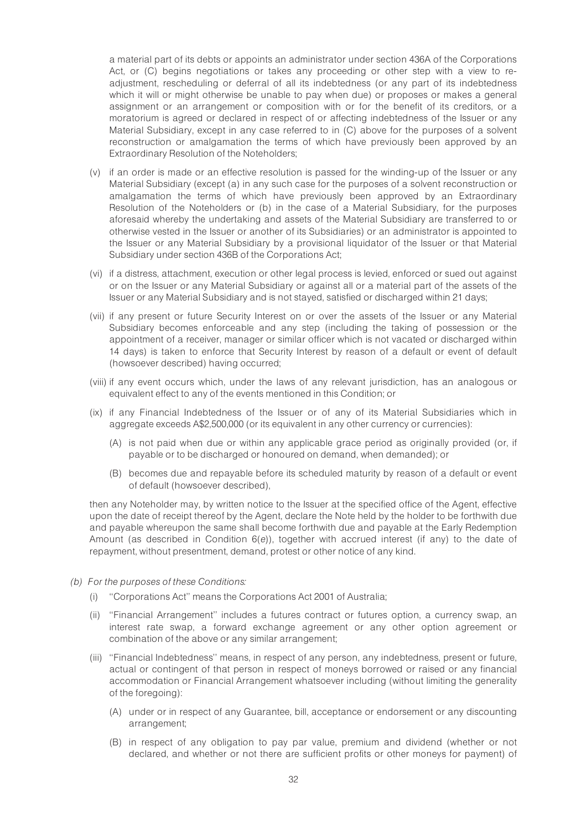a material part of its debts or appoints an administrator under section 436A of the Corporations Act, or (C) begins negotiations or takes any proceeding or other step with a view to readjustment, rescheduling or deferral of all its indebtedness (or any part of its indebtedness which it will or might otherwise be unable to pay when due) or proposes or makes a general assignment or an arrangement or composition with or for the benefit of its creditors, or a moratorium is agreed or declared in respect of or affecting indebtedness of the Issuer or any Material Subsidiary, except in any case referred to in (C) above for the purposes of a solvent reconstruction or amalgamation the terms of which have previously been approved by an Extraordinary Resolution of the Noteholders;

- (v) if an order is made or an effective resolution is passed for the winding-up of the Issuer or any Material Subsidiary (except (a) in any such case for the purposes of a solvent reconstruction or amalgamation the terms of which have previously been approved by an Extraordinary Resolution of the Noteholders or (b) in the case of a Material Subsidiary, for the purposes aforesaid whereby the undertaking and assets of the Material Subsidiary are transferred to or otherwise vested in the Issuer or another of its Subsidiaries) or an administrator is appointed to the Issuer or any Material Subsidiary by a provisional liquidator of the Issuer or that Material Subsidiary under section 436B of the Corporations Act;
- (vi) if a distress, attachment, execution or other legal process is levied, enforced or sued out against or on the Issuer or any Material Subsidiary or against all or a material part of the assets of the Issuer or any Material Subsidiary and is not stayed, satisfied or discharged within 21 days;
- (vii) if any present or future Security Interest on or over the assets of the Issuer or any Material Subsidiary becomes enforceable and any step (including the taking of possession or the appointment of a receiver, manager or similar officer which is not vacated or discharged within 14 days) is taken to enforce that Security Interest by reason of a default or event of default (howsoever described) having occurred;
- (viii) if any event occurs which, under the laws of any relevant jurisdiction, has an analogous or equivalent effect to any of the events mentioned in this Condition; or
- (ix) if any Financial Indebtedness of the Issuer or of any of its Material Subsidiaries which in aggregate exceeds A\$2,500,000 (or its equivalent in any other currency or currencies):
	- (A) is not paid when due or within any applicable grace period as originally provided (or, if payable or to be discharged or honoured on demand, when demanded); or
	- (B) becomes due and repayable before its scheduled maturity by reason of a default or event of default (howsoever described),

then any Noteholder may, by written notice to the Issuer at the specified office of the Agent, effective upon the date of receipt thereof by the Agent, declare the Note held by the holder to be forthwith due and payable whereupon the same shall become forthwith due and payable at the Early Redemption Amount (as described in Condition 6(e)), together with accrued interest (if any) to the date of repayment, without presentment, demand, protest or other notice of any kind.

- (b) For the purposes of these Conditions:
	- (i) ''Corporations Act'' means the Corporations Act 2001 of Australia;
	- (ii) ''Financial Arrangement'' includes a futures contract or futures option, a currency swap, an interest rate swap, a forward exchange agreement or any other option agreement or combination of the above or any similar arrangement;
	- (iii) ''Financial Indebtedness'' means, in respect of any person, any indebtedness, present or future, actual or contingent of that person in respect of moneys borrowed or raised or any financial accommodation or Financial Arrangement whatsoever including (without limiting the generality of the foregoing):
		- (A) under or in respect of any Guarantee, bill, acceptance or endorsement or any discounting arrangement;
		- (B) in respect of any obligation to pay par value, premium and dividend (whether or not declared, and whether or not there are sufficient profits or other moneys for payment) of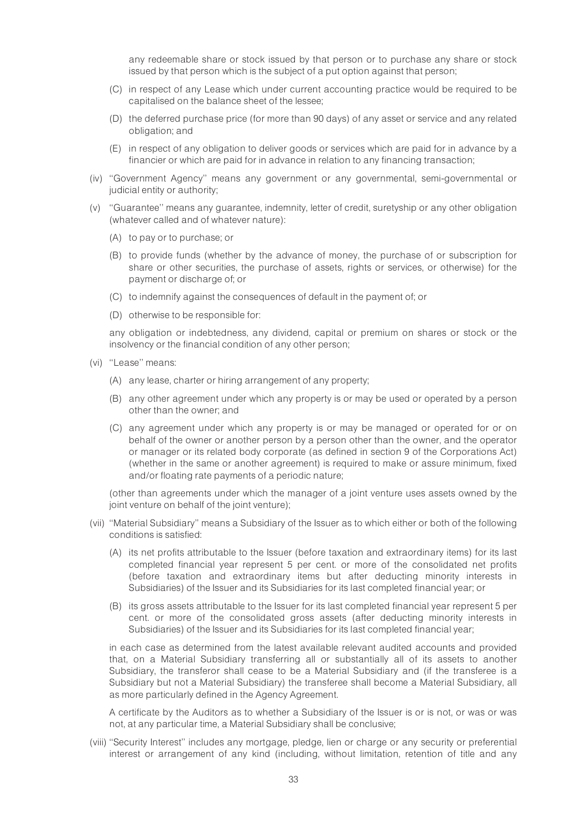any redeemable share or stock issued by that person or to purchase any share or stock issued by that person which is the subject of a put option against that person;

- (C) in respect of any Lease which under current accounting practice would be required to be capitalised on the balance sheet of the lessee;
- (D) the deferred purchase price (for more than 90 days) of any asset or service and any related obligation; and
- (E) in respect of any obligation to deliver goods or services which are paid for in advance by a financier or which are paid for in advance in relation to any financing transaction;
- (iv) ''Government Agency'' means any government or any governmental, semi-governmental or judicial entity or authority;
- (v) ''Guarantee'' means any guarantee, indemnity, letter of credit, suretyship or any other obligation (whatever called and of whatever nature):
	- (A) to pay or to purchase; or
	- (B) to provide funds (whether by the advance of money, the purchase of or subscription for share or other securities, the purchase of assets, rights or services, or otherwise) for the payment or discharge of; or
	- (C) to indemnify against the consequences of default in the payment of; or
	- (D) otherwise to be responsible for:

any obligation or indebtedness, any dividend, capital or premium on shares or stock or the insolvency or the financial condition of any other person;

- (vi) ''Lease'' means:
	- (A) any lease, charter or hiring arrangement of any property;
	- (B) any other agreement under which any property is or may be used or operated by a person other than the owner; and
	- (C) any agreement under which any property is or may be managed or operated for or on behalf of the owner or another person by a person other than the owner, and the operator or manager or its related body corporate (as defined in section 9 of the Corporations Act) (whether in the same or another agreement) is required to make or assure minimum, fixed and/or floating rate payments of a periodic nature;

(other than agreements under which the manager of a joint venture uses assets owned by the joint venture on behalf of the joint venture);

- (vii) ''Material Subsidiary'' means a Subsidiary of the Issuer as to which either or both of the following conditions is satisfied:
	- (A) its net profits attributable to the Issuer (before taxation and extraordinary items) for its last completed financial year represent 5 per cent. or more of the consolidated net profits (before taxation and extraordinary items but after deducting minority interests in Subsidiaries) of the Issuer and its Subsidiaries for its last completed financial year; or
	- (B) its gross assets attributable to the Issuer for its last completed financial year represent 5 per cent. or more of the consolidated gross assets (after deducting minority interests in Subsidiaries) of the Issuer and its Subsidiaries for its last completed financial year;

in each case as determined from the latest available relevant audited accounts and provided that, on a Material Subsidiary transferring all or substantially all of its assets to another Subsidiary, the transferor shall cease to be a Material Subsidiary and (if the transferee is a Subsidiary but not a Material Subsidiary) the transferee shall become a Material Subsidiary, all as more particularly defined in the Agency Agreement.

A certificate by the Auditors as to whether a Subsidiary of the Issuer is or is not, or was or was not, at any particular time, a Material Subsidiary shall be conclusive;

(viii) ''Security Interest'' includes any mortgage, pledge, lien or charge or any security or preferential interest or arrangement of any kind (including, without limitation, retention of title and any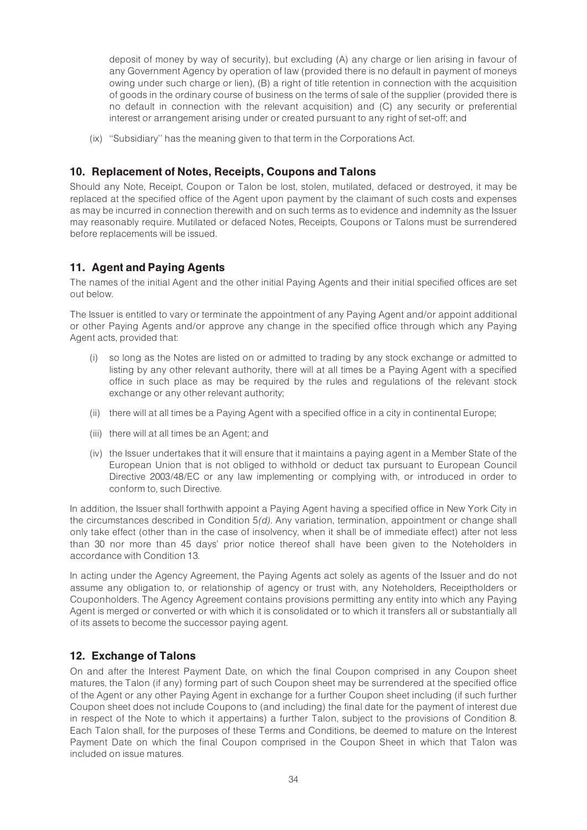deposit of money by way of security), but excluding (A) any charge or lien arising in favour of any Government Agency by operation of law (provided there is no default in payment of moneys owing under such charge or lien), (B) a right of title retention in connection with the acquisition of goods in the ordinary course of business on the terms of sale of the supplier (provided there is no default in connection with the relevant acquisition) and (C) any security or preferential interest or arrangement arising under or created pursuant to any right of set-off; and

(ix) ''Subsidiary'' has the meaning given to that term in the Corporations Act.

# 10. Replacement of Notes, Receipts, Coupons and Talons

Should any Note, Receipt, Coupon or Talon be lost, stolen, mutilated, defaced or destroyed, it may be replaced at the specified office of the Agent upon payment by the claimant of such costs and expenses as may be incurred in connection therewith and on such terms as to evidence and indemnity as the Issuer may reasonably require. Mutilated or defaced Notes, Receipts, Coupons or Talons must be surrendered before replacements will be issued.

# 11. Agent and Paying Agents

The names of the initial Agent and the other initial Paying Agents and their initial specified offices are set out below.

The Issuer is entitled to vary or terminate the appointment of any Paying Agent and/or appoint additional or other Paying Agents and/or approve any change in the specified office through which any Paying Agent acts, provided that:

- (i) so long as the Notes are listed on or admitted to trading by any stock exchange or admitted to listing by any other relevant authority, there will at all times be a Paying Agent with a specified office in such place as may be required by the rules and regulations of the relevant stock exchange or any other relevant authority;
- (ii) there will at all times be a Paying Agent with a specified office in a city in continental Europe;
- (iii) there will at all times be an Agent; and
- (iv) the Issuer undertakes that it will ensure that it maintains a paying agent in a Member State of the European Union that is not obliged to withhold or deduct tax pursuant to European Council Directive 2003/48/EC or any law implementing or complying with, or introduced in order to conform to, such Directive.

In addition, the Issuer shall forthwith appoint a Paying Agent having a specified office in New York City in the circumstances described in Condition 5(d). Any variation, termination, appointment or change shall only take effect (other than in the case of insolvency, when it shall be of immediate effect) after not less than 30 nor more than 45 days' prior notice thereof shall have been given to the Noteholders in accordance with Condition 13.

In acting under the Agency Agreement, the Paying Agents act solely as agents of the Issuer and do not assume any obligation to, or relationship of agency or trust with, any Noteholders, Receiptholders or Couponholders. The Agency Agreement contains provisions permitting any entity into which any Paying Agent is merged or converted or with which it is consolidated or to which it transfers all or substantially all of its assets to become the successor paying agent.

# 12. Exchange of Talons

On and after the Interest Payment Date, on which the final Coupon comprised in any Coupon sheet matures, the Talon (if any) forming part of such Coupon sheet may be surrendered at the specified office of the Agent or any other Paying Agent in exchange for a further Coupon sheet including (if such further Coupon sheet does not include Coupons to (and including) the final date for the payment of interest due in respect of the Note to which it appertains) a further Talon, subject to the provisions of Condition 8. Each Talon shall, for the purposes of these Terms and Conditions, be deemed to mature on the Interest Payment Date on which the final Coupon comprised in the Coupon Sheet in which that Talon was included on issue matures.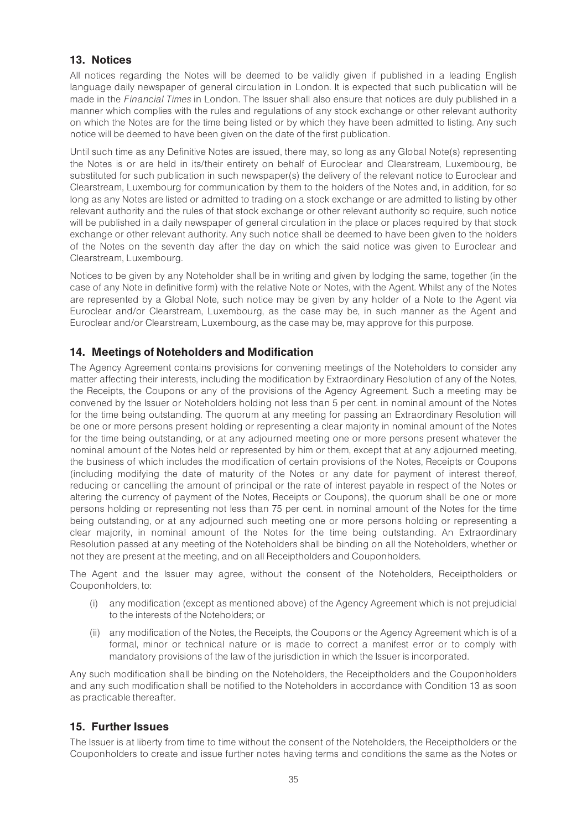# 13. Notices

All notices regarding the Notes will be deemed to be validly given if published in a leading English language daily newspaper of general circulation in London. It is expected that such publication will be made in the Financial Times in London. The Issuer shall also ensure that notices are duly published in a manner which complies with the rules and regulations of any stock exchange or other relevant authority on which the Notes are for the time being listed or by which they have been admitted to listing. Any such notice will be deemed to have been given on the date of the first publication.

Until such time as any Definitive Notes are issued, there may, so long as any Global Note(s) representing the Notes is or are held in its/their entirety on behalf of Euroclear and Clearstream, Luxembourg, be substituted for such publication in such newspaper(s) the delivery of the relevant notice to Euroclear and Clearstream, Luxembourg for communication by them to the holders of the Notes and, in addition, for so long as any Notes are listed or admitted to trading on a stock exchange or are admitted to listing by other relevant authority and the rules of that stock exchange or other relevant authority so require, such notice will be published in a daily newspaper of general circulation in the place or places required by that stock exchange or other relevant authority. Any such notice shall be deemed to have been given to the holders of the Notes on the seventh day after the day on which the said notice was given to Euroclear and Clearstream, Luxembourg.

Notices to be given by any Noteholder shall be in writing and given by lodging the same, together (in the case of any Note in definitive form) with the relative Note or Notes, with the Agent. Whilst any of the Notes are represented by a Global Note, such notice may be given by any holder of a Note to the Agent via Euroclear and/or Clearstream, Luxembourg, as the case may be, in such manner as the Agent and Euroclear and/or Clearstream, Luxembourg, as the case may be, may approve for this purpose.

# 14. Meetings of Noteholders and Modification

The Agency Agreement contains provisions for convening meetings of the Noteholders to consider any matter affecting their interests, including the modification by Extraordinary Resolution of any of the Notes, the Receipts, the Coupons or any of the provisions of the Agency Agreement. Such a meeting may be convened by the Issuer or Noteholders holding not less than 5 per cent. in nominal amount of the Notes for the time being outstanding. The quorum at any meeting for passing an Extraordinary Resolution will be one or more persons present holding or representing a clear majority in nominal amount of the Notes for the time being outstanding, or at any adjourned meeting one or more persons present whatever the nominal amount of the Notes held or represented by him or them, except that at any adjourned meeting, the business of which includes the modification of certain provisions of the Notes, Receipts or Coupons (including modifying the date of maturity of the Notes or any date for payment of interest thereof, reducing or cancelling the amount of principal or the rate of interest payable in respect of the Notes or altering the currency of payment of the Notes, Receipts or Coupons), the quorum shall be one or more persons holding or representing not less than 75 per cent. in nominal amount of the Notes for the time being outstanding, or at any adjourned such meeting one or more persons holding or representing a clear majority, in nominal amount of the Notes for the time being outstanding. An Extraordinary Resolution passed at any meeting of the Noteholders shall be binding on all the Noteholders, whether or not they are present at the meeting, and on all Receiptholders and Couponholders.

The Agent and the Issuer may agree, without the consent of the Noteholders, Receiptholders or Couponholders, to:

- (i) any modification (except as mentioned above) of the Agency Agreement which is not prejudicial to the interests of the Noteholders; or
- (ii) any modification of the Notes, the Receipts, the Coupons or the Agency Agreement which is of a formal, minor or technical nature or is made to correct a manifest error or to comply with mandatory provisions of the law of the jurisdiction in which the Issuer is incorporated.

Any such modification shall be binding on the Noteholders, the Receiptholders and the Couponholders and any such modification shall be notified to the Noteholders in accordance with Condition 13 as soon as practicable thereafter.

# 15. Further Issues

The Issuer is at liberty from time to time without the consent of the Noteholders, the Receiptholders or the Couponholders to create and issue further notes having terms and conditions the same as the Notes or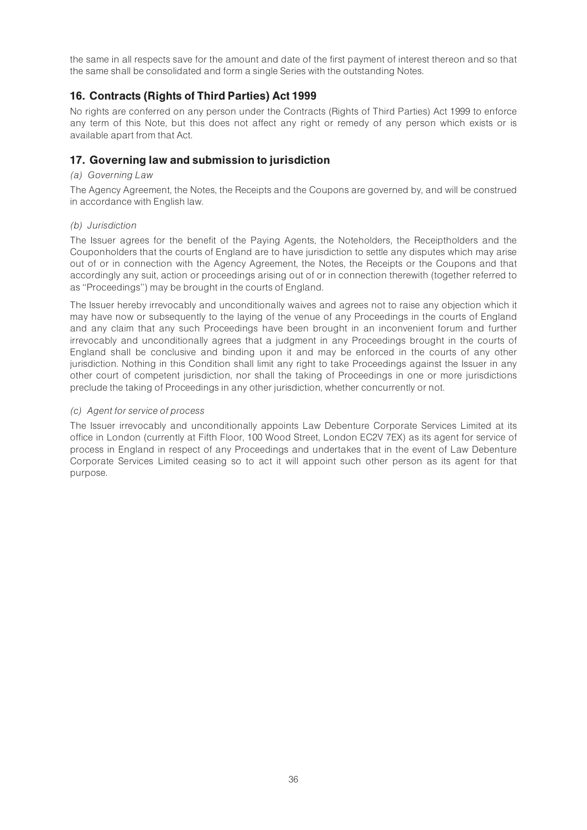the same in all respects save for the amount and date of the first payment of interest thereon and so that the same shall be consolidated and form a single Series with the outstanding Notes.

# 16. Contracts (Rights of Third Parties) Act 1999

No rights are conferred on any person under the Contracts (Rights of Third Parties) Act 1999 to enforce any term of this Note, but this does not affect any right or remedy of any person which exists or is available apart from that Act.

# 17. Governing law and submission to jurisdiction

# (a) Governing Law

The Agency Agreement, the Notes, the Receipts and the Coupons are governed by, and will be construed in accordance with English law.

# (b) Jurisdiction

The Issuer agrees for the benefit of the Paying Agents, the Noteholders, the Receiptholders and the Couponholders that the courts of England are to have jurisdiction to settle any disputes which may arise out of or in connection with the Agency Agreement, the Notes, the Receipts or the Coupons and that accordingly any suit, action or proceedings arising out of or in connection therewith (together referred to as ''Proceedings'') may be brought in the courts of England.

The Issuer hereby irrevocably and unconditionally waives and agrees not to raise any objection which it may have now or subsequently to the laying of the venue of any Proceedings in the courts of England and any claim that any such Proceedings have been brought in an inconvenient forum and further irrevocably and unconditionally agrees that a judgment in any Proceedings brought in the courts of England shall be conclusive and binding upon it and may be enforced in the courts of any other jurisdiction. Nothing in this Condition shall limit any right to take Proceedings against the Issuer in any other court of competent jurisdiction, nor shall the taking of Proceedings in one or more jurisdictions preclude the taking of Proceedings in any other jurisdiction, whether concurrently or not.

# (c) Agent for service of process

The Issuer irrevocably and unconditionally appoints Law Debenture Corporate Services Limited at its office in London (currently at Fifth Floor, 100 Wood Street, London EC2V 7EX) as its agent for service of process in England in respect of any Proceedings and undertakes that in the event of Law Debenture Corporate Services Limited ceasing so to act it will appoint such other person as its agent for that purpose.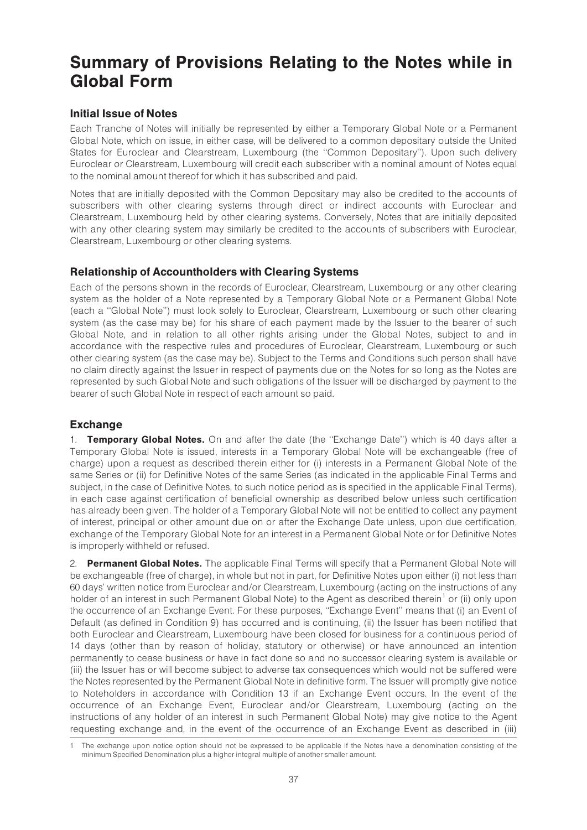# Summary of Provisions Relating to the Notes while in Global Form

# Initial Issue of Notes

Each Tranche of Notes will initially be represented by either a Temporary Global Note or a Permanent Global Note, which on issue, in either case, will be delivered to a common depositary outside the United States for Euroclear and Clearstream, Luxembourg (the ''Common Depositary''). Upon such delivery Euroclear or Clearstream, Luxembourg will credit each subscriber with a nominal amount of Notes equal to the nominal amount thereof for which it has subscribed and paid.

Notes that are initially deposited with the Common Depositary may also be credited to the accounts of subscribers with other clearing systems through direct or indirect accounts with Euroclear and Clearstream, Luxembourg held by other clearing systems. Conversely, Notes that are initially deposited with any other clearing system may similarly be credited to the accounts of subscribers with Euroclear, Clearstream, Luxembourg or other clearing systems.

# Relationship of Accountholders with Clearing Systems

Each of the persons shown in the records of Euroclear, Clearstream, Luxembourg or any other clearing system as the holder of a Note represented by a Temporary Global Note or a Permanent Global Note (each a ''Global Note'') must look solely to Euroclear, Clearstream, Luxembourg or such other clearing system (as the case may be) for his share of each payment made by the Issuer to the bearer of such Global Note, and in relation to all other rights arising under the Global Notes, subject to and in accordance with the respective rules and procedures of Euroclear, Clearstream, Luxembourg or such other clearing system (as the case may be). Subject to the Terms and Conditions such person shall have no claim directly against the Issuer in respect of payments due on the Notes for so long as the Notes are represented by such Global Note and such obligations of the Issuer will be discharged by payment to the bearer of such Global Note in respect of each amount so paid.

# Exchange

1. **Temporary Global Notes.** On and after the date (the "Exchange Date") which is 40 days after a Temporary Global Note is issued, interests in a Temporary Global Note will be exchangeable (free of charge) upon a request as described therein either for (i) interests in a Permanent Global Note of the same Series or (ii) for Definitive Notes of the same Series (as indicated in the applicable Final Terms and subject, in the case of Definitive Notes, to such notice period as is specified in the applicable Final Terms), in each case against certification of beneficial ownership as described below unless such certification has already been given. The holder of a Temporary Global Note will not be entitled to collect any payment of interest, principal or other amount due on or after the Exchange Date unless, upon due certification, exchange of the Temporary Global Note for an interest in a Permanent Global Note or for Definitive Notes is improperly withheld or refused.

2. Permanent Global Notes. The applicable Final Terms will specify that a Permanent Global Note will be exchangeable (free of charge), in whole but not in part, for Definitive Notes upon either (i) not less than 60 days' written notice from Euroclear and/or Clearstream, Luxembourg (acting on the instructions of any holder of an interest in such Permanent Global Note) to the Agent as described therein<sup>1</sup> or (ii) only upon the occurrence of an Exchange Event. For these purposes, ''Exchange Event'' means that (i) an Event of Default (as defined in Condition 9) has occurred and is continuing, (ii) the Issuer has been notified that both Euroclear and Clearstream, Luxembourg have been closed for business for a continuous period of 14 days (other than by reason of holiday, statutory or otherwise) or have announced an intention permanently to cease business or have in fact done so and no successor clearing system is available or (iii) the Issuer has or will become subject to adverse tax consequences which would not be suffered were the Notes represented by the Permanent Global Note in definitive form. The Issuer will promptly give notice to Noteholders in accordance with Condition 13 if an Exchange Event occurs. In the event of the occurrence of an Exchange Event, Euroclear and/or Clearstream, Luxembourg (acting on the instructions of any holder of an interest in such Permanent Global Note) may give notice to the Agent requesting exchange and, in the event of the occurrence of an Exchange Event as described in (iii)

<sup>1</sup> The exchange upon notice option should not be expressed to be applicable if the Notes have a denomination consisting of the minimum Specified Denomination plus a higher integral multiple of another smaller amount.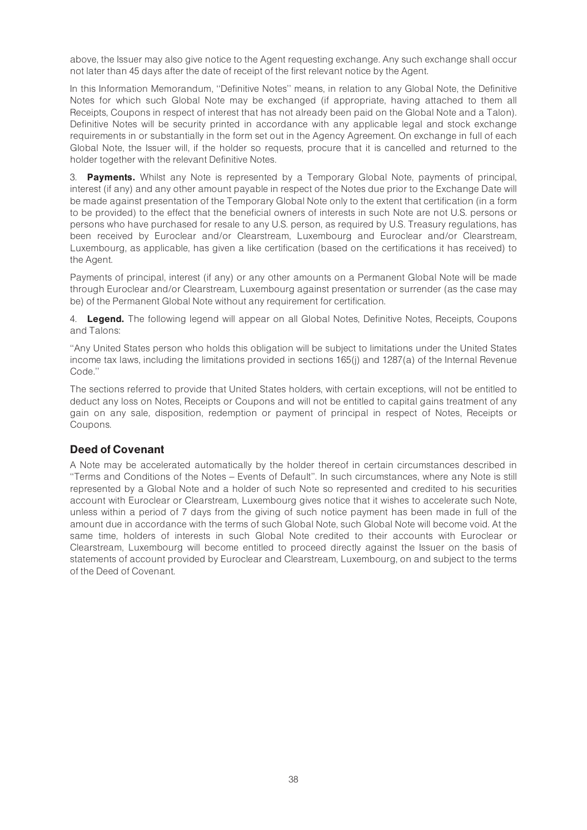above, the Issuer may also give notice to the Agent requesting exchange. Any such exchange shall occur not later than 45 days after the date of receipt of the first relevant notice by the Agent.

In this Information Memorandum, ''Definitive Notes'' means, in relation to any Global Note, the Definitive Notes for which such Global Note may be exchanged (if appropriate, having attached to them all Receipts, Coupons in respect of interest that has not already been paid on the Global Note and a Talon). Definitive Notes will be security printed in accordance with any applicable legal and stock exchange requirements in or substantially in the form set out in the Agency Agreement. On exchange in full of each Global Note, the Issuer will, if the holder so requests, procure that it is cancelled and returned to the holder together with the relevant Definitive Notes.

3. **Payments.** Whilst any Note is represented by a Temporary Global Note, payments of principal, interest (if any) and any other amount payable in respect of the Notes due prior to the Exchange Date will be made against presentation of the Temporary Global Note only to the extent that certification (in a form to be provided) to the effect that the beneficial owners of interests in such Note are not U.S. persons or persons who have purchased for resale to any U.S. person, as required by U.S. Treasury regulations, has been received by Euroclear and/or Clearstream, Luxembourg and Euroclear and/or Clearstream, Luxembourg, as applicable, has given a like certification (based on the certifications it has received) to the Agent.

Payments of principal, interest (if any) or any other amounts on a Permanent Global Note will be made through Euroclear and/or Clearstream, Luxembourg against presentation or surrender (as the case may be) of the Permanent Global Note without any requirement for certification.

4. **Legend.** The following legend will appear on all Global Notes, Definitive Notes, Receipts, Coupons and Talons:

''Any United States person who holds this obligation will be subject to limitations under the United States income tax laws, including the limitations provided in sections 165(j) and 1287(a) of the Internal Revenue Code.''

The sections referred to provide that United States holders, with certain exceptions, will not be entitled to deduct any loss on Notes, Receipts or Coupons and will not be entitled to capital gains treatment of any gain on any sale, disposition, redemption or payment of principal in respect of Notes, Receipts or Coupons.

# Deed of Covenant

A Note may be accelerated automatically by the holder thereof in certain circumstances described in ''Terms and Conditions of the Notes ^ Events of Default''. In such circumstances, where any Note is still represented by a Global Note and a holder of such Note so represented and credited to his securities account with Euroclear or Clearstream, Luxembourg gives notice that it wishes to accelerate such Note, unless within a period of 7 days from the giving of such notice payment has been made in full of the amount due in accordance with the terms of such Global Note, such Global Note will become void. At the same time, holders of interests in such Global Note credited to their accounts with Euroclear or Clearstream, Luxembourg will become entitled to proceed directly against the Issuer on the basis of statements of account provided by Euroclear and Clearstream, Luxembourg, on and subject to the terms of the Deed of Covenant.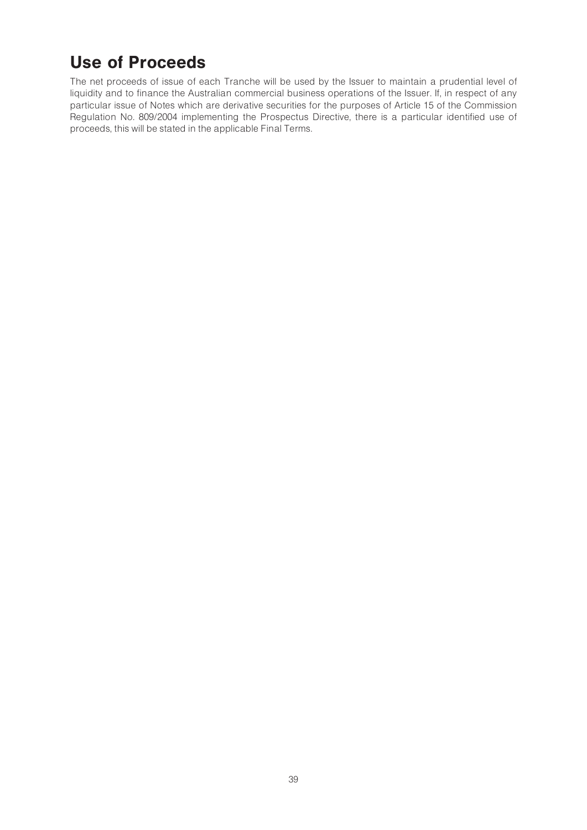# Use of Proceeds

The net proceeds of issue of each Tranche will be used by the Issuer to maintain a prudential level of liquidity and to finance the Australian commercial business operations of the Issuer. If, in respect of any particular issue of Notes which are derivative securities for the purposes of Article 15 of the Commission Regulation No. 809/2004 implementing the Prospectus Directive, there is a particular identified use of proceeds, this will be stated in the applicable Final Terms.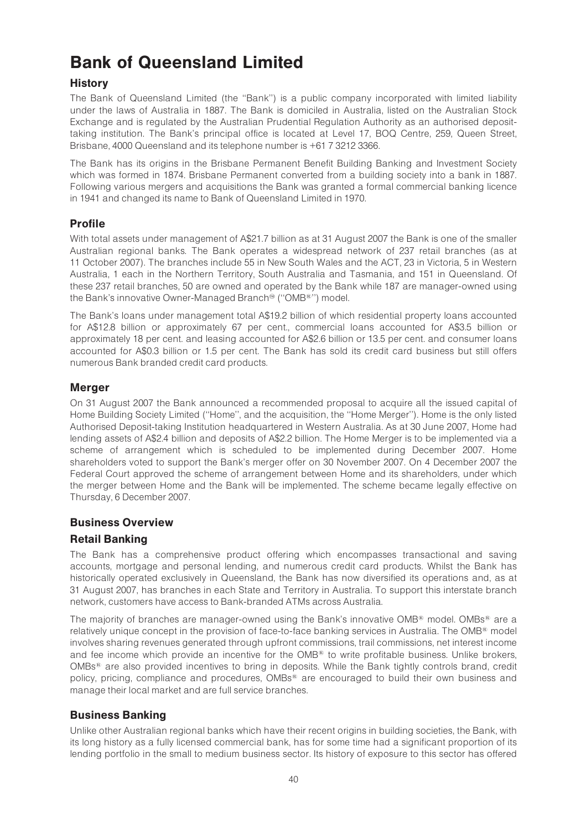# Bank of Queensland Limited

# **History**

The Bank of Queensland Limited (the ''Bank'') is a public company incorporated with limited liability under the laws of Australia in 1887. The Bank is domiciled in Australia, listed on the Australian Stock Exchange and is regulated by the Australian Prudential Regulation Authority as an authorised deposittaking institution. The Bank's principal office is located at Level 17, BOQ Centre, 259, Queen Street, Brisbane, 4000 Queensland and its telephone number is +61 7 3212 3366.

The Bank has its origins in the Brisbane Permanent Benefit Building Banking and Investment Society which was formed in 1874. Brisbane Permanent converted from a building society into a bank in 1887. Following various mergers and acquisitions the Bank was granted a formal commercial banking licence in 1941 and changed its name to Bank of Queensland Limited in 1970.

# Profile

With total assets under management of A\$21.7 billion as at 31 August 2007 the Bank is one of the smaller Australian regional banks. The Bank operates a widespread network of 237 retail branches (as at 11 October 2007). The branches include 55 in New South Wales and the ACT, 23 in Victoria, 5 in Western Australia, 1 each in the Northern Territory, South Australia and Tasmania, and 151 in Queensland. Of these 237 retail branches, 50 are owned and operated by the Bank while 187 are manager-owned using the Bank's innovative Owner-Managed Branch<sup>®</sup> ("OMB<sup>®</sup>") model.

The Bank's loans under management total A\$19.2 billion of which residential property loans accounted for A\$12.8 billion or approximately 67 per cent., commercial loans accounted for A\$3.5 billion or approximately 18 per cent. and leasing accounted for A\$2.6 billion or 13.5 per cent. and consumer loans accounted for A\$0.3 billion or 1.5 per cent. The Bank has sold its credit card business but still offers numerous Bank branded credit card products.

# Merger

On 31 August 2007 the Bank announced a recommended proposal to acquire all the issued capital of Home Building Society Limited (''Home'', and the acquisition, the ''Home Merger''). Home is the only listed Authorised Deposit-taking Institution headquartered in Western Australia. As at 30 June 2007, Home had lending assets of A\$2.4 billion and deposits of A\$2.2 billion. The Home Merger is to be implemented via a scheme of arrangement which is scheduled to be implemented during December 2007. Home shareholders voted to support the Bank's merger offer on 30 November 2007. On 4 December 2007 the Federal Court approved the scheme of arrangement between Home and its shareholders, under which the merger between Home and the Bank will be implemented. The scheme became legally effective on Thursday, 6 December 2007.

# Business Overview

# Retail Banking

The Bank has a comprehensive product offering which encompasses transactional and saving accounts, mortgage and personal lending, and numerous credit card products. Whilst the Bank has historically operated exclusively in Queensland, the Bank has now diversified its operations and, as at 31 August 2007, has branches in each State and Territory in Australia. To support this interstate branch network, customers have access to Bank-branded ATMs across Australia.

The majority of branches are manager-owned using the Bank's innovative OMB $\textsuperscript{\textregistered}$  model. OMBs<sup>®</sup> are a relatively unique concept in the provision of face-to-face banking services in Australia. The OMB<sup>®</sup> model involves sharing revenues generated through upfront commissions, trail commissions, net interest income and fee income which provide an incentive for the  $OMB^{\mathfrak{B}}$  to write profitable business. Unlike brokers,  $OMBs<sup>®</sup>$  are also provided incentives to bring in deposits. While the Bank tightly controls brand, credit policy, pricing, compliance and procedures, OMBs<sup>®</sup> are encouraged to build their own business and manage their local market and are full service branches.

# Business Banking

Unlike other Australian regional banks which have their recent origins in building societies, the Bank, with its long history as a fully licensed commercial bank, has for some time had a significant proportion of its lending portfolio in the small to medium business sector. Its history of exposure to this sector has offered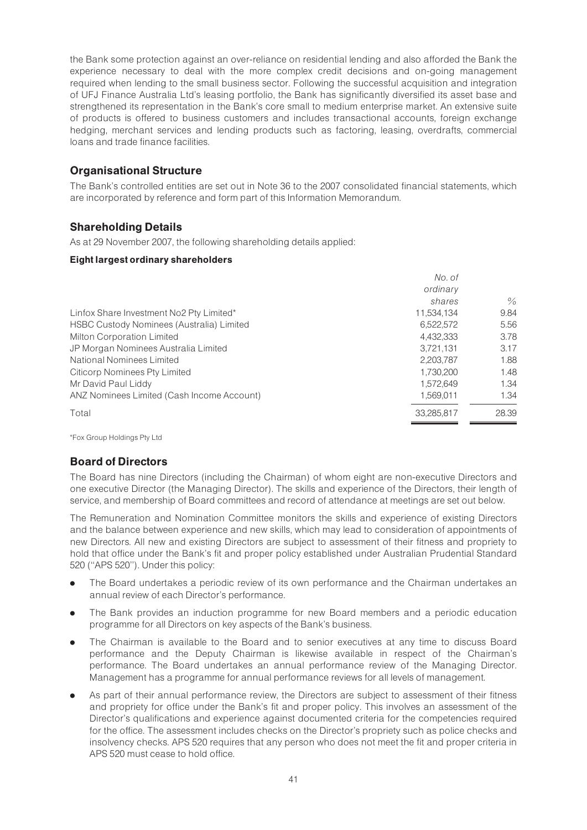the Bank some protection against an over-reliance on residential lending and also afforded the Bank the experience necessary to deal with the more complex credit decisions and on-going management required when lending to the small business sector. Following the successful acquisition and integration of UFJ Finance Australia Ltd's leasing portfolio, the Bank has significantly diversified its asset base and strengthened its representation in the Bank's core small to medium enterprise market. An extensive suite of products is offered to business customers and includes transactional accounts, foreign exchange hedging, merchant services and lending products such as factoring, leasing, overdrafts, commercial loans and trade finance facilities.

# Organisational Structure

The Bank's controlled entities are set out in Note 36 to the 2007 consolidated financial statements, which are incorporated by reference and form part of this Information Memorandum.

# Shareholding Details

As at 29 November 2007, the following shareholding details applied:

### Eight largest ordinary shareholders

|                                            | No. of     |               |
|--------------------------------------------|------------|---------------|
|                                            | ordinary   |               |
|                                            | shares     | $\frac{0}{2}$ |
| Linfox Share Investment No2 Pty Limited*   | 11,534,134 | 9.84          |
| HSBC Custody Nominees (Australia) Limited  | 6.522.572  | 5.56          |
| <b>Milton Corporation Limited</b>          | 4.432.333  | 3.78          |
| JP Morgan Nominees Australia Limited       | 3,721,131  | 3.17          |
| National Nominees Limited                  | 2,203,787  | 1.88          |
| <b>Citicorp Nominees Pty Limited</b>       | 1,730,200  | 1.48          |
| Mr David Paul Liddy                        | 1.572.649  | 1.34          |
| ANZ Nominees Limited (Cash Income Account) | 1,569,011  | 1.34          |
| Total                                      | 33.285.817 | 28.39         |

\*Fox Group Holdings Pty Ltd

# Board of Directors

The Board has nine Directors (including the Chairman) of whom eight are non-executive Directors and one executive Director (the Managing Director). The skills and experience of the Directors, their length of service, and membership of Board committees and record of attendance at meetings are set out below.

The Remuneration and Nomination Committee monitors the skills and experience of existing Directors and the balance between experience and new skills, which may lead to consideration of appointments of new Directors. All new and existing Directors are subject to assessment of their fitness and propriety to hold that office under the Bank's fit and proper policy established under Australian Prudential Standard 520 (''APS 520''). Under this policy:

- . The Board undertakes a periodic review of its own performance and the Chairman undertakes an annual review of each Director's performance.
- . The Bank provides an induction programme for new Board members and a periodic education programme for all Directors on key aspects of the Bank's business.
- . The Chairman is available to the Board and to senior executives at any time to discuss Board performance and the Deputy Chairman is likewise available in respect of the Chairman's performance. The Board undertakes an annual performance review of the Managing Director. Management has a programme for annual performance reviews for all levels of management.
- . As part of their annual performance review, the Directors are subject to assessment of their fitness and propriety for office under the Bank's fit and proper policy. This involves an assessment of the Director's qualifications and experience against documented criteria for the competencies required for the office. The assessment includes checks on the Director's propriety such as police checks and insolvency checks. APS 520 requires that any person who does not meet the fit and proper criteria in APS 520 must cease to hold office.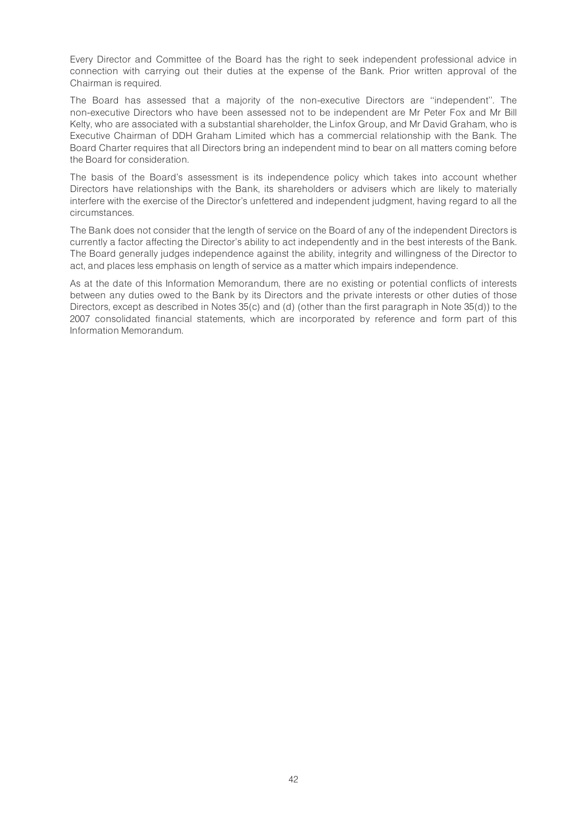Every Director and Committee of the Board has the right to seek independent professional advice in connection with carrying out their duties at the expense of the Bank. Prior written approval of the Chairman is required.

The Board has assessed that a majority of the non-executive Directors are ''independent''. The non-executive Directors who have been assessed not to be independent are Mr Peter Fox and Mr Bill Kelty, who are associated with a substantial shareholder, the Linfox Group, and Mr David Graham, who is Executive Chairman of DDH Graham Limited which has a commercial relationship with the Bank. The Board Charter requires that all Directors bring an independent mind to bear on all matters coming before the Board for consideration.

The basis of the Board's assessment is its independence policy which takes into account whether Directors have relationships with the Bank, its shareholders or advisers which are likely to materially interfere with the exercise of the Director's unfettered and independent judgment, having regard to all the circumstances.

The Bank does not consider that the length of service on the Board of any of the independent Directors is currently a factor affecting the Director's ability to act independently and in the best interests of the Bank. The Board generally judges independence against the ability, integrity and willingness of the Director to act, and places less emphasis on length of service as a matter which impairs independence.

As at the date of this Information Memorandum, there are no existing or potential conflicts of interests between any duties owed to the Bank by its Directors and the private interests or other duties of those Directors, except as described in Notes 35(c) and (d) (other than the first paragraph in Note 35(d)) to the 2007 consolidated financial statements, which are incorporated by reference and form part of this Information Memorandum.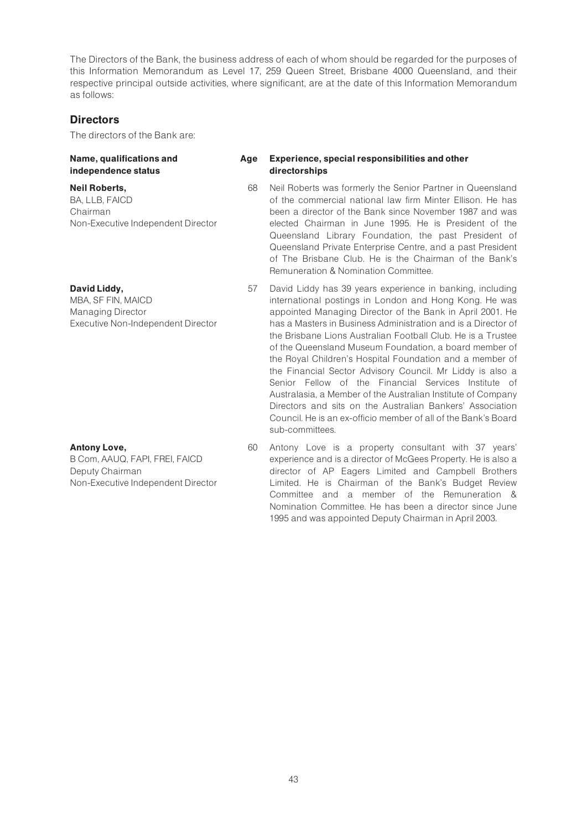The Directors of the Bank, the business address of each of whom should be regarded for the purposes of this Information Memorandum as Level 17, 259 Queen Street, Brisbane 4000 Queensland, and their respective principal outside activities, where significant, are at the date of this Information Memorandum as follows:

# **Directors**

The directors of the Bank are:

#### Name, qualifications and independence status

#### Neil Roberts,

BA, LLB, FAICD Chairman Non-Executive Independent Director

# David Liddy,

MBA, SF FIN, MAICD Managing Director Executive Non-Independent Director

# Antony Love,

B Com, AAUQ, FAPI, FREI, FAICD Deputy Chairman Non-Executive Independent Director

#### Age Experience, special responsibilities and other directorships

- 68 Neil Roberts was formerly the Senior Partner in Queensland of the commercial national law firm Minter Ellison. He has been a director of the Bank since November 1987 and was elected Chairman in June 1995. He is President of the Queensland Library Foundation, the past President of Queensland Private Enterprise Centre, and a past President of The Brisbane Club. He is the Chairman of the Bank's Remuneration & Nomination Committee.
- 57 David Liddy has 39 years experience in banking, including international postings in London and Hong Kong. He was appointed Managing Director of the Bank in April 2001. He has a Masters in Business Administration and is a Director of the Brisbane Lions Australian Football Club. He is a Trustee of the Queensland Museum Foundation, a board member of the Royal Children's Hospital Foundation and a member of the Financial Sector Advisory Council. Mr Liddy is also a Senior Fellow of the Financial Services Institute of Australasia, a Member of the Australian Institute of Company Directors and sits on the Australian Bankers' Association Council. He is an ex-officio member of all of the Bank's Board sub-committees.
- 60 Antony Love is a property consultant with 37 years' experience and is a director of McGees Property. He is also a director of AP Eagers Limited and Campbell Brothers Limited. He is Chairman of the Bank's Budget Review Committee and a member of the Remuneration & Nomination Committee. He has been a director since June 1995 and was appointed Deputy Chairman in April 2003.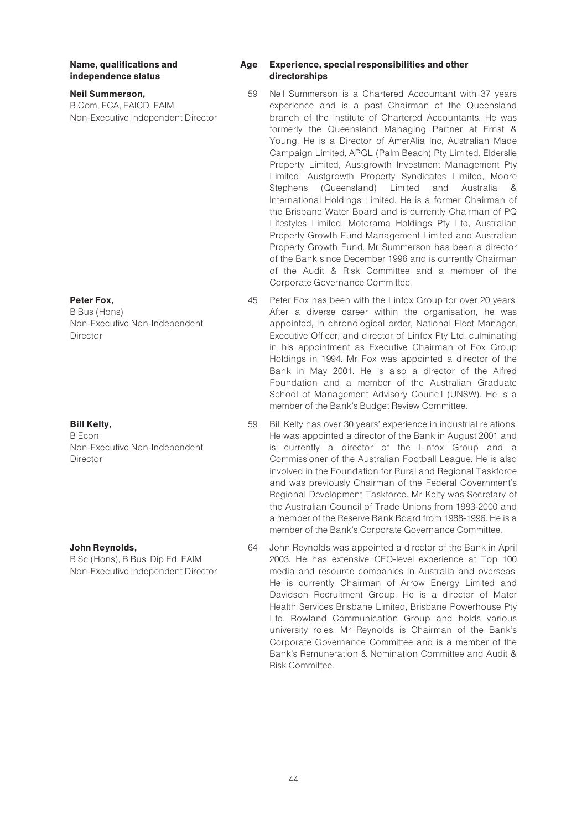Name, qualifications and independence status

Neil Summerson, B Com, FCA, FAICD, FAIM Non-Executive Independent Director

Peter Fox,

B Bus (Hons) Non-Executive Non-Independent Director

Bill Kelty,

B Econ Non-Executive Non-Independent Director

#### John Reynolds,

B Sc (Hons), B Bus, Dip Ed, FAIM Non-Executive Independent Director

#### Age Experience, special responsibilities and other directorships

- 59 Neil Summerson is a Chartered Accountant with 37 years experience and is a past Chairman of the Queensland branch of the Institute of Chartered Accountants. He was formerly the Queensland Managing Partner at Ernst & Young. He is a Director of AmerAlia Inc, Australian Made Campaign Limited, APGL (Palm Beach) Pty Limited, Elderslie Property Limited, Austgrowth Investment Management Pty Limited, Austgrowth Property Syndicates Limited, Moore Stephens (Queensland) Limited and Australia & International Holdings Limited. He is a former Chairman of the Brisbane Water Board and is currently Chairman of PQ Lifestyles Limited, Motorama Holdings Pty Ltd, Australian Property Growth Fund Management Limited and Australian Property Growth Fund. Mr Summerson has been a director of the Bank since December 1996 and is currently Chairman of the Audit & Risk Committee and a member of the Corporate Governance Committee.
- 45 Peter Fox has been with the Linfox Group for over 20 years. After a diverse career within the organisation, he was appointed, in chronological order, National Fleet Manager, Executive Officer, and director of Linfox Pty Ltd, culminating in his appointment as Executive Chairman of Fox Group Holdings in 1994. Mr Fox was appointed a director of the Bank in May 2001. He is also a director of the Alfred Foundation and a member of the Australian Graduate School of Management Advisory Council (UNSW). He is a member of the Bank's Budget Review Committee.
- 59 Bill Kelty has over 30 years' experience in industrial relations. He was appointed a director of the Bank in August 2001 and is currently a director of the Linfox Group and a Commissioner of the Australian Football League. He is also involved in the Foundation for Rural and Regional Taskforce and was previously Chairman of the Federal Government's Regional Development Taskforce. Mr Kelty was Secretary of the Australian Council of Trade Unions from 1983-2000 and a member of the Reserve Bank Board from 1988-1996. He is a member of the Bank's Corporate Governance Committee.
- 64 John Reynolds was appointed a director of the Bank in April 2003. He has extensive CEO-level experience at Top 100 media and resource companies in Australia and overseas. He is currently Chairman of Arrow Energy Limited and Davidson Recruitment Group. He is a director of Mater Health Services Brisbane Limited, Brisbane Powerhouse Pty Ltd, Rowland Communication Group and holds various university roles. Mr Reynolds is Chairman of the Bank's Corporate Governance Committee and is a member of the Bank's Remuneration & Nomination Committee and Audit & Risk Committee.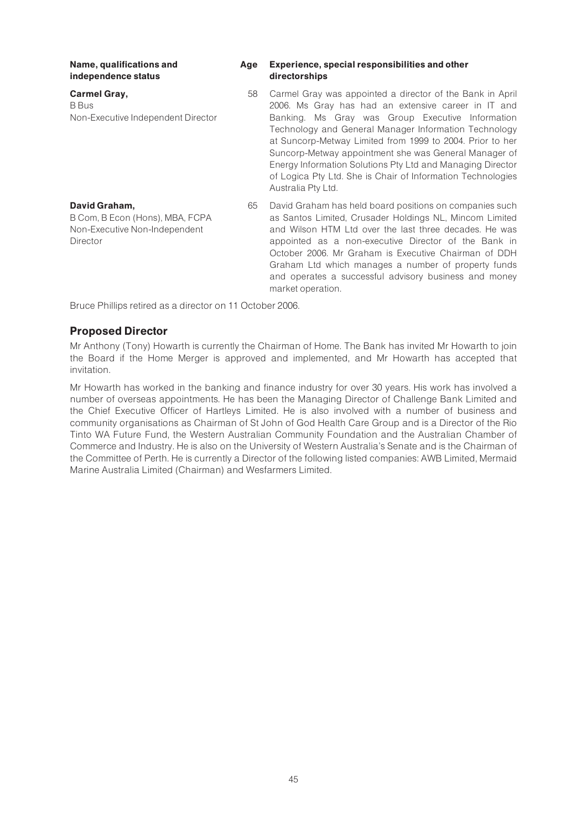Name, qualifications and independence status

Carmel Gray, B Bus Non-Executive Independent Director

B Com, B Econ (Hons), MBA, FCPA Non-Executive Non-Independent

#### Age Experience, special responsibilities and other directorships

- 58 Carmel Gray was appointed a director of the Bank in April 2006. Ms Gray has had an extensive career in IT and Banking. Ms Gray was Group Executive Information Technology and General Manager Information Technology at Suncorp-Metway Limited from 1999 to 2004. Prior to her Suncorp-Metway appointment she was General Manager of Energy Information Solutions Pty Ltd and Managing Director of Logica Pty Ltd. She is Chair of Information Technologies Australia Pty Ltd.
- 65 David Graham has held board positions on companies such as Santos Limited, Crusader Holdings NL, Mincom Limited and Wilson HTM Ltd over the last three decades. He was appointed as a non-executive Director of the Bank in October 2006. Mr Graham is Executive Chairman of DDH Graham Ltd which manages a number of property funds and operates a successful advisory business and money market operation.

Bruce Phillips retired as a director on 11 October 2006.

# Proposed Director

David Graham,

Director

Mr Anthony (Tony) Howarth is currently the Chairman of Home. The Bank has invited Mr Howarth to join the Board if the Home Merger is approved and implemented, and Mr Howarth has accepted that invitation.

Mr Howarth has worked in the banking and finance industry for over 30 years. His work has involved a number of overseas appointments. He has been the Managing Director of Challenge Bank Limited and the Chief Executive Officer of Hartleys Limited. He is also involved with a number of business and community organisations as Chairman of St John of God Health Care Group and is a Director of the Rio Tinto WA Future Fund, the Western Australian Community Foundation and the Australian Chamber of Commerce and Industry. He is also on the University of Western Australia's Senate and is the Chairman of the Committee of Perth. He is currently a Director of the following listed companies: AWB Limited, Mermaid Marine Australia Limited (Chairman) and Wesfarmers Limited.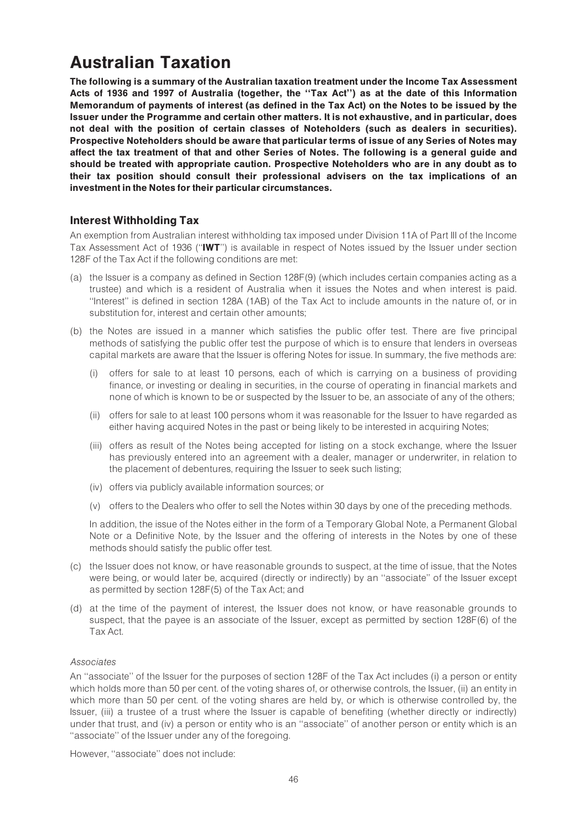# Australian Taxation

The following is a summary of the Australian taxation treatment under the Income Tax Assessment Acts of 1936 and 1997 of Australia (together, the ''Tax Act'') as at the date of this Information Memorandum of payments of interest (as defined in the Tax Act) on the Notes to be issued by the Issuer under the Programme and certain other matters. It is not exhaustive, and in particular, does not deal with the position of certain classes of Noteholders (such as dealers in securities). Prospective Noteholders should be aware that particular terms of issue of any Series of Notes may affect the tax treatment of that and other Series of Notes. The following is a general guide and should be treated with appropriate caution. Prospective Noteholders who are in any doubt as to their tax position should consult their professional advisers on the tax implications of an investment in the Notes for their particular circumstances.

# Interest Withholding Tax

An exemption from Australian interest withholding tax imposed under Division 11A of Part III of the Income Tax Assessment Act of 1936 (''IWT'') is available in respect of Notes issued by the Issuer under section 128F of the Tax Act if the following conditions are met:

- (a) the Issuer is a company as defined in Section 128F(9) (which includes certain companies acting as a trustee) and which is a resident of Australia when it issues the Notes and when interest is paid. ''Interest'' is defined in section 128A (1AB) of the Tax Act to include amounts in the nature of, or in substitution for, interest and certain other amounts;
- (b) the Notes are issued in a manner which satisfies the public offer test. There are five principal methods of satisfying the public offer test the purpose of which is to ensure that lenders in overseas capital markets are aware that the Issuer is offering Notes for issue. In summary, the five methods are:
	- (i) offers for sale to at least 10 persons, each of which is carrying on a business of providing finance, or investing or dealing in securities, in the course of operating in financial markets and none of which is known to be or suspected by the Issuer to be, an associate of any of the others;
	- (ii) offers for sale to at least 100 persons whom it was reasonable for the Issuer to have regarded as either having acquired Notes in the past or being likely to be interested in acquiring Notes;
	- (iii) offers as result of the Notes being accepted for listing on a stock exchange, where the Issuer has previously entered into an agreement with a dealer, manager or underwriter, in relation to the placement of debentures, requiring the Issuer to seek such listing;
	- (iv) offers via publicly available information sources; or
	- (v) offers to the Dealers who offer to sell the Notes within 30 days by one of the preceding methods.

In addition, the issue of the Notes either in the form of a Temporary Global Note, a Permanent Global Note or a Definitive Note, by the Issuer and the offering of interests in the Notes by one of these methods should satisfy the public offer test.

- (c) the Issuer does not know, or have reasonable grounds to suspect, at the time of issue, that the Notes were being, or would later be, acquired (directly or indirectly) by an ''associate'' of the Issuer except as permitted by section 128F(5) of the Tax Act; and
- (d) at the time of the payment of interest, the Issuer does not know, or have reasonable grounds to suspect, that the payee is an associate of the Issuer, except as permitted by section 128F(6) of the Tax Act.

# Associates

An ''associate'' of the Issuer for the purposes of section 128F of the Tax Act includes (i) a person or entity which holds more than 50 per cent. of the voting shares of, or otherwise controls, the Issuer, (ii) an entity in which more than 50 per cent. of the voting shares are held by, or which is otherwise controlled by, the Issuer, (iii) a trustee of a trust where the Issuer is capable of benefiting (whether directly or indirectly) under that trust, and (iv) a person or entity who is an ''associate'' of another person or entity which is an ''associate'' of the Issuer under any of the foregoing.

However, ''associate'' does not include: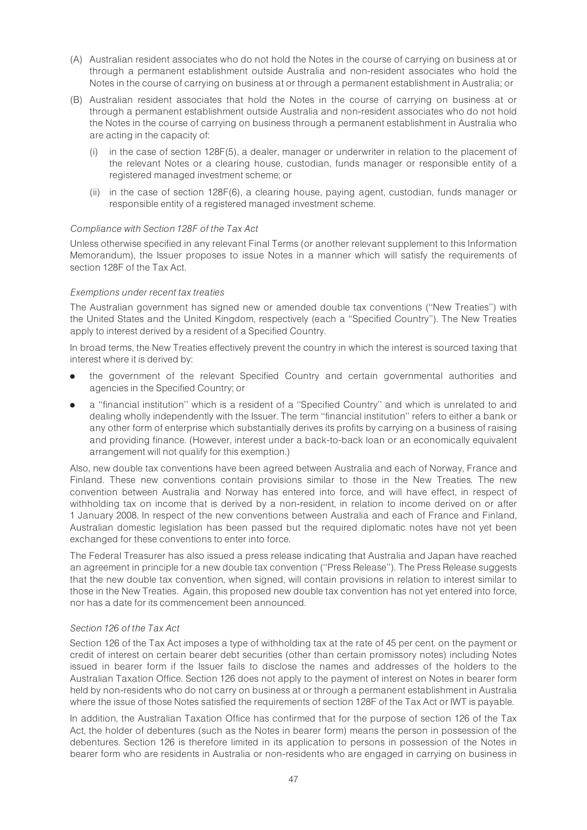- (A) Australian resident associates who do not hold the Notes in the course of carrying on business at or through a permanent establishment outside Australia and non-resident associates who hold the Notes in the course of carrying on business at or through a permanent establishment in Australia; or
- (B) Australian resident associates that hold the Notes in the course of carrying on business at or through a permanent establishment outside Australia and non-resident associates who do not hold the Notes in the course of carrying on business through a permanent establishment in Australia who are acting in the capacity of:
	- (i) in the case of section 128F(5), a dealer, manager or underwriter in relation to the placement of the relevant Notes or a clearing house, custodian, funds manager or responsible entity of a registered managed investment scheme; or
	- (ii) in the case of section 128F(6), a clearing house, paying agent, custodian, funds manager or responsible entity of a registered managed investment scheme.

### Compliance with Section 128F of the Tax Act

Unless otherwise specified in any relevant Final Terms (or another relevant supplement to this Information Memorandum), the Issuer proposes to issue Notes in a manner which will satisfy the requirements of section 128F of the Tax Act.

### Exemptions under recent tax treaties

The Australian government has signed new or amended double tax conventions (''New Treaties'') with the United States and the United Kingdom, respectively (each a ''Specified Country''). The New Treaties apply to interest derived by a resident of a Specified Country.

In broad terms, the New Treaties effectively prevent the country in which the interest is sourced taxing that interest where it is derived by:

- . the government of the relevant Specified Country and certain governmental authorities and agencies in the Specified Country; or
- a "financial institution" which is a resident of a "Specified Country" and which is unrelated to and dealing wholly independently with the Issuer. The term ''financial institution'' refers to either a bank or any other form of enterprise which substantially derives its profits by carrying on a business of raising and providing finance. (However, interest under a back-to-back loan or an economically equivalent arrangement will not qualify for this exemption.)

Also, new double tax conventions have been agreed between Australia and each of Norway, France and Finland. These new conventions contain provisions similar to those in the New Treaties. The new convention between Australia and Norway has entered into force, and will have effect, in respect of withholding tax on income that is derived by a non-resident, in relation to income derived on or after 1 January 2008. In respect of the new conventions between Australia and each of France and Finland, Australian domestic legislation has been passed but the required diplomatic notes have not yet been exchanged for these conventions to enter into force.

The Federal Treasurer has also issued a press release indicating that Australia and Japan have reached an agreement in principle for a new double tax convention (''Press Release''). The Press Release suggests that the new double tax convention, when signed, will contain provisions in relation to interest similar to those in the New Treaties. Again, this proposed new double tax convention has not yet entered into force, nor has a date for its commencement been announced.

#### Section 126 of the Tax Act

Section 126 of the Tax Act imposes a type of withholding tax at the rate of 45 per cent. on the payment or credit of interest on certain bearer debt securities (other than certain promissory notes) including Notes issued in bearer form if the Issuer fails to disclose the names and addresses of the holders to the Australian Taxation Office. Section 126 does not apply to the payment of interest on Notes in bearer form held by non-residents who do not carry on business at or through a permanent establishment in Australia where the issue of those Notes satisfied the requirements of section 128F of the Tax Act or IWT is payable.

In addition, the Australian Taxation Office has confirmed that for the purpose of section 126 of the Tax Act, the holder of debentures (such as the Notes in bearer form) means the person in possession of the debentures. Section 126 is therefore limited in its application to persons in possession of the Notes in bearer form who are residents in Australia or non-residents who are engaged in carrying on business in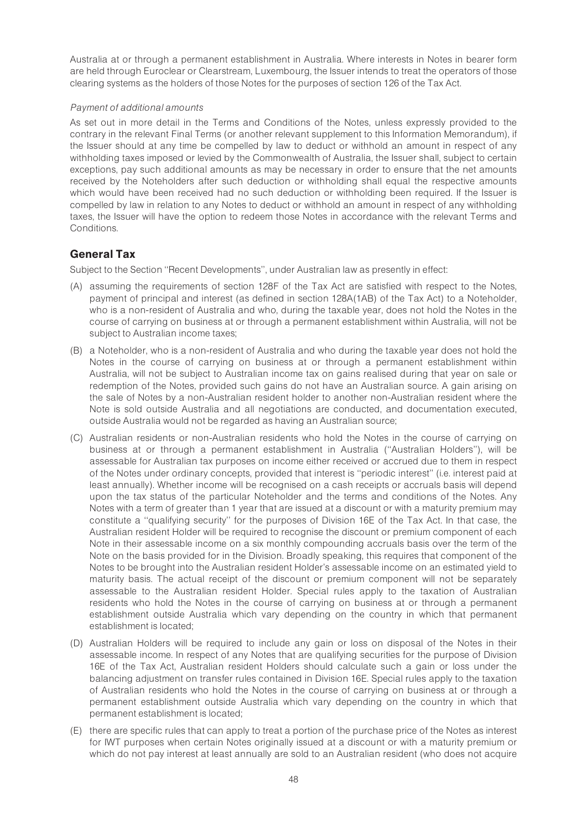Australia at or through a permanent establishment in Australia. Where interests in Notes in bearer form are held through Euroclear or Clearstream, Luxembourg, the Issuer intends to treat the operators of those clearing systems as the holders of those Notes for the purposes of section 126 of the Tax Act.

# Payment of additional amounts

As set out in more detail in the Terms and Conditions of the Notes, unless expressly provided to the contrary in the relevant Final Terms (or another relevant supplement to this Information Memorandum), if the Issuer should at any time be compelled by law to deduct or withhold an amount in respect of any withholding taxes imposed or levied by the Commonwealth of Australia, the Issuer shall, subject to certain exceptions, pay such additional amounts as may be necessary in order to ensure that the net amounts received by the Noteholders after such deduction or withholding shall equal the respective amounts which would have been received had no such deduction or withholding been required. If the Issuer is compelled by law in relation to any Notes to deduct or withhold an amount in respect of any withholding taxes, the Issuer will have the option to redeem those Notes in accordance with the relevant Terms and Conditions.

# General Tax

Subject to the Section ''Recent Developments'', under Australian law as presently in effect:

- (A) assuming the requirements of section 128F of the Tax Act are satisfied with respect to the Notes, payment of principal and interest (as defined in section 128A(1AB) of the Tax Act) to a Noteholder, who is a non-resident of Australia and who, during the taxable year, does not hold the Notes in the course of carrying on business at or through a permanent establishment within Australia, will not be subject to Australian income taxes;
- (B) a Noteholder, who is a non-resident of Australia and who during the taxable year does not hold the Notes in the course of carrying on business at or through a permanent establishment within Australia, will not be subject to Australian income tax on gains realised during that year on sale or redemption of the Notes, provided such gains do not have an Australian source. A gain arising on the sale of Notes by a non-Australian resident holder to another non-Australian resident where the Note is sold outside Australia and all negotiations are conducted, and documentation executed, outside Australia would not be regarded as having an Australian source;
- (C) Australian residents or non-Australian residents who hold the Notes in the course of carrying on business at or through a permanent establishment in Australia (''Australian Holders''), will be assessable for Australian tax purposes on income either received or accrued due to them in respect of the Notes under ordinary concepts, provided that interest is ''periodic interest'' (i.e. interest paid at least annually). Whether income will be recognised on a cash receipts or accruals basis will depend upon the tax status of the particular Noteholder and the terms and conditions of the Notes. Any Notes with a term of greater than 1 year that are issued at a discount or with a maturity premium may constitute a ''qualifying security'' for the purposes of Division 16E of the Tax Act. In that case, the Australian resident Holder will be required to recognise the discount or premium component of each Note in their assessable income on a six monthly compounding accruals basis over the term of the Note on the basis provided for in the Division. Broadly speaking, this requires that component of the Notes to be brought into the Australian resident Holder's assessable income on an estimated yield to maturity basis. The actual receipt of the discount or premium component will not be separately assessable to the Australian resident Holder. Special rules apply to the taxation of Australian residents who hold the Notes in the course of carrying on business at or through a permanent establishment outside Australia which vary depending on the country in which that permanent establishment is located;
- (D) Australian Holders will be required to include any gain or loss on disposal of the Notes in their assessable income. In respect of any Notes that are qualifying securities for the purpose of Division 16E of the Tax Act, Australian resident Holders should calculate such a gain or loss under the balancing adjustment on transfer rules contained in Division 16E. Special rules apply to the taxation of Australian residents who hold the Notes in the course of carrying on business at or through a permanent establishment outside Australia which vary depending on the country in which that permanent establishment is located;
- (E) there are specific rules that can apply to treat a portion of the purchase price of the Notes as interest for IWT purposes when certain Notes originally issued at a discount or with a maturity premium or which do not pay interest at least annually are sold to an Australian resident (who does not acquire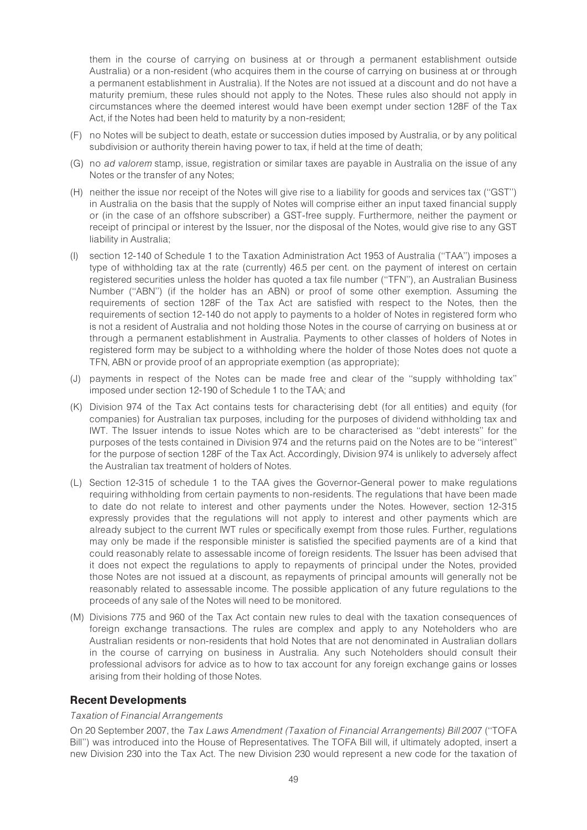them in the course of carrying on business at or through a permanent establishment outside Australia) or a non-resident (who acquires them in the course of carrying on business at or through a permanent establishment in Australia). If the Notes are not issued at a discount and do not have a maturity premium, these rules should not apply to the Notes. These rules also should not apply in circumstances where the deemed interest would have been exempt under section 128F of the Tax Act, if the Notes had been held to maturity by a non-resident;

- (F) no Notes will be subject to death, estate or succession duties imposed by Australia, or by any political subdivision or authority therein having power to tax, if held at the time of death;
- (G) no ad valorem stamp, issue, registration or similar taxes are payable in Australia on the issue of any Notes or the transfer of any Notes;
- (H) neither the issue nor receipt of the Notes will give rise to a liability for goods and services tax (''GST'') in Australia on the basis that the supply of Notes will comprise either an input taxed financial supply or (in the case of an offshore subscriber) a GST-free supply. Furthermore, neither the payment or receipt of principal or interest by the Issuer, nor the disposal of the Notes, would give rise to any GST liability in Australia;
- (I) section 12-140 of Schedule 1 to the Taxation Administration Act 1953 of Australia (''TAA'') imposes a type of withholding tax at the rate (currently) 46.5 per cent. on the payment of interest on certain registered securities unless the holder has quoted a tax file number (''TFN''), an Australian Business Number (''ABN'') (if the holder has an ABN) or proof of some other exemption. Assuming the requirements of section 128F of the Tax Act are satisfied with respect to the Notes, then the requirements of section 12-140 do not apply to payments to a holder of Notes in registered form who is not a resident of Australia and not holding those Notes in the course of carrying on business at or through a permanent establishment in Australia. Payments to other classes of holders of Notes in registered form may be subject to a withholding where the holder of those Notes does not quote a TFN, ABN or provide proof of an appropriate exemption (as appropriate);
- (J) payments in respect of the Notes can be made free and clear of the ''supply withholding tax'' imposed under section 12-190 of Schedule 1 to the TAA; and
- (K) Division 974 of the Tax Act contains tests for characterising debt (for all entities) and equity (for companies) for Australian tax purposes, including for the purposes of dividend withholding tax and IWT. The Issuer intends to issue Notes which are to be characterised as ''debt interests'' for the purposes of the tests contained in Division 974 and the returns paid on the Notes are to be ''interest'' for the purpose of section 128F of the Tax Act. Accordingly, Division 974 is unlikely to adversely affect the Australian tax treatment of holders of Notes.
- (L) Section 12-315 of schedule 1 to the TAA gives the Governor-General power to make regulations requiring withholding from certain payments to non-residents. The regulations that have been made to date do not relate to interest and other payments under the Notes. However, section 12-315 expressly provides that the regulations will not apply to interest and other payments which are already subject to the current IWT rules or specifically exempt from those rules. Further, regulations may only be made if the responsible minister is satisfied the specified payments are of a kind that could reasonably relate to assessable income of foreign residents. The Issuer has been advised that it does not expect the regulations to apply to repayments of principal under the Notes, provided those Notes are not issued at a discount, as repayments of principal amounts will generally not be reasonably related to assessable income. The possible application of any future regulations to the proceeds of any sale of the Notes will need to be monitored.
- (M) Divisions 775 and 960 of the Tax Act contain new rules to deal with the taxation consequences of foreign exchange transactions. The rules are complex and apply to any Noteholders who are Australian residents or non-residents that hold Notes that are not denominated in Australian dollars in the course of carrying on business in Australia. Any such Noteholders should consult their professional advisors for advice as to how to tax account for any foreign exchange gains or losses arising from their holding of those Notes.

# Recent Developments

#### Taxation of Financial Arrangements

On 20 September 2007, the Tax Laws Amendment (Taxation of Financial Arrangements) Bill 2007 (''TOFA Bill'') was introduced into the House of Representatives. The TOFA Bill will, if ultimately adopted, insert a new Division 230 into the Tax Act. The new Division 230 would represent a new code for the taxation of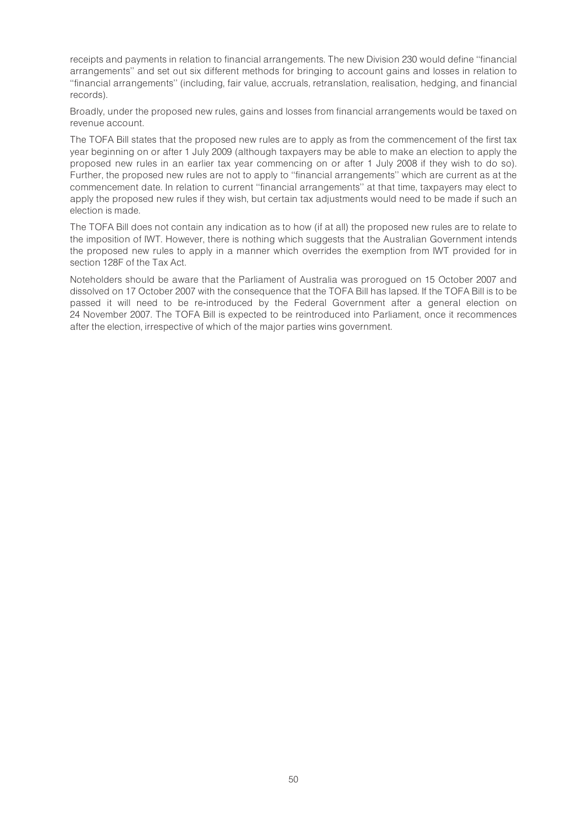receipts and payments in relation to financial arrangements. The new Division 230 would define ''financial arrangements'' and set out six different methods for bringing to account gains and losses in relation to ''financial arrangements'' (including, fair value, accruals, retranslation, realisation, hedging, and financial records).

Broadly, under the proposed new rules, gains and losses from financial arrangements would be taxed on revenue account.

The TOFA Bill states that the proposed new rules are to apply as from the commencement of the first tax year beginning on or after 1 July 2009 (although taxpayers may be able to make an election to apply the proposed new rules in an earlier tax year commencing on or after 1 July 2008 if they wish to do so). Further, the proposed new rules are not to apply to ''financial arrangements'' which are current as at the commencement date. In relation to current ''financial arrangements'' at that time, taxpayers may elect to apply the proposed new rules if they wish, but certain tax adjustments would need to be made if such an election is made.

The TOFA Bill does not contain any indication as to how (if at all) the proposed new rules are to relate to the imposition of IWT. However, there is nothing which suggests that the Australian Government intends the proposed new rules to apply in a manner which overrides the exemption from IWT provided for in section 128F of the Tax Act.

Noteholders should be aware that the Parliament of Australia was prorogued on 15 October 2007 and dissolved on 17 October 2007 with the consequence that the TOFA Bill has lapsed. If the TOFA Bill is to be passed it will need to be re-introduced by the Federal Government after a general election on 24 November 2007. The TOFA Bill is expected to be reintroduced into Parliament, once it recommences after the election, irrespective of which of the major parties wins government.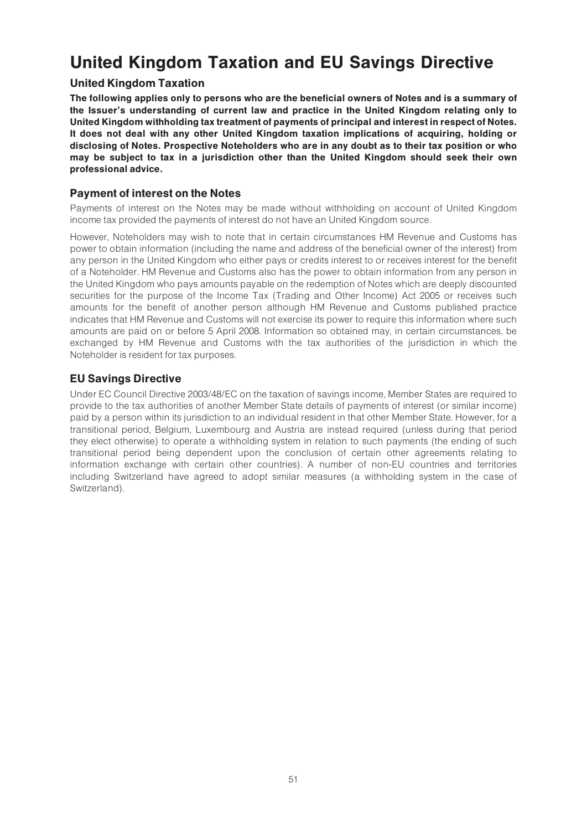# United Kingdom Taxation and EU Savings Directive

# United Kingdom Taxation

The following applies only to persons who are the beneficial owners of Notes and is a summary of the Issuer's understanding of current law and practice in the United Kingdom relating only to United Kingdom withholding tax treatment of payments of principal and interest in respect of Notes. It does not deal with any other United Kingdom taxation implications of acquiring, holding or disclosing of Notes. Prospective Noteholders who are in any doubt as to their tax position or who may be subject to tax in a jurisdiction other than the United Kingdom should seek their own professional advice.

# Payment of interest on the Notes

Payments of interest on the Notes may be made without withholding on account of United Kingdom income tax provided the payments of interest do not have an United Kingdom source.

However, Noteholders may wish to note that in certain circumstances HM Revenue and Customs has power to obtain information (including the name and address of the beneficial owner of the interest) from any person in the United Kingdom who either pays or credits interest to or receives interest for the benefit of a Noteholder. HM Revenue and Customs also has the power to obtain information from any person in the United Kingdom who pays amounts payable on the redemption of Notes which are deeply discounted securities for the purpose of the Income Tax (Trading and Other Income) Act 2005 or receives such amounts for the benefit of another person although HM Revenue and Customs published practice indicates that HM Revenue and Customs will not exercise its power to require this information where such amounts are paid on or before 5 April 2008. Information so obtained may, in certain circumstances, be exchanged by HM Revenue and Customs with the tax authorities of the jurisdiction in which the Noteholder is resident for tax purposes.

# EU Savings Directive

Under EC Council Directive 2003/48/EC on the taxation of savings income, Member States are required to provide to the tax authorities of another Member State details of payments of interest (or similar income) paid by a person within its jurisdiction to an individual resident in that other Member State. However, for a transitional period, Belgium, Luxembourg and Austria are instead required (unless during that period they elect otherwise) to operate a withholding system in relation to such payments (the ending of such transitional period being dependent upon the conclusion of certain other agreements relating to information exchange with certain other countries). A number of non-EU countries and territories including Switzerland have agreed to adopt similar measures (a withholding system in the case of Switzerland).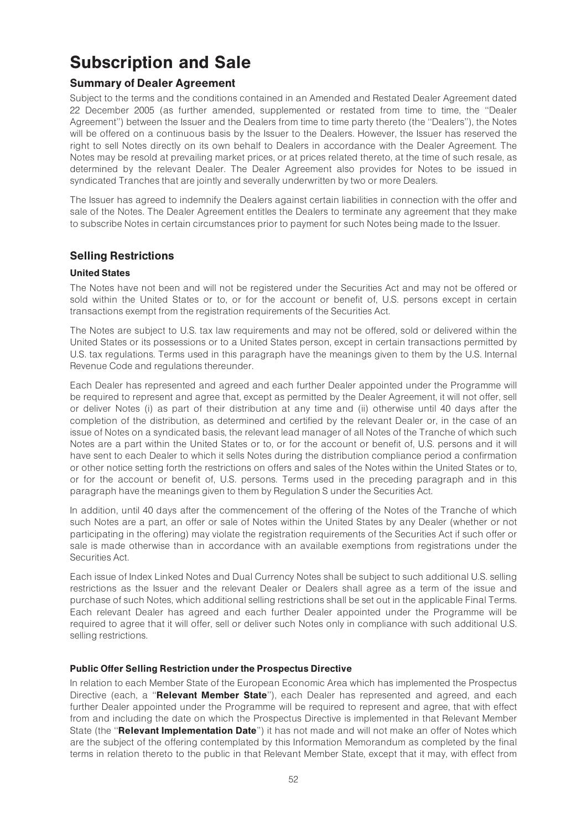# Subscription and Sale

# Summary of Dealer Agreement

Subject to the terms and the conditions contained in an Amended and Restated Dealer Agreement dated 22 December 2005 (as further amended, supplemented or restated from time to time, the ''Dealer Agreement'') between the Issuer and the Dealers from time to time party thereto (the ''Dealers''), the Notes will be offered on a continuous basis by the Issuer to the Dealers. However, the Issuer has reserved the right to sell Notes directly on its own behalf to Dealers in accordance with the Dealer Agreement. The Notes may be resold at prevailing market prices, or at prices related thereto, at the time of such resale, as determined by the relevant Dealer. The Dealer Agreement also provides for Notes to be issued in syndicated Tranches that are jointly and severally underwritten by two or more Dealers.

The Issuer has agreed to indemnify the Dealers against certain liabilities in connection with the offer and sale of the Notes. The Dealer Agreement entitles the Dealers to terminate any agreement that they make to subscribe Notes in certain circumstances prior to payment for such Notes being made to the Issuer.

# Selling Restrictions

# United States

The Notes have not been and will not be registered under the Securities Act and may not be offered or sold within the United States or to, or for the account or benefit of, U.S. persons except in certain transactions exempt from the registration requirements of the Securities Act.

The Notes are subject to U.S. tax law requirements and may not be offered, sold or delivered within the United States or its possessions or to a United States person, except in certain transactions permitted by U.S. tax regulations. Terms used in this paragraph have the meanings given to them by the U.S. Internal Revenue Code and regulations thereunder.

Each Dealer has represented and agreed and each further Dealer appointed under the Programme will be required to represent and agree that, except as permitted by the Dealer Agreement, it will not offer, sell or deliver Notes (i) as part of their distribution at any time and (ii) otherwise until 40 days after the completion of the distribution, as determined and certified by the relevant Dealer or, in the case of an issue of Notes on a syndicated basis, the relevant lead manager of all Notes of the Tranche of which such Notes are a part within the United States or to, or for the account or benefit of, U.S. persons and it will have sent to each Dealer to which it sells Notes during the distribution compliance period a confirmation or other notice setting forth the restrictions on offers and sales of the Notes within the United States or to, or for the account or benefit of, U.S. persons. Terms used in the preceding paragraph and in this paragraph have the meanings given to them by Regulation S under the Securities Act.

In addition, until 40 days after the commencement of the offering of the Notes of the Tranche of which such Notes are a part, an offer or sale of Notes within the United States by any Dealer (whether or not participating in the offering) may violate the registration requirements of the Securities Act if such offer or sale is made otherwise than in accordance with an available exemptions from registrations under the Securities Act.

Each issue of Index Linked Notes and Dual Currency Notes shall be subject to such additional U.S. selling restrictions as the Issuer and the relevant Dealer or Dealers shall agree as a term of the issue and purchase of such Notes, which additional selling restrictions shall be set out in the applicable Final Terms. Each relevant Dealer has agreed and each further Dealer appointed under the Programme will be required to agree that it will offer, sell or deliver such Notes only in compliance with such additional U.S. selling restrictions.

# Public Offer Selling Restriction under the Prospectus Directive

In relation to each Member State of the European Economic Area which has implemented the Prospectus Directive (each, a "Relevant Member State"), each Dealer has represented and agreed, and each further Dealer appointed under the Programme will be required to represent and agree, that with effect from and including the date on which the Prospectus Directive is implemented in that Relevant Member State (the "Relevant Implementation Date") it has not made and will not make an offer of Notes which are the subject of the offering contemplated by this Information Memorandum as completed by the final terms in relation thereto to the public in that Relevant Member State, except that it may, with effect from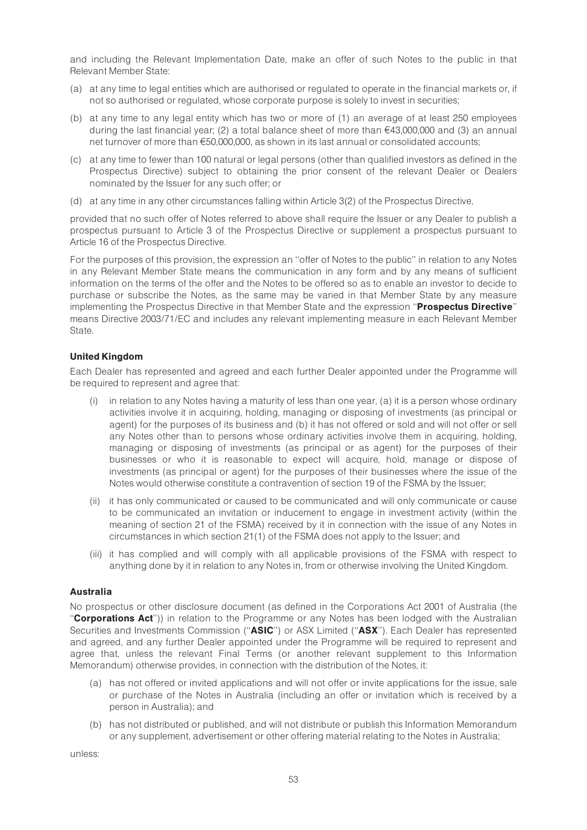and including the Relevant Implementation Date, make an offer of such Notes to the public in that Relevant Member State:

- (a) at any time to legal entities which are authorised or regulated to operate in the financial markets or, if not so authorised or regulated, whose corporate purpose is solely to invest in securities;
- (b) at any time to any legal entity which has two or more of (1) an average of at least 250 employees during the last financial year; (2) a total balance sheet of more than  $\epsilon$ 43,000,000 and (3) an annual net turnover of more than €50,000,000, as shown in its last annual or consolidated accounts;
- (c) at any time to fewer than 100 natural or legal persons (other than qualified investors as defined in the Prospectus Directive) subject to obtaining the prior consent of the relevant Dealer or Dealers nominated by the Issuer for any such offer; or
- (d) at any time in any other circumstances falling within Article 3(2) of the Prospectus Directive,

provided that no such offer of Notes referred to above shall require the Issuer or any Dealer to publish a prospectus pursuant to Article 3 of the Prospectus Directive or supplement a prospectus pursuant to Article 16 of the Prospectus Directive.

For the purposes of this provision, the expression an ''offer of Notes to the public'' in relation to any Notes in any Relevant Member State means the communication in any form and by any means of sufficient information on the terms of the offer and the Notes to be offered so as to enable an investor to decide to purchase or subscribe the Notes, as the same may be varied in that Member State by any measure implementing the Prospectus Directive in that Member State and the expression "Prospectus Directive" means Directive 2003/71/EC and includes any relevant implementing measure in each Relevant Member State.

### United Kingdom

Each Dealer has represented and agreed and each further Dealer appointed under the Programme will be required to represent and agree that:

- (i) in relation to any Notes having a maturity of less than one year, (a) it is a person whose ordinary activities involve it in acquiring, holding, managing or disposing of investments (as principal or agent) for the purposes of its business and (b) it has not offered or sold and will not offer or sell any Notes other than to persons whose ordinary activities involve them in acquiring, holding, managing or disposing of investments (as principal or as agent) for the purposes of their businesses or who it is reasonable to expect will acquire, hold, manage or dispose of investments (as principal or agent) for the purposes of their businesses where the issue of the Notes would otherwise constitute a contravention of section 19 of the FSMA by the Issuer;
- (ii) it has only communicated or caused to be communicated and will only communicate or cause to be communicated an invitation or inducement to engage in investment activity (within the meaning of section 21 of the FSMA) received by it in connection with the issue of any Notes in circumstances in which section 21(1) of the FSMA does not apply to the Issuer; and
- (iii) it has complied and will comply with all applicable provisions of the FSMA with respect to anything done by it in relation to any Notes in, from or otherwise involving the United Kingdom.

#### Australia

No prospectus or other disclosure document (as defined in the Corporations Act 2001 of Australia (the "Corporations Act")) in relation to the Programme or any Notes has been lodged with the Australian Securities and Investments Commission ("ASIC") or ASX Limited ("ASX"). Each Dealer has represented and agreed, and any further Dealer appointed under the Programme will be required to represent and agree that, unless the relevant Final Terms (or another relevant supplement to this Information Memorandum) otherwise provides, in connection with the distribution of the Notes, it:

- (a) has not offered or invited applications and will not offer or invite applications for the issue, sale or purchase of the Notes in Australia (including an offer or invitation which is received by a person in Australia); and
- (b) has not distributed or published, and will not distribute or publish this Information Memorandum or any supplement, advertisement or other offering material relating to the Notes in Australia;

unless: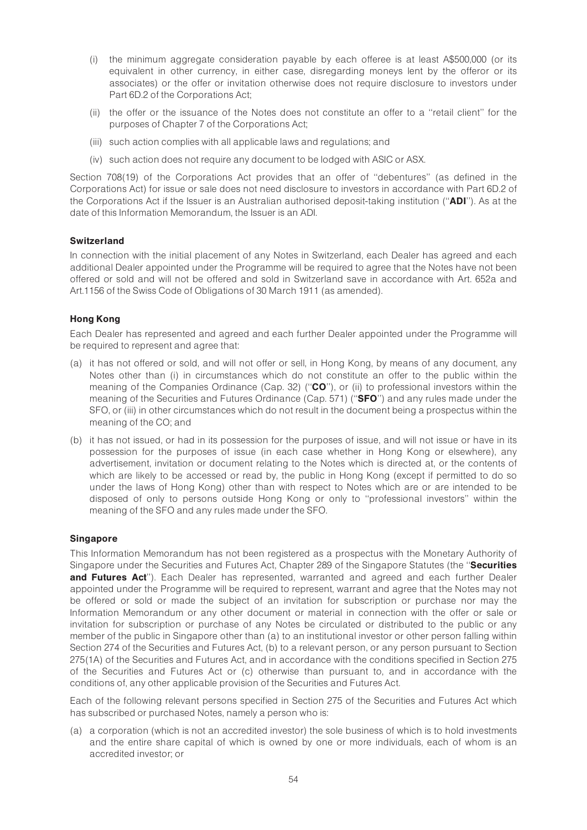- (i) the minimum aggregate consideration payable by each offeree is at least A\$500,000 (or its equivalent in other currency, in either case, disregarding moneys lent by the offeror or its associates) or the offer or invitation otherwise does not require disclosure to investors under Part 6D.2 of the Corporations Act;
- (ii) the offer or the issuance of the Notes does not constitute an offer to a ''retail client'' for the purposes of Chapter 7 of the Corporations Act;
- (iii) such action complies with all applicable laws and regulations; and
- (iv) such action does not require any document to be lodged with ASIC or ASX.

Section 708(19) of the Corporations Act provides that an offer of ''debentures'' (as defined in the Corporations Act) for issue or sale does not need disclosure to investors in accordance with Part 6D.2 of the Corporations Act if the Issuer is an Australian authorised deposit-taking institution (''ADI''). As at the date of this Information Memorandum, the Issuer is an ADI.

# **Switzerland**

In connection with the initial placement of any Notes in Switzerland, each Dealer has agreed and each additional Dealer appointed under the Programme will be required to agree that the Notes have not been offered or sold and will not be offered and sold in Switzerland save in accordance with Art. 652a and Art.1156 of the Swiss Code of Obligations of 30 March 1911 (as amended).

# Hong Kong

Each Dealer has represented and agreed and each further Dealer appointed under the Programme will be required to represent and agree that:

- (a) it has not offered or sold, and will not offer or sell, in Hong Kong, by means of any document, any Notes other than (i) in circumstances which do not constitute an offer to the public within the meaning of the Companies Ordinance (Cap. 32) ("CO"), or (ii) to professional investors within the meaning of the Securities and Futures Ordinance (Cap. 571) ("SFO") and any rules made under the SFO, or (iii) in other circumstances which do not result in the document being a prospectus within the meaning of the CO; and
- (b) it has not issued, or had in its possession for the purposes of issue, and will not issue or have in its possession for the purposes of issue (in each case whether in Hong Kong or elsewhere), any advertisement, invitation or document relating to the Notes which is directed at, or the contents of which are likely to be accessed or read by, the public in Hong Kong (except if permitted to do so under the laws of Hong Kong) other than with respect to Notes which are or are intended to be disposed of only to persons outside Hong Kong or only to ''professional investors'' within the meaning of the SFO and any rules made under the SFO.

#### Singapore

This Information Memorandum has not been registered as a prospectus with the Monetary Authority of Singapore under the Securities and Futures Act, Chapter 289 of the Singapore Statutes (the "Securities and Futures Act"). Each Dealer has represented, warranted and agreed and each further Dealer appointed under the Programme will be required to represent, warrant and agree that the Notes may not be offered or sold or made the subject of an invitation for subscription or purchase nor may the Information Memorandum or any other document or material in connection with the offer or sale or invitation for subscription or purchase of any Notes be circulated or distributed to the public or any member of the public in Singapore other than (a) to an institutional investor or other person falling within Section 274 of the Securities and Futures Act, (b) to a relevant person, or any person pursuant to Section 275(1A) of the Securities and Futures Act, and in accordance with the conditions specified in Section 275 of the Securities and Futures Act or (c) otherwise than pursuant to, and in accordance with the conditions of, any other applicable provision of the Securities and Futures Act.

Each of the following relevant persons specified in Section 275 of the Securities and Futures Act which has subscribed or purchased Notes, namely a person who is:

(a) a corporation (which is not an accredited investor) the sole business of which is to hold investments and the entire share capital of which is owned by one or more individuals, each of whom is an accredited investor; or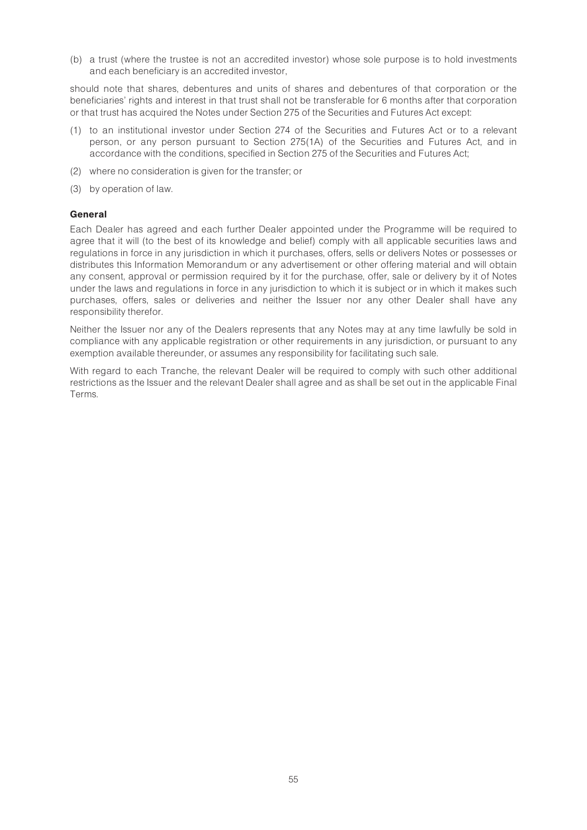(b) a trust (where the trustee is not an accredited investor) whose sole purpose is to hold investments and each beneficiary is an accredited investor,

should note that shares, debentures and units of shares and debentures of that corporation or the beneficiaries' rights and interest in that trust shall not be transferable for 6 months after that corporation or that trust has acquired the Notes under Section 275 of the Securities and Futures Act except:

- (1) to an institutional investor under Section 274 of the Securities and Futures Act or to a relevant person, or any person pursuant to Section 275(1A) of the Securities and Futures Act, and in accordance with the conditions, specified in Section 275 of the Securities and Futures Act;
- (2) where no consideration is given for the transfer; or
- (3) by operation of law.

#### General

Each Dealer has agreed and each further Dealer appointed under the Programme will be required to agree that it will (to the best of its knowledge and belief) comply with all applicable securities laws and regulations in force in any jurisdiction in which it purchases, offers, sells or delivers Notes or possesses or distributes this Information Memorandum or any advertisement or other offering material and will obtain any consent, approval or permission required by it for the purchase, offer, sale or delivery by it of Notes under the laws and regulations in force in any jurisdiction to which it is subject or in which it makes such purchases, offers, sales or deliveries and neither the Issuer nor any other Dealer shall have any responsibility therefor.

Neither the Issuer nor any of the Dealers represents that any Notes may at any time lawfully be sold in compliance with any applicable registration or other requirements in any jurisdiction, or pursuant to any exemption available thereunder, or assumes any responsibility for facilitating such sale.

With regard to each Tranche, the relevant Dealer will be required to comply with such other additional restrictions as the Issuer and the relevant Dealer shall agree and as shall be set out in the applicable Final Terms.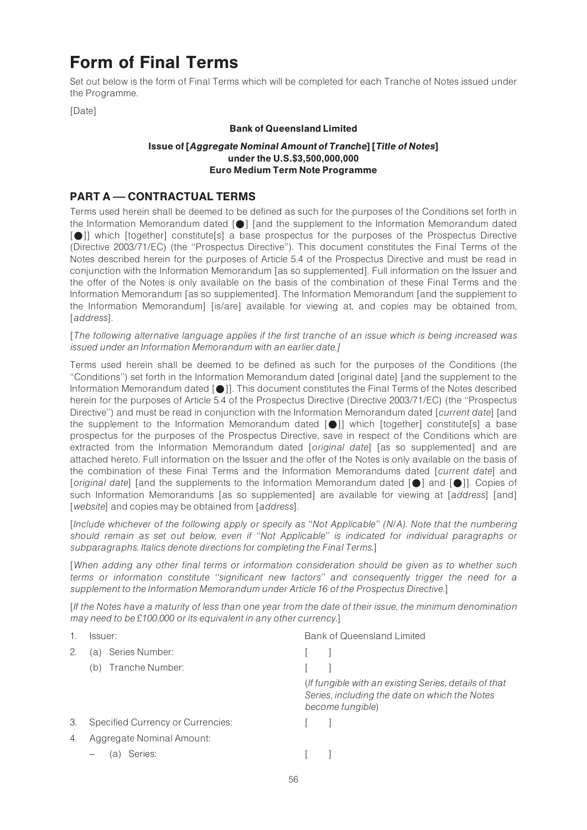# Form of Final Terms

Set out below is the form of Final Terms which will be completed for each Tranche of Notes issued under the Programme.

[Date]

# Bank of Queensland Limited

## Issue of [Aggregate Nominal Amount of Tranche] [Title of Notes] under the U.S.\$3,500,000,000 Euro Medium Term Note Programme

# PART A - CONTRACTUAL TERMS

Terms used herein shall be deemed to be defined as such for the purposes of the Conditions set forth in the Information Memorandum dated  $[\bullet]$  [and the supplement to the Information Memorandum dated [ $\bigcirc$ ]] which [together] constitute[s] a base prospectus for the purposes of the Prospectus Directive (Directive 2003/71/EC) (the ''Prospectus Directive''). This document constitutes the Final Terms of the Notes described herein for the purposes of Article 5.4 of the Prospectus Directive and must be read in conjunction with the Information Memorandum [as so supplemented]. Full information on the Issuer and the offer of the Notes is only available on the basis of the combination of these Final Terms and the Information Memorandum [as so supplemented]. The Information Memorandum [and the supplement to the Information Memorandum] [is/are] available for viewing at, and copies may be obtained from, [address].

[The following alternative language applies if the first tranche of an issue which is being increased was issued under an Information Memorandum with an earlier date.]

Terms used herein shall be deemed to be defined as such for the purposes of the Conditions (the ''Conditions'') set forth in the Information Memorandum dated [original date] [and the supplement to the Information Memorandum dated [ $\bigcirc$ ]. This document constitutes the Final Terms of the Notes described herein for the purposes of Article 5.4 of the Prospectus Directive (Directive 2003/71/EC) (the ''Prospectus Directive") and must be read in conjunction with the Information Memorandum dated [current date] [and the supplement to the Information Memorandum dated [\*]] which [together] constitute[s] a base prospectus for the purposes of the Prospectus Directive, save in respect of the Conditions which are extracted from the Information Memorandum dated [original date] [as so supplemented] and are attached hereto. Full information on the Issuer and the offer of the Notes is only available on the basis of the combination of these Final Terms and the Information Memorandums dated [current date] and [original date] [and the supplements to the Information Memorandum dated  $[0]$  and  $[0]$ ]. Copies of such Information Memorandums [as so supplemented] are available for viewing at [address] [and] [website] and copies may be obtained from [address].

[Include whichever of the following apply or specify as ''Not Applicable'' (N/A). Note that the numbering should remain as set out below, even if ''Not Applicable'' is indicated for individual paragraphs or subparagraphs. Italics denote directions for completing the Final Terms.]

[When adding any other final terms or information consideration should be given as to whether such terms or information constitute ''significant new factors'' and consequently trigger the need for a supplement to the Information Memorandum under Article 16 of the Prospectus Directive.]

[If the Notes have a maturity of less than one year from the date of their issue, the minimum denomination may need to be  $£100,000$  or its equivalent in any other currency.]

|    | lssuer:                           | <b>Bank of Queensland Limited</b>                                                                                          |
|----|-----------------------------------|----------------------------------------------------------------------------------------------------------------------------|
| 2. | Series Number:<br>'a)             |                                                                                                                            |
|    | Tranche Number:<br>(b)            |                                                                                                                            |
|    |                                   | (If fungible with an existing Series, details of that<br>Series, including the date on which the Notes<br>become fungible) |
| 3. | Specified Currency or Currencies: |                                                                                                                            |
| 4. | Aggregate Nominal Amount:         |                                                                                                                            |
|    | Series:<br>la:                    |                                                                                                                            |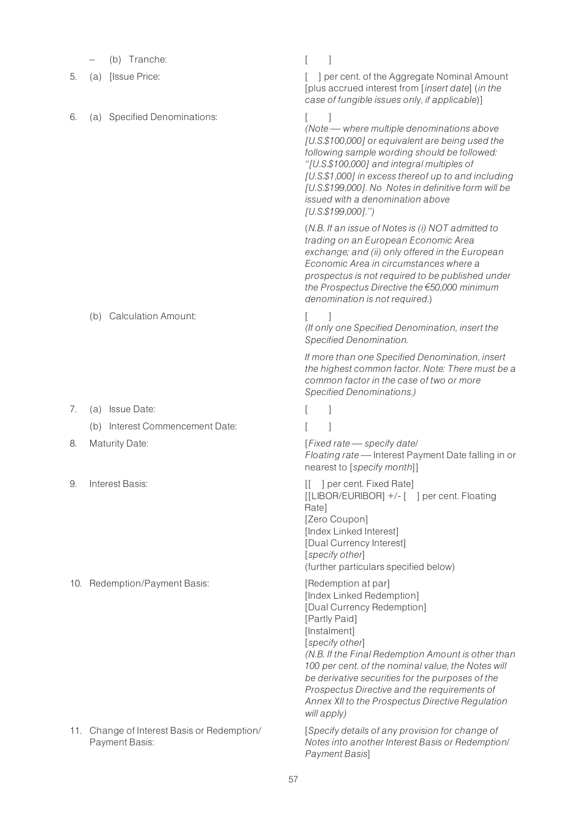|    | (b) Tranche:                                                  |                                                                                                                                                                                                                                                                                                                                                                                                                       |
|----|---------------------------------------------------------------|-----------------------------------------------------------------------------------------------------------------------------------------------------------------------------------------------------------------------------------------------------------------------------------------------------------------------------------------------------------------------------------------------------------------------|
| 5. | [Issue Price:<br>(a)                                          | ] per cent. of the Aggregate Nominal Amount<br>[plus accrued interest from [insert date] (in the<br>case of fungible issues only, if applicable)]                                                                                                                                                                                                                                                                     |
| 6. | (a) Specified Denominations:                                  | (Note - where multiple denominations above<br>[U.S.\$100,000] or equivalent are being used the<br>following sample wording should be followed:<br>"[U.S.\$100,000] and integral multiples of<br>[U.S.\$1,000] in excess thereof up to and including<br>[U.S.\$199,000]. No Notes in definitive form will be<br>issued with a denomination above<br>$[U.S.\$199,000]'$ .")                                             |
|    |                                                               | (N.B. If an issue of Notes is (i) NOT admitted to<br>trading on an European Economic Area<br>exchange; and (ii) only offered in the European<br>Economic Area in circumstances where a<br>prospectus is not required to be published under<br>the Prospectus Directive the €50,000 minimum<br>denomination is not required.)                                                                                          |
|    | <b>Calculation Amount:</b><br>(b)                             | (If only one Specified Denomination, insert the<br>Specified Denomination.                                                                                                                                                                                                                                                                                                                                            |
|    |                                                               | If more than one Specified Denomination, insert<br>the highest common factor. Note: There must be a<br>common factor in the case of two or more<br>Specified Denominations.)                                                                                                                                                                                                                                          |
| 7. | (a) Issue Date:                                               |                                                                                                                                                                                                                                                                                                                                                                                                                       |
|    | (b) Interest Commencement Date:                               |                                                                                                                                                                                                                                                                                                                                                                                                                       |
| 8. | <b>Maturity Date:</b>                                         | [Fixed rate - specify date/<br>Floating rate - Interest Payment Date falling in or<br>nearest to [specify month]]                                                                                                                                                                                                                                                                                                     |
| 9. | Interest Basis:                                               | per cent. Fixed Rate]<br>[[LIBOR/EURIBOR] +/- [ ] per cent. Floating<br>Rate]<br>[Zero Coupon]<br>[Index Linked Interest]<br>[Dual Currency Interest]<br>[specify other]<br>(further particulars specified below)                                                                                                                                                                                                     |
|    | 10. Redemption/Payment Basis:                                 | [Redemption at par]<br>[Index Linked Redemption]<br>[Dual Currency Redemption]<br>[Partly Paid]<br>[Instalment]<br>[specify other]<br>(N.B. If the Final Redemption Amount is other than<br>100 per cent. of the nominal value, the Notes will<br>be derivative securities for the purposes of the<br>Prospectus Directive and the requirements of<br>Annex XII to the Prospectus Directive Regulation<br>will apply) |
|    | 11. Change of Interest Basis or Redemption/<br>Payment Basis: | [Specify details of any provision for change of<br>Notes into another Interest Basis or Redemption/<br>Payment Basis]                                                                                                                                                                                                                                                                                                 |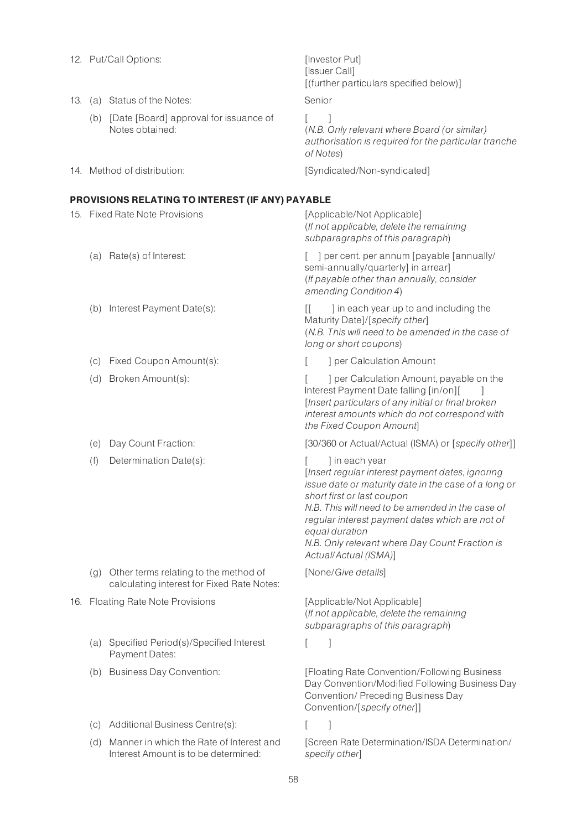|     | 12. Put/Call Options:                                                               | [Investor Put]<br>[Issuer Call]<br>[(further particulars specified below)]                                                                                                                                                                                                                                                                                   |
|-----|-------------------------------------------------------------------------------------|--------------------------------------------------------------------------------------------------------------------------------------------------------------------------------------------------------------------------------------------------------------------------------------------------------------------------------------------------------------|
|     | 13. (a) Status of the Notes:                                                        | Senior                                                                                                                                                                                                                                                                                                                                                       |
|     | (b) [Date [Board] approval for issuance of<br>Notes obtained:                       | 1<br>(N.B. Only relevant where Board (or similar)<br>authorisation is required for the particular tranche<br>of Notes)                                                                                                                                                                                                                                       |
|     | 14. Method of distribution:                                                         | [Syndicated/Non-syndicated]                                                                                                                                                                                                                                                                                                                                  |
|     | PROVISIONS RELATING TO INTEREST (IF ANY) PAYABLE                                    |                                                                                                                                                                                                                                                                                                                                                              |
|     | 15. Fixed Rate Note Provisions                                                      | [Applicable/Not Applicable]<br>(If not applicable, delete the remaining<br>subparagraphs of this paragraph)                                                                                                                                                                                                                                                  |
|     | (a) Rate(s) of Interest:                                                            | [ ] per cent. per annum [payable [annually/<br>semi-annually/quarterly] in arrear]<br>(If payable other than annually, consider<br>amending Condition 4)                                                                                                                                                                                                     |
|     | (b) Interest Payment Date(s):                                                       | ] in each year up to and including the<br>IL.<br>Maturity Date]/[specify other]<br>(N.B. This will need to be amended in the case of<br>long or short coupons)                                                                                                                                                                                               |
|     | (c) Fixed Coupon Amount(s):                                                         | ] per Calculation Amount                                                                                                                                                                                                                                                                                                                                     |
| (d) | Broken Amount(s):                                                                   | ] per Calculation Amount, payable on the<br>Interest Payment Date falling [in/on][<br>[Insert particulars of any initial or final broken<br>interest amounts which do not correspond with<br>the Fixed Coupon Amount]                                                                                                                                        |
| (e) | Day Count Fraction:                                                                 | [30/360 or Actual/Actual (ISMA) or [specify other]]                                                                                                                                                                                                                                                                                                          |
| (f) | Determination Date(s):                                                              | ] in each year<br>[Insert regular interest payment dates, ignoring<br>issue date or maturity date in the case of a long or<br>short first or last coupon<br>N.B. This will need to be amended in the case of<br>regular interest payment dates which are not of<br>equal duration<br>N.B. Only relevant where Day Count Fraction is<br>Actual/Actual (ISMA)] |
| (g) | Other terms relating to the method of<br>calculating interest for Fixed Rate Notes: | [None/Give details]                                                                                                                                                                                                                                                                                                                                          |
|     | 16. Floating Rate Note Provisions                                                   | [Applicable/Not Applicable]<br>(If not applicable, delete the remaining<br>subparagraphs of this paragraph)                                                                                                                                                                                                                                                  |
|     | (a) Specified Period(s)/Specified Interest<br>Payment Dates:                        |                                                                                                                                                                                                                                                                                                                                                              |
|     | (b) Business Day Convention:                                                        | [Floating Rate Convention/Following Business<br>Day Convention/Modified Following Business Day<br>Convention/ Preceding Business Day<br>Convention/[specify other]]                                                                                                                                                                                          |
| (C) | Additional Business Centre(s):                                                      |                                                                                                                                                                                                                                                                                                                                                              |
| (d) | Manner in which the Rate of Interest and<br>Interest Amount is to be determined:    | [Screen Rate Determination/ISDA Determination/<br>specify other]                                                                                                                                                                                                                                                                                             |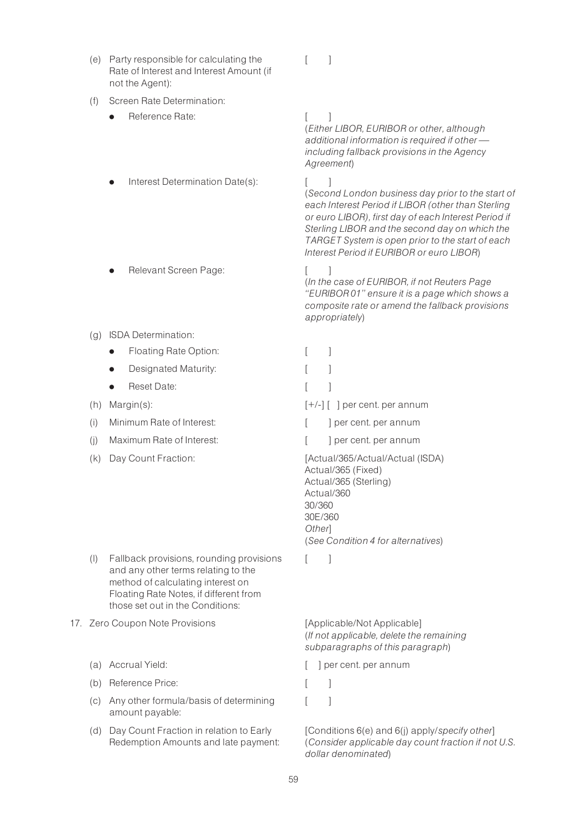- (e) Party responsible for calculating the Rate of Interest and Interest Amount (if not the Agent):
- (f) Screen Rate Determination:
	- Reference Rate: [ ]
	- Interest Determination Date(s): [ ]
	- Relevant Screen Page: [ ]
- (g) ISDA Determination:
	- Floating Rate Option:
	- Designated Maturity:
	- Reset Date:
- (h) Margin $(s)$ :
- (i) Minimum Rate of Interest:
- $(i)$  Maximum Rate of Interest:
- 

- (l) Fallback provisions, rounding provisions and any other terms relating to the method of calculating interest on Floating Rate Notes, if different from those set out in the Conditions:
- 17. Zero Coupon Note Provisions [Applicable/Not Applicable]
	-
	- (b) Reference Price: [ ]
	- (c) Any other formula/basis of determining amount payable:
	- (d) Day Count Fraction in relation to Early Redemption Amounts and late payment:

 $[$   $]$ 

(Either LIBOR, EURIBOR or other, although additional information is required if other  $$ including fallback provisions in the Agency Agreement)

(Second London business day prior to the start of each Interest Period if LIBOR (other than Sterling or euro LIBOR), first day of each Interest Period if Sterling LIBOR and the second day on which the TARGET System is open prior to the start of each Interest Period if EURIBOR or euro LIBOR)

(In the case of EURIBOR, if not Reuters Page ''EURIBOR 01'' ensure it is a page which shows a composite rate or amend the fallback provisions appropriately)

|     | Floating Rate Option:             |                                                                                                         |  |  |
|-----|-----------------------------------|---------------------------------------------------------------------------------------------------------|--|--|
|     | Designated Maturity:<br>$\bullet$ |                                                                                                         |  |  |
|     | Reset Date:<br>$\bullet$          |                                                                                                         |  |  |
| (h) | $Margin(s)$ :                     | $[+/]-$ ]   per cent. per annum                                                                         |  |  |
| (i) | Minimum Rate of Interest:         | per cent. per annum                                                                                     |  |  |
| (i) | Maximum Rate of Interest:         | per cent. per annum                                                                                     |  |  |
| (k) | Day Count Fraction:               | [Actual/365/Actual/Actual (ISDA)<br>Actual/365 (Fixed)<br>Actual/365 (Sterling)<br>Actual/360<br>30/360 |  |  |

30E/360 Other] (See Condition 4 for alternatives)

 $\lceil$   $\rceil$ 

(If not applicable, delete the remaining subparagraphs of this paragraph)

(a) Accrual Yield:  $\begin{bmatrix} \end{bmatrix}$  per cent. per annum

 $[$   $]$ 

[Conditions 6(e) and 6(i) apply/specify other] (Consider applicable day count fraction if not U.S. dollar denominated)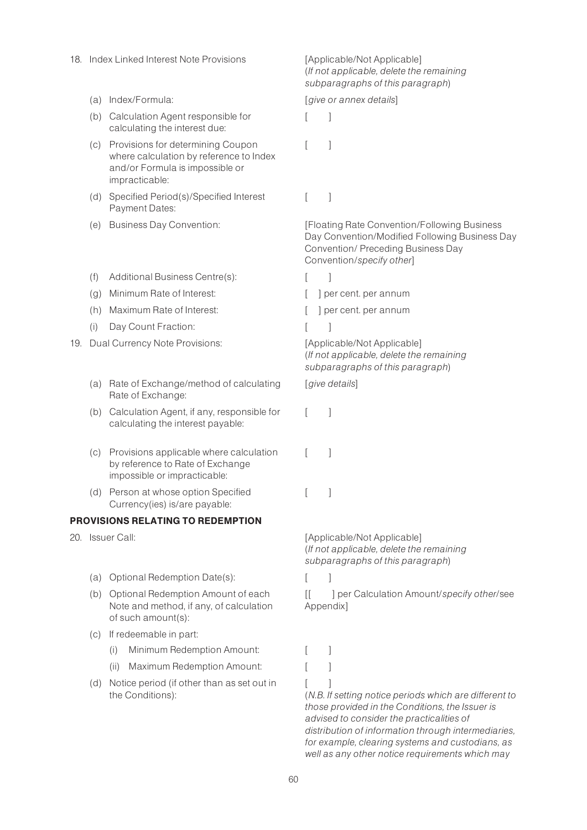- 18. Index Linked Interest Note Provisions [Applicable/Not Applicable]
	-
	- (b) Calculation Agent responsible for calculating the interest due:
	- (c) Provisions for determining Coupon where calculation by reference to Index and/or Formula is impossible or impracticable:
	- (d) Specified Period(s)/Specified Interest Payment Dates:
	-
	- (f) Additional Business Centre(s): [ ]
	- (g) Minimum Rate of Interest: [ ] per cent. per annum
	- (h) Maximum Rate of Interest:  $\begin{bmatrix} \phantom{-} \end{bmatrix}$  per cent. per annum
	- (i) Day Count Fraction: [ ]
- 19. Dual Currency Note Provisions: [Applicable/Not Applicable]
	- (a) Rate of Exchange/method of calculating Rate of Exchange:
	- (b) Calculation Agent, if any, responsible for calculating the interest payable:
	- (c) Provisions applicable where calculation by reference to Rate of Exchange impossible or impracticable:
	- (d) Person at whose option Specified Currency(ies) is/are payable:

### PROVISIONS RELATING TO REDEMPTION

- - (a) Optional Redemption Date(s): [ ]
	- (b) Optional Redemption Amount of each Note and method, if any, of calculation of such amount(s):
	- (c) If redeemable in part:
		- (i) Minimum Redemption Amount: [ ]
		- (ii) Maximum Redemption Amount: [ ]
	- (d) Notice period (if other than as set out in the Conditions):

(If not applicable, delete the remaining subparagraphs of this paragraph)

(a) Index/Formula:  $[q]$  is a state or annex details]

 $\lceil$   $\rceil$ 

 $\lceil$   $\rceil$ 

 $[$   $]$ 

(e) Business Day Convention: [Floating Rate Convention/Following Business Day Convention/Modified Following Business Day Convention/ Preceding Business Day Convention/specify other]

- 
- 
- 

(If not applicable, delete the remaining subparagraphs of this paragraph)

[give details]

- $\lceil$   $\rceil$
- $\lceil$   $\rceil$
- $\overline{\phantom{a}}$

20. Issuer Call:  $[Applicable/Not Applicable]$ (If not applicable, delete the remaining subparagraphs of this paragraph)

[[ ] per Calculation Amount/specify other/see Appendix]

- 
- 
- $[$   $]$

(N.B. If setting notice periods which are different to those provided in the Conditions, the Issuer is advised to consider the practicalities of distribution of information through intermediaries, for example, clearing systems and custodians, as well as any other notice requirements which may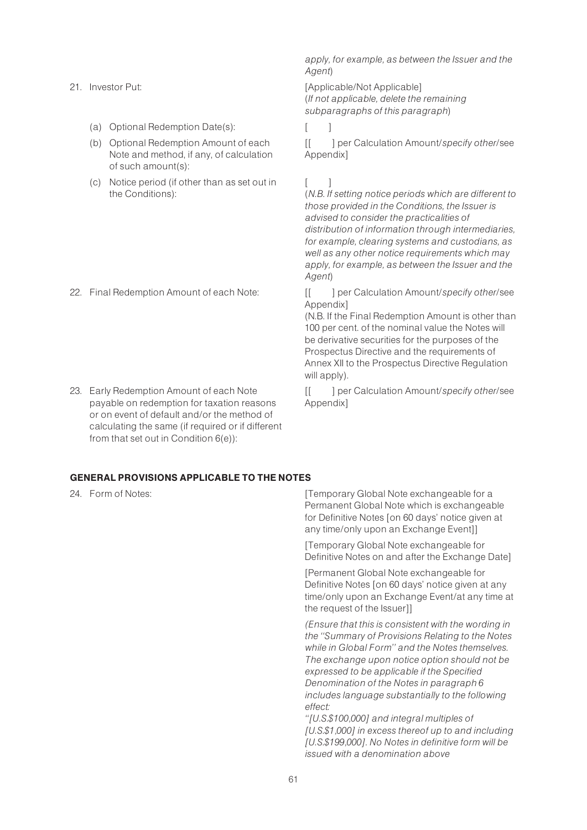- (a) Optional Redemption Date(s):
- (b) Optional Redemption Amount of each Note and method, if any, of calculation of such amount(s):
- (c) Notice period (if other than as set out in the Conditions):

23. Early Redemption Amount of each Note payable on redemption for taxation reasons or on event of default and/or the method of calculating the same (if required or if different from that set out in Condition 6(e)):

apply, for example, as between the Issuer and the Agent)

21. Investor Put:  $[Applicable/Not Applicable]$ (If not applicable, delete the remaining subparagraphs of this paragraph)

[[ ] per Calculation Amount/specify other/see Appendix]

# $\Box$

(N.B. If setting notice periods which are different to those provided in the Conditions, the Issuer is advised to consider the practicalities of distribution of information through intermediaries, for example, clearing systems and custodians, as well as any other notice requirements which may apply, for example, as between the Issuer and the Agent)

22. Final Redemption Amount of each Note: [[ ] per Calculation Amount/specify other/see Appendix]

> (N.B. If the Final Redemption Amount is other than 100 per cent, of the nominal value the Notes will be derivative securities for the purposes of the Prospectus Directive and the requirements of Annex XII to the Prospectus Directive Regulation will apply).

[[ ] per Calculation Amount/specify other/see Appendix]

#### GENERAL PROVISIONS APPLICABLE TO THE NOTES

24. Form of Notes:  $[Temperature]$  [Temporary Global Note exchangeable for a Permanent Global Note which is exchangeable for Definitive Notes [on 60 days' notice given at any time/only upon an Exchange Event]]

> [Temporary Global Note exchangeable for Definitive Notes on and after the Exchange Date]

[Permanent Global Note exchangeable for Definitive Notes [on 60 days' notice given at any time/only upon an Exchange Event/at any time at the request of the Issuer]]

(Ensure that this is consistent with the wording in the ''Summary of Provisions Relating to the Notes while in Global Form'' and the Notes themselves. The exchange upon notice option should not be expressed to be applicable if the Specified Denomination of the Notes in paragraph 6 includes language substantially to the following effect:

''[U.S.\$100,000] and integral multiples of [U.S.\$1,000] in excess thereof up to and including [U.S.\$199,000]. No Notes in definitive form will be issued with a denomination above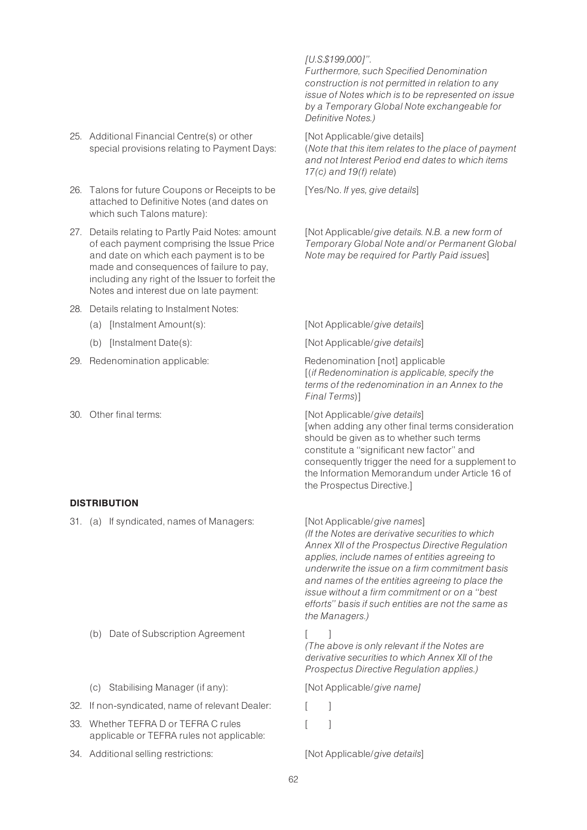- 25. Additional Financial Centre(s) or other special provisions relating to Payment Days:
- 26. Talons for future Coupons or Receipts to be attached to Definitive Notes (and dates on which such Talons mature):
- 27. Details relating to Partly Paid Notes: amount of each payment comprising the Issue Price and date on which each payment is to be made and consequences of failure to pay, including any right of the Issuer to forfeit the Notes and interest due on late payment:
- 28. Details relating to Instalment Notes:
	-
	-
- 29. Redenomination applicable: Redenomination [not] applicable
- 

#### **DISTRIBUTION**

31. (a) If syndicated, names of Managers: [Not Applicable/give names]

(b) Date of Subscription Agreement [ ]

- (c) Stabilising Manager (if any): [Not Applicable/give name]
- 32. If non-syndicated, name of relevant Dealer: [ ]
- 33. Whether TEFRA D or TEFRA C rules applicable or TEFRA rules not applicable:
- 34. Additional selling restrictions: [Not Applicable/give details]

#### [U.S.\$199,000]''.

Furthermore, such Specified Denomination construction is not permitted in relation to any issue of Notes which is to be represented on issue by a Temporary Global Note exchangeable for Definitive Notes.)

[Not Applicable/give details] (Note that this item relates to the place of payment and not Interest Period end dates to which items 17(c) and 19(f) relate)

[Yes/No. If yes, give details]

[Not Applicable/give details. N.B. a new form of Temporary Global Note and/or Permanent Global Note may be required for Partly Paid issues]

(a) [Instalment Amount(s): [Not Applicable/give details]

(b) [Instalment Date(s): [Not Applicable/give details]

[(if Redenomination is applicable, specify the terms of the redenomination in an Annex to the Final Terms)]

30. Other final terms:  $[Not Applicable/give details]$ [when adding any other final terms consideration should be given as to whether such terms constitute a ''significant new factor'' and consequently trigger the need for a supplement to the Information Memorandum under Article 16 of the Prospectus Directive.]

(If the Notes are derivative securities to which Annex XII of the Prospectus Directive Regulation applies, include names of entities agreeing to underwrite the issue on a firm commitment basis and names of the entities agreeing to place the issue without a firm commitment or on a ''best efforts'' basis if such entities are not the same as the Managers.)

(The above is only relevant if the Notes are derivative securities to which Annex XII of the Prospectus Directive Regulation applies.)

- 
- $\lceil$   $\rceil$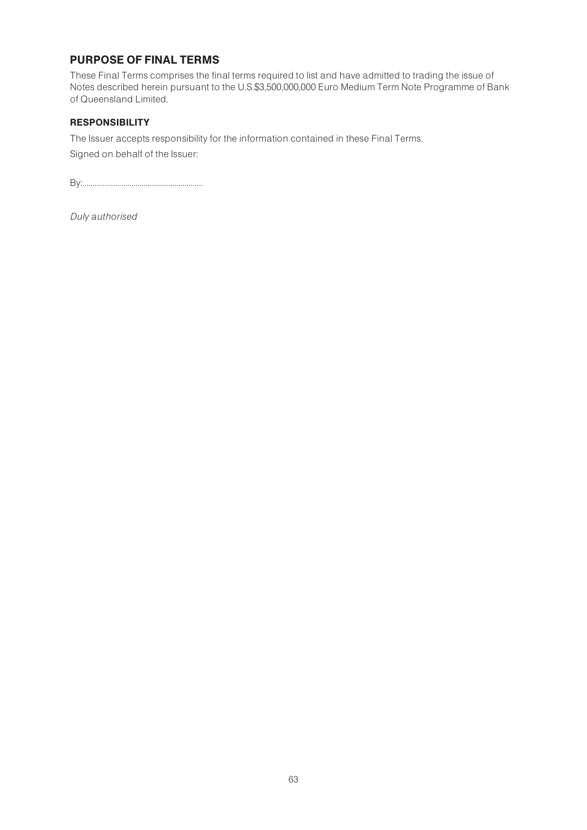# PURPOSE OF FINAL TERMS

These Final Terms comprises the final terms required to list and have admitted to trading the issue of Notes described herein pursuant to the U.S.\$3,500,000,000 Euro Medium Term Note Programme of Bank of Queensland Limited.

# **RESPONSIBILITY**

The Issuer accepts responsibility for the information contained in these Final Terms.

Signed on behalf of the Issuer:

By:...........................................................

Duly authorised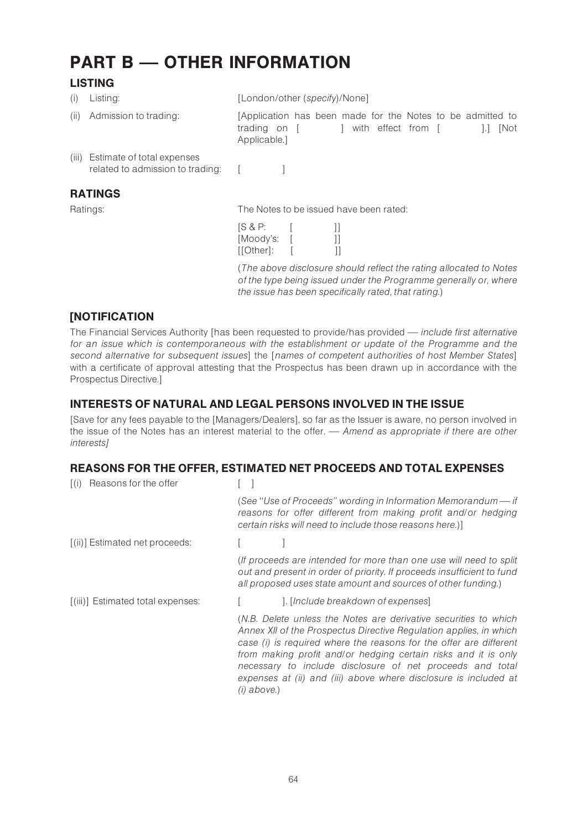# PART B - OTHER INFORMATION

# **LISTING**

| (1)           | Listing:                                                               | [London/other (specify)/None]                                                                                                                                                                  |  |  |  |                    |  |  |      |
|---------------|------------------------------------------------------------------------|------------------------------------------------------------------------------------------------------------------------------------------------------------------------------------------------|--|--|--|--------------------|--|--|------|
| $(\parallel)$ | Admission to trading:                                                  | [Application has been made for the Notes to be admitted to<br>trading on [<br>Applicable.]                                                                                                     |  |  |  | with effect from [ |  |  | INot |
|               | (iii) Estimate of total expenses<br>related to admission to trading: [ |                                                                                                                                                                                                |  |  |  |                    |  |  |      |
|               | <b>RATINGS</b>                                                         |                                                                                                                                                                                                |  |  |  |                    |  |  |      |
|               | Ratings:                                                               | The Notes to be issued have been rated:                                                                                                                                                        |  |  |  |                    |  |  |      |
|               |                                                                        | [SAP:<br>[Moody's: [<br>[[Other]:                                                                                                                                                              |  |  |  |                    |  |  |      |
|               |                                                                        | (The above disclosure should reflect the rating allocated to Notes<br>of the type being issued under the Programme generally or, where<br>the issue has been specifically rated, that rating.) |  |  |  |                    |  |  |      |

# [NOTIFICATION

The Financial Services Authority [has been requested to provide/has provided — include first alternative for an issue which is contemporaneous with the establishment or update of the Programme and the second alternative for subsequent issues] the [names of competent authorities of host Member States] with a certificate of approval attesting that the Prospectus has been drawn up in accordance with the Prospectus Directive.]

# INTERESTS OF NATURAL AND LEGAL PERSONS INVOLVED IN THE ISSUE

[Save for any fees payable to the [Managers/Dealers], so far as the Issuer is aware, no person involved in the issue of the Notes has an interest material to the offer. — Amend as appropriate if there are other interests]

# REASONS FOR THE OFFER, ESTIMATED NET PROCEEDS AND TOTAL EXPENSES

| Reasons for the offer<br>$\lceil$ (i) |                                                                                                                                                                                                                                                                                                                                                                                                                                  |
|---------------------------------------|----------------------------------------------------------------------------------------------------------------------------------------------------------------------------------------------------------------------------------------------------------------------------------------------------------------------------------------------------------------------------------------------------------------------------------|
|                                       | (See "Use of Proceeds" wording in Information Memorandum - if<br>reasons for offer different from making profit and/or hedging<br>certain risks will need to include those reasons here.)]                                                                                                                                                                                                                                       |
| [(ii)] Estimated net proceeds:        |                                                                                                                                                                                                                                                                                                                                                                                                                                  |
|                                       | (If proceeds are intended for more than one use will need to split<br>out and present in order of priority. If proceeds insufficient to fund<br>all proposed uses state amount and sources of other funding.)                                                                                                                                                                                                                    |
| [(iii)] Estimated total expenses:     | ]. [Include breakdown of expenses]                                                                                                                                                                                                                                                                                                                                                                                               |
|                                       | (N.B. Delete unless the Notes are derivative securities to which<br>Annex XII of the Prospectus Directive Regulation applies, in which<br>case (i) is required where the reasons for the offer are different<br>from making profit and/or hedging certain risks and it is only<br>necessary to include disclosure of net proceeds and total<br>expenses at (ii) and (iii) above where disclosure is included at<br>$(i)$ above.) |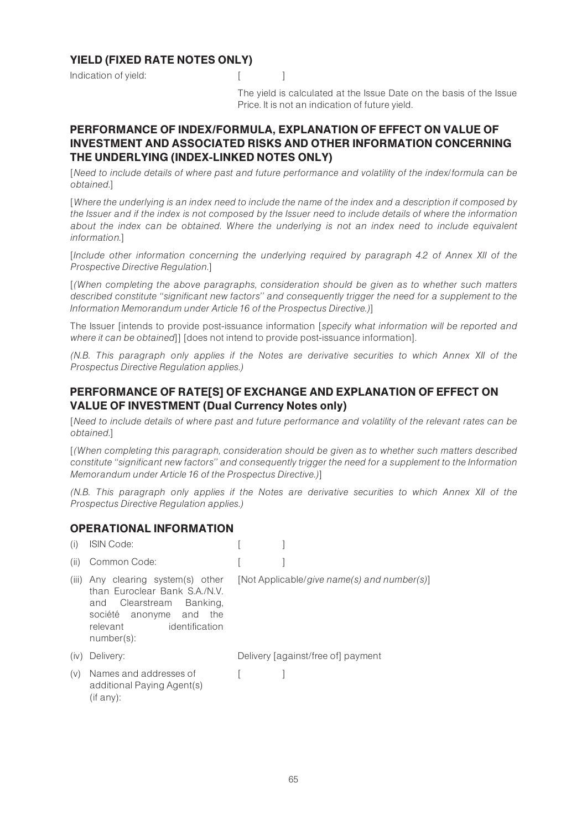# YIELD (FIXED RATE NOTES ONLY)

Indication of yield: [ [ ]

The yield is calculated at the Issue Date on the basis of the Issue Price. It is not an indication of future yield.

# PERFORMANCE OF INDEX/FORMULA, EXPLANATION OF EFFECT ON VALUE OF INVESTMENT AND ASSOCIATED RISKS AND OTHER INFORMATION CONCERNING THE UNDERLYING (INDEX-LINKED NOTES ONLY)

[Need to include details of where past and future performance and volatility of the index/formula can be obtained.]

[Where the underlying is an index need to include the name of the index and a description if composed by the Issuer and if the index is not composed by the Issuer need to include details of where the information about the index can be obtained. Where the underlying is not an index need to include equivalent information.]

[Include other information concerning the underlying required by paragraph 4.2 of Annex XII of the Prospective Directive Regulation.]

[(When completing the above paragraphs, consideration should be given as to whether such matters described constitute ''significant new factors'' and consequently trigger the need for a supplement to the Information Memorandum under Article 16 of the Prospectus Directive.)]

The Issuer [intends to provide post-issuance information [specify what information will be reported and where it can be obtained]] [does not intend to provide post-issuance information].

(N.B. This paragraph only applies if the Notes are derivative securities to which Annex XII of the Prospectus Directive Regulation applies.)

# PERFORMANCE OF RATE[S] OF EXCHANGE AND EXPLANATION OF EFFECT ON VALUE OF INVESTMENT (Dual Currency Notes only)

[Need to include details of where past and future performance and volatility of the relevant rates can be obtained.]

[(When completing this paragraph, consideration should be given as to whether such matters described constitute ''significant new factors'' and consequently trigger the need for a supplement to the Information Memorandum under Article 16 of the Prospectus Directive.)]

(N.B. This paragraph only applies if the Notes are derivative securities to which Annex XII of the Prospectus Directive Regulation applies.)

# OPERATIONAL INFORMATION

| (i)   | <b>ISIN Code:</b>                                                                                                                                                            |                                             |
|-------|------------------------------------------------------------------------------------------------------------------------------------------------------------------------------|---------------------------------------------|
| (ii)  | Common Code:                                                                                                                                                                 |                                             |
| (iii) | Any clearing system(s) other<br>than Furoclear Bank S.A./N.V.<br>Clearstream<br>Banking,<br>and<br>société anonyme and<br>the<br>identification<br>relevant<br>$number(s)$ : | [Not Applicable/give name(s) and number(s)] |
| (iv)  | Delivery:                                                                                                                                                                    | Delivery [against/free of] payment          |
| (v)   | Names and addresses of<br>additional Paying Agent(s)<br>(if any):                                                                                                            |                                             |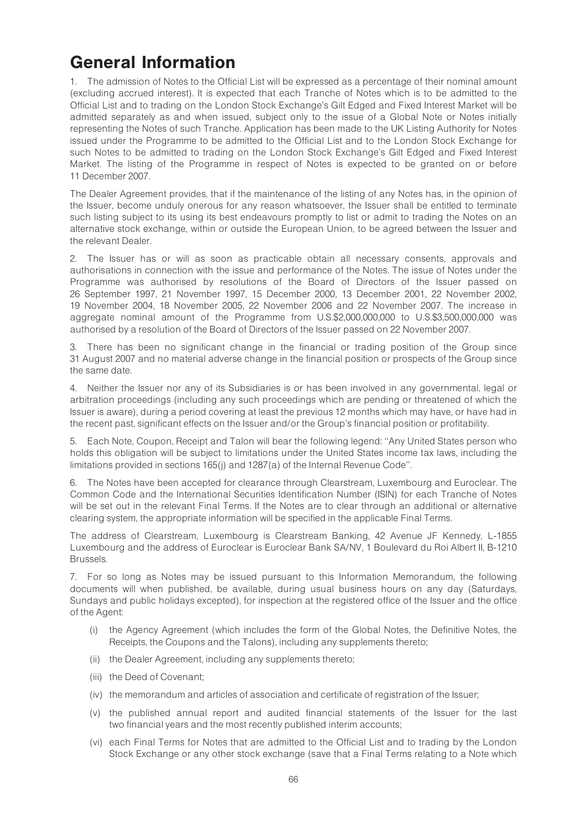# General Information

1. The admission of Notes to the Official List will be expressed as a percentage of their nominal amount (excluding accrued interest). It is expected that each Tranche of Notes which is to be admitted to the Official List and to trading on the London Stock Exchange's Gilt Edged and Fixed Interest Market will be admitted separately as and when issued, subject only to the issue of a Global Note or Notes initially representing the Notes of such Tranche. Application has been made to the UK Listing Authority for Notes issued under the Programme to be admitted to the Official List and to the London Stock Exchange for such Notes to be admitted to trading on the London Stock Exchange's Gilt Edged and Fixed Interest Market. The listing of the Programme in respect of Notes is expected to be granted on or before 11 December 2007.

The Dealer Agreement provides, that if the maintenance of the listing of any Notes has, in the opinion of the Issuer, become unduly onerous for any reason whatsoever, the Issuer shall be entitled to terminate such listing subject to its using its best endeavours promptly to list or admit to trading the Notes on an alternative stock exchange, within or outside the European Union, to be agreed between the Issuer and the relevant Dealer.

2. The Issuer has or will as soon as practicable obtain all necessary consents, approvals and authorisations in connection with the issue and performance of the Notes. The issue of Notes under the Programme was authorised by resolutions of the Board of Directors of the Issuer passed on 26 September 1997, 21 November 1997, 15 December 2000, 13 December 2001, 22 November 2002, 19 November 2004, 18 November 2005, 22 November 2006 and 22 November 2007. The increase in aggregate nominal amount of the Programme from U.S.\$2,000,000,000 to U.S.\$3,500,000,000 was authorised by a resolution of the Board of Directors of the Issuer passed on 22 November 2007.

3. There has been no significant change in the financial or trading position of the Group since 31 August 2007 and no material adverse change in the financial position or prospects of the Group since the same date.

4. Neither the Issuer nor any of its Subsidiaries is or has been involved in any governmental, legal or arbitration proceedings (including any such proceedings which are pending or threatened of which the Issuer is aware), during a period covering at least the previous 12 months which may have, or have had in the recent past, significant effects on the Issuer and/or the Group's financial position or profitability.

5. Each Note, Coupon, Receipt and Talon will bear the following legend: ''Any United States person who holds this obligation will be subject to limitations under the United States income tax laws, including the limitations provided in sections 165(j) and 1287(a) of the Internal Revenue Code''.

6. The Notes have been accepted for clearance through Clearstream, Luxembourg and Euroclear. The Common Code and the International Securities Identification Number (ISIN) for each Tranche of Notes will be set out in the relevant Final Terms. If the Notes are to clear through an additional or alternative clearing system, the appropriate information will be specified in the applicable Final Terms.

The address of Clearstream, Luxembourg is Clearstream Banking, 42 Avenue JF Kennedy, L-1855 Luxembourg and the address of Euroclear is Euroclear Bank SA/NV, 1 Boulevard du Roi Albert II, B-1210 Brussels.

7. For so long as Notes may be issued pursuant to this Information Memorandum, the following documents will when published, be available, during usual business hours on any day (Saturdays, Sundays and public holidays excepted), for inspection at the registered office of the Issuer and the office of the Agent:

- (i) the Agency Agreement (which includes the form of the Global Notes, the Definitive Notes, the Receipts, the Coupons and the Talons), including any supplements thereto;
- (ii) the Dealer Agreement, including any supplements thereto;
- (iii) the Deed of Covenant;
- (iv) the memorandum and articles of association and certificate of registration of the Issuer;
- (v) the published annual report and audited financial statements of the Issuer for the last two financial years and the most recently published interim accounts;
- (vi) each Final Terms for Notes that are admitted to the Official List and to trading by the London Stock Exchange or any other stock exchange (save that a Final Terms relating to a Note which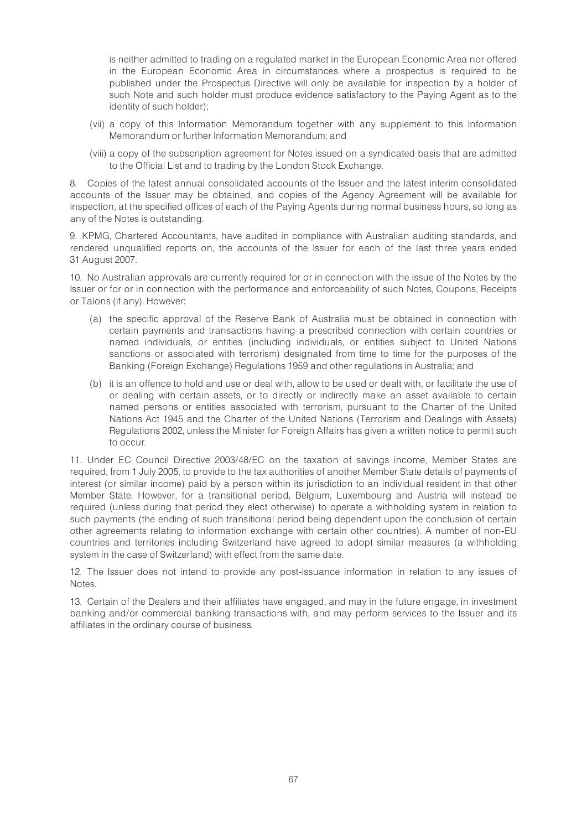is neither admitted to trading on a regulated market in the European Economic Area nor offered in the European Economic Area in circumstances where a prospectus is required to be published under the Prospectus Directive will only be available for inspection by a holder of such Note and such holder must produce evidence satisfactory to the Paying Agent as to the identity of such holder);

- (vii) a copy of this Information Memorandum together with any supplement to this Information Memorandum or further Information Memorandum; and
- (viii) a copy of the subscription agreement for Notes issued on a syndicated basis that are admitted to the Official List and to trading by the London Stock Exchange.

8. Copies of the latest annual consolidated accounts of the Issuer and the latest interim consolidated accounts of the Issuer may be obtained, and copies of the Agency Agreement will be available for inspection, at the specified offices of each of the Paying Agents during normal business hours, so long as any of the Notes is outstanding.

9. KPMG, Chartered Accountants, have audited in compliance with Australian auditing standards, and rendered unqualified reports on, the accounts of the Issuer for each of the last three years ended 31 August 2007.

10. No Australian approvals are currently required for or in connection with the issue of the Notes by the Issuer or for or in connection with the performance and enforceability of such Notes, Coupons, Receipts or Talons (if any). However:

- (a) the specific approval of the Reserve Bank of Australia must be obtained in connection with certain payments and transactions having a prescribed connection with certain countries or named individuals, or entities (including individuals, or entities subject to United Nations sanctions or associated with terrorism) designated from time to time for the purposes of the Banking (Foreign Exchange) Regulations 1959 and other regulations in Australia; and
- (b) it is an offence to hold and use or deal with, allow to be used or dealt with, or facilitate the use of or dealing with certain assets, or to directly or indirectly make an asset available to certain named persons or entities associated with terrorism, pursuant to the Charter of the United Nations Act 1945 and the Charter of the United Nations (Terrorism and Dealings with Assets) Regulations 2002, unless the Minister for Foreign Affairs has given a written notice to permit such to occur.

11. Under EC Council Directive 2003/48/EC on the taxation of savings income, Member States are required, from 1 July 2005, to provide to the tax authorities of another Member State details of payments of interest (or similar income) paid by a person within its jurisdiction to an individual resident in that other Member State. However, for a transitional period, Belgium, Luxembourg and Austria will instead be required (unless during that period they elect otherwise) to operate a withholding system in relation to such payments (the ending of such transitional period being dependent upon the conclusion of certain other agreements relating to information exchange with certain other countries). A number of non-EU countries and territories including Switzerland have agreed to adopt similar measures (a withholding system in the case of Switzerland) with effect from the same date.

12. The Issuer does not intend to provide any post-issuance information in relation to any issues of Notes.

13. Certain of the Dealers and their affiliates have engaged, and may in the future engage, in investment banking and/or commercial banking transactions with, and may perform services to the Issuer and its affiliates in the ordinary course of business.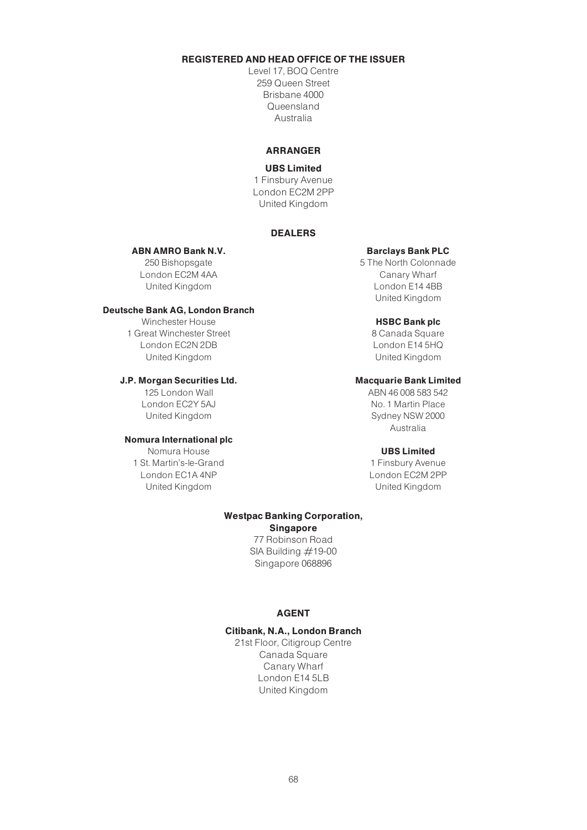# REGISTERED AND HEAD OFFICE OF THE ISSUER

Level 17, BOQ Centre 259 Queen Street Brisbane 4000 Queensland Australia

# ARRANGER

#### UBS Limited

1 Finsbury Avenue London EC2M 2PP United Kingdom

### DEALERS

## ABN AMRO Bank N.V.

250 Bishopsgate London EC2M 4AA United Kingdom

#### Deutsche Bank AG, London Branch

Winchester House 1 Great Winchester Street London EC2N 2DB United Kingdom

### J.P. Morgan Securities Ltd.

125 London Wall London EC2Y 5AJ United Kingdom

#### Nomura International plc

Nomura House 1 St. Martin's-le-Grand London EC1A 4NP United Kingdom

#### Barclays Bank PLC

5 The North Colonnade Canary Wharf London E14 4BB United Kingdom

#### HSBC Bank plc

8 Canada Square London E14 5HQ United Kingdom

#### Macquarie Bank Limited

ABN 46 008 583 542 No. 1 Martin Place Sydney NSW 2000 Australia

#### UBS Limited

1 Finsbury Avenue London EC2M 2PP United Kingdom

#### Westpac Banking Corporation, Singapore

77 Robinson Road SIA Building  $#19-00$ Singapore 068896

# AGENT

### Citibank, N.A., London Branch

21st Floor, Citigroup Centre Canada Square Canary Wharf London E14 5LB United Kingdom